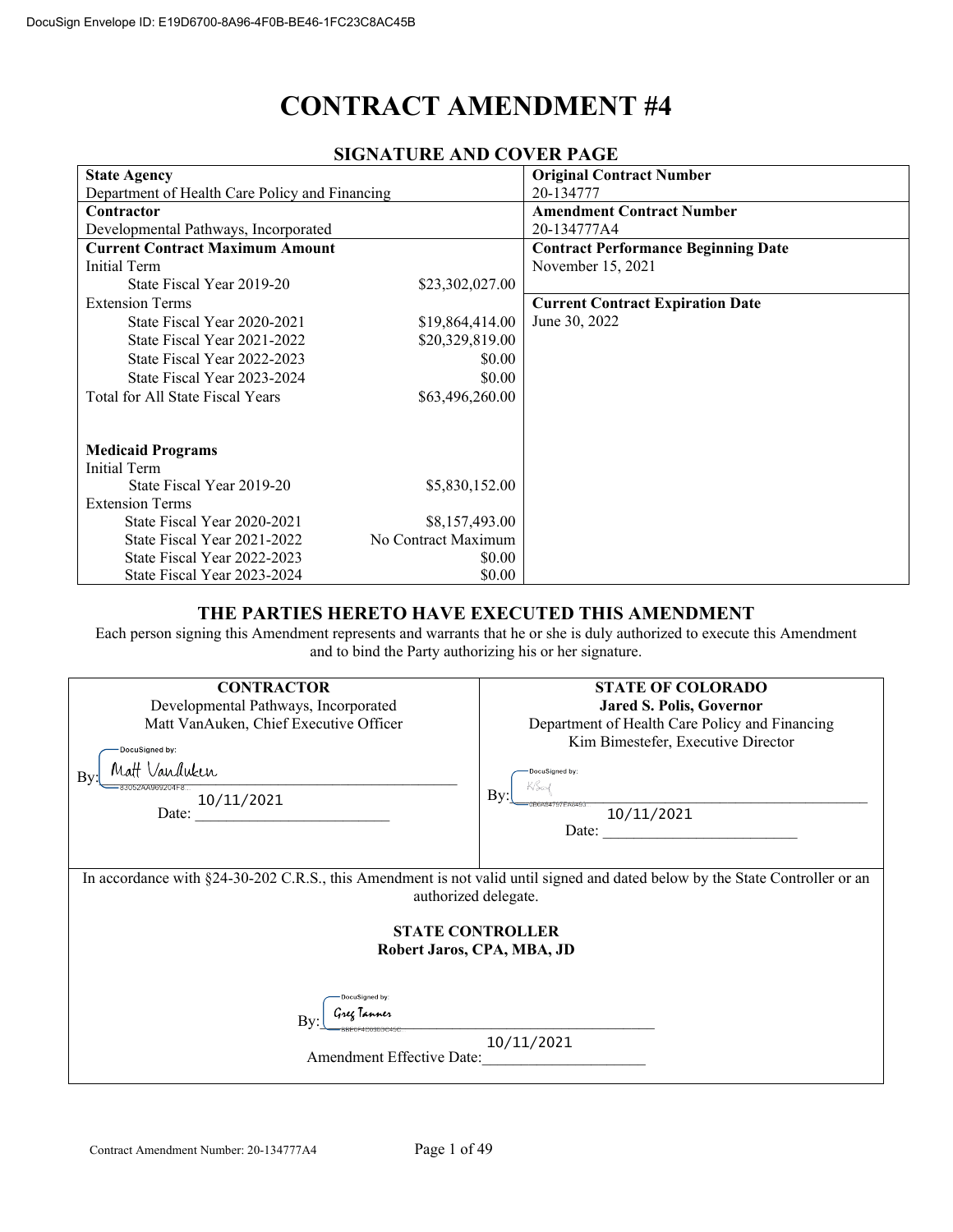# **CONTRACT AMENDMENT #4**

| SIGNATURE AND COVER FAGE                       |                     |                                            |  |
|------------------------------------------------|---------------------|--------------------------------------------|--|
| <b>State Agency</b>                            |                     | <b>Original Contract Number</b>            |  |
| Department of Health Care Policy and Financing |                     | 20-134777                                  |  |
| Contractor                                     |                     | <b>Amendment Contract Number</b>           |  |
| Developmental Pathways, Incorporated           |                     | 20-134777A4                                |  |
| <b>Current Contract Maximum Amount</b>         |                     | <b>Contract Performance Beginning Date</b> |  |
| Initial Term                                   |                     | November 15, 2021                          |  |
| State Fiscal Year 2019-20                      | \$23,302,027.00     |                                            |  |
| <b>Extension Terms</b>                         |                     | <b>Current Contract Expiration Date</b>    |  |
| State Fiscal Year 2020-2021                    | \$19,864,414.00     | June 30, 2022                              |  |
| State Fiscal Year 2021-2022                    | \$20,329,819.00     |                                            |  |
| State Fiscal Year 2022-2023                    | \$0.00              |                                            |  |
| State Fiscal Year 2023-2024                    | \$0.00              |                                            |  |
| Total for All State Fiscal Years               | \$63,496,260.00     |                                            |  |
|                                                |                     |                                            |  |
|                                                |                     |                                            |  |
| <b>Medicaid Programs</b>                       |                     |                                            |  |
| Initial Term                                   |                     |                                            |  |
| State Fiscal Year 2019-20                      | \$5,830,152.00      |                                            |  |
| <b>Extension Terms</b>                         |                     |                                            |  |
| State Fiscal Year 2020-2021                    | \$8,157,493.00      |                                            |  |
| State Fiscal Year 2021-2022                    | No Contract Maximum |                                            |  |
| State Fiscal Year 2022-2023                    | \$0.00              |                                            |  |
| State Fiscal Year 2023-2024                    | \$0.00              |                                            |  |

# **SIGNATUDE AND COVER BAGE**

#### **THE PARTIES HERETO HAVE EXECUTED THIS AMENDMENT**

Each person signing this Amendment represents and warrants that he or she is duly authorized to execute this Amendment and to bind the Party authorizing his or her signature.

| <b>CONTRACTOR</b>                                                                                                                                    | <b>STATE OF COLORADO</b>                       |  |  |
|------------------------------------------------------------------------------------------------------------------------------------------------------|------------------------------------------------|--|--|
| Developmental Pathways, Incorporated                                                                                                                 | <b>Jared S. Polis, Governor</b>                |  |  |
| Matt VanAuken, Chief Executive Officer                                                                                                               | Department of Health Care Policy and Financing |  |  |
| DocuSigned by:                                                                                                                                       | Kim Bimestefer, Executive Director             |  |  |
| Matt Vanduken<br>Bv:                                                                                                                                 | DocuSianed by:                                 |  |  |
| 3052AA969204F8<br>10/11/2021                                                                                                                         | KSox<br>Bv:                                    |  |  |
| Date:                                                                                                                                                | 10/11/2021                                     |  |  |
|                                                                                                                                                      | Date:                                          |  |  |
|                                                                                                                                                      |                                                |  |  |
| In accordance with §24-30-202 C.R.S., this Amendment is not valid until signed and dated below by the State Controller or an<br>authorized delegate. |                                                |  |  |
| <b>STATE CONTROLLER</b><br>Robert Jaros, CPA, MBA, JD                                                                                                |                                                |  |  |
| <b>DocuSigned by:</b>                                                                                                                                |                                                |  |  |
| Gree Tanne<br>Bv:                                                                                                                                    |                                                |  |  |
| 10/11/2021                                                                                                                                           |                                                |  |  |
| Amendment Effective Date:                                                                                                                            |                                                |  |  |
|                                                                                                                                                      |                                                |  |  |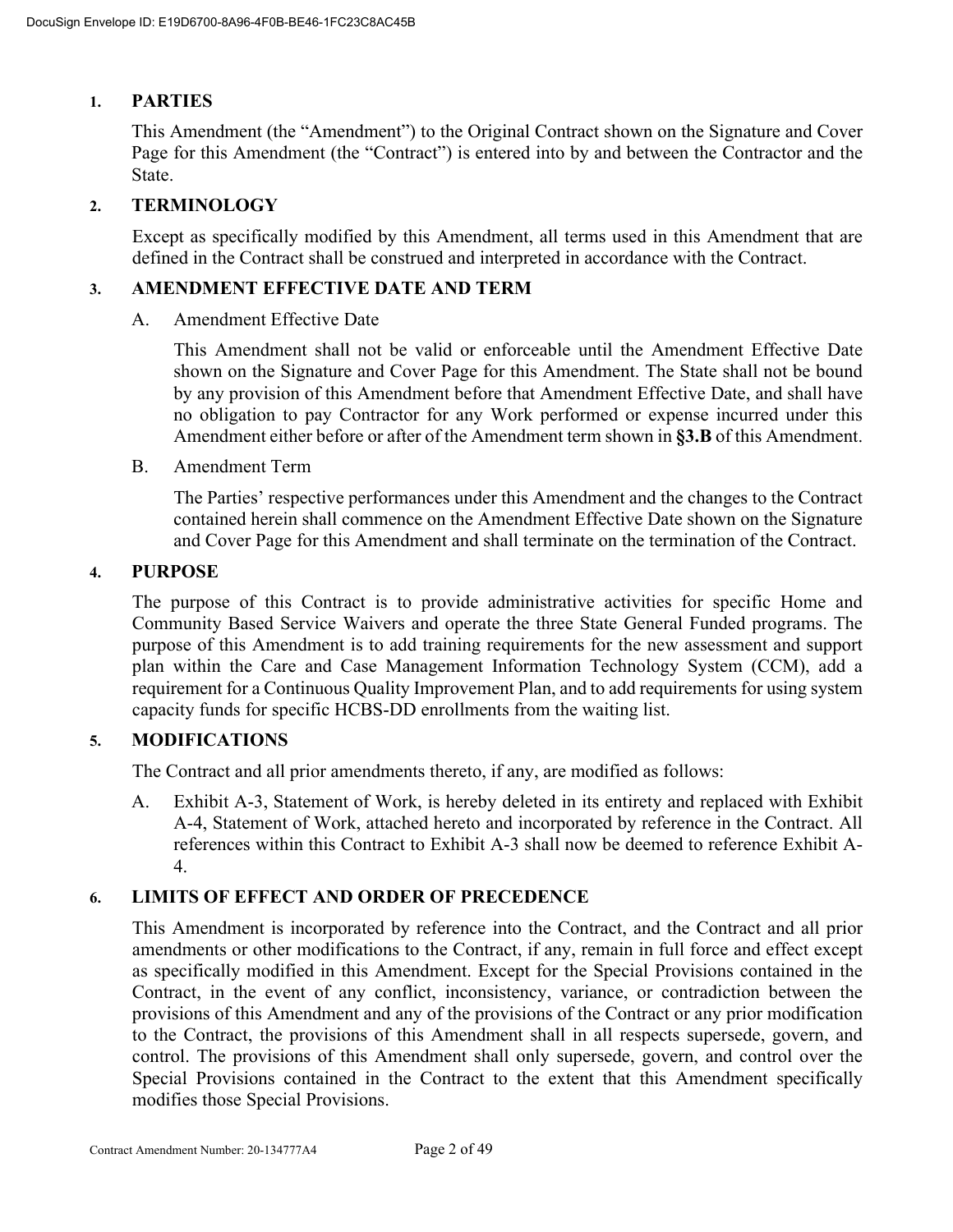# **1. PARTIES**

This Amendment (the "Amendment") to the Original Contract shown on the Signature and Cover Page for this Amendment (the "Contract") is entered into by and between the Contractor and the State.

# **2. TERMINOLOGY**

Except as specifically modified by this Amendment, all terms used in this Amendment that are defined in the Contract shall be construed and interpreted in accordance with the Contract.

# **3. AMENDMENT EFFECTIVE DATE AND TERM**

A. Amendment Effective Date

This Amendment shall not be valid or enforceable until the Amendment Effective Date shown on the Signature and Cover Page for this Amendment. The State shall not be bound by any provision of this Amendment before that Amendment Effective Date, and shall have no obligation to pay Contractor for any Work performed or expense incurred under this Amendment either before or after of the Amendment term shown in **§3.B** of this Amendment.

B. Amendment Term

The Parties' respective performances under this Amendment and the changes to the Contract contained herein shall commence on the Amendment Effective Date shown on the Signature and Cover Page for this Amendment and shall terminate on the termination of the Contract.

# **4. PURPOSE**

The purpose of this Contract is to provide administrative activities for specific Home and Community Based Service Waivers and operate the three State General Funded programs. The purpose of this Amendment is to add training requirements for the new assessment and support plan within the Care and Case Management Information Technology System (CCM), add a requirement for a Continuous Quality Improvement Plan, and to add requirements for using system capacity funds for specific HCBS-DD enrollments from the waiting list.

# **5. MODIFICATIONS**

The Contract and all prior amendments thereto, if any, are modified as follows:

A. Exhibit A-3, Statement of Work, is hereby deleted in its entirety and replaced with Exhibit A-4, Statement of Work, attached hereto and incorporated by reference in the Contract. All references within this Contract to Exhibit A-3 shall now be deemed to reference Exhibit A-4.

# **6. LIMITS OF EFFECT AND ORDER OF PRECEDENCE**

This Amendment is incorporated by reference into the Contract, and the Contract and all prior amendments or other modifications to the Contract, if any, remain in full force and effect except as specifically modified in this Amendment. Except for the Special Provisions contained in the Contract, in the event of any conflict, inconsistency, variance, or contradiction between the provisions of this Amendment and any of the provisions of the Contract or any prior modification to the Contract, the provisions of this Amendment shall in all respects supersede, govern, and control. The provisions of this Amendment shall only supersede, govern, and control over the Special Provisions contained in the Contract to the extent that this Amendment specifically modifies those Special Provisions.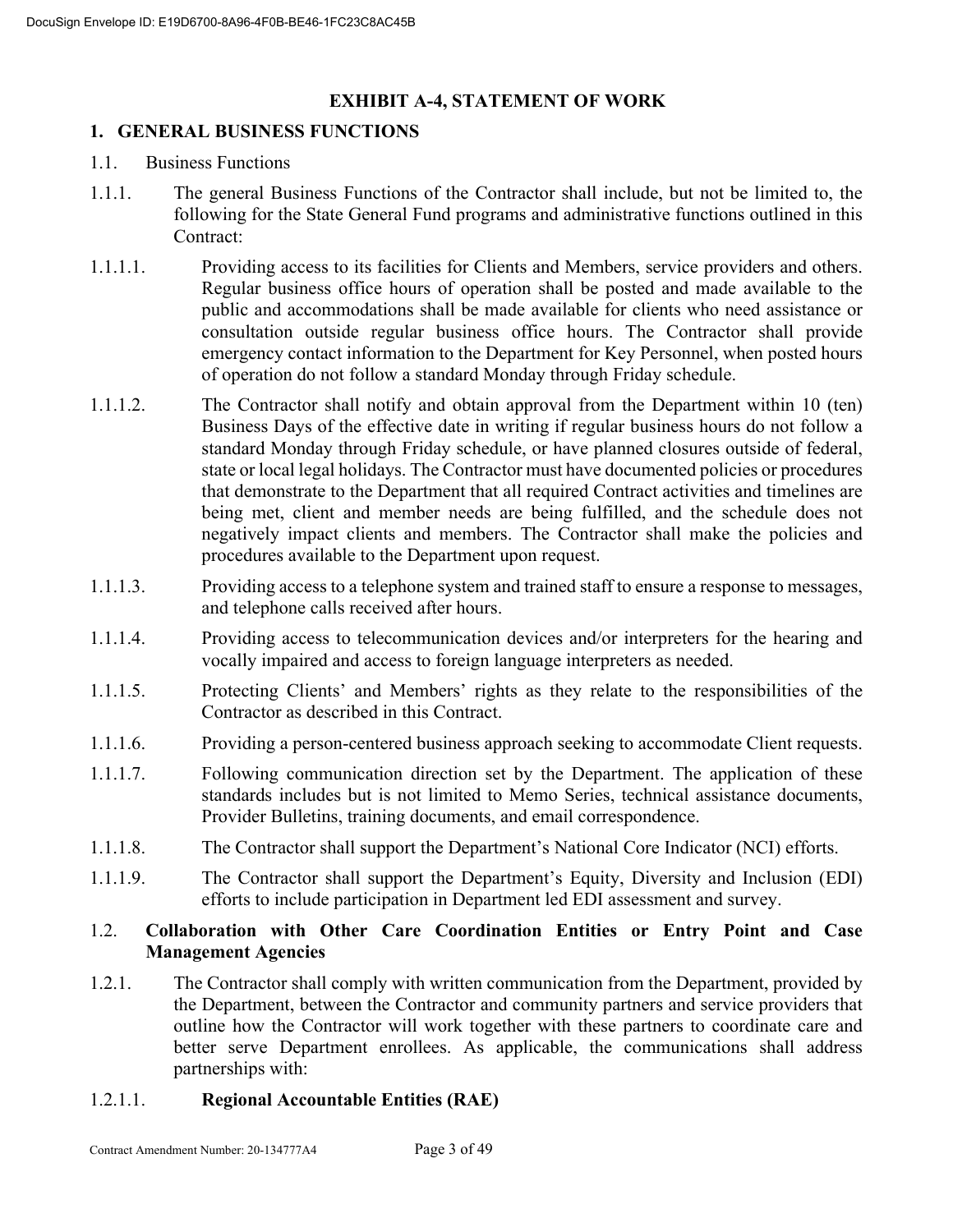# **EXHIBIT A-4, STATEMENT OF WORK**

# **1. GENERAL BUSINESS FUNCTIONS**

- 1.1. Business Functions
- 1.1.1. The general Business Functions of the Contractor shall include, but not be limited to, the following for the State General Fund programs and administrative functions outlined in this Contract:
- 1.1.1.1. Providing access to its facilities for Clients and Members, service providers and others. Regular business office hours of operation shall be posted and made available to the public and accommodations shall be made available for clients who need assistance or consultation outside regular business office hours. The Contractor shall provide emergency contact information to the Department for Key Personnel, when posted hours of operation do not follow a standard Monday through Friday schedule.
- 1.1.1.2. The Contractor shall notify and obtain approval from the Department within 10 (ten) Business Days of the effective date in writing if regular business hours do not follow a standard Monday through Friday schedule, or have planned closures outside of federal, state or local legal holidays. The Contractor must have documented policies or procedures that demonstrate to the Department that all required Contract activities and timelines are being met, client and member needs are being fulfilled, and the schedule does not negatively impact clients and members. The Contractor shall make the policies and procedures available to the Department upon request.
- 1.1.1.3. Providing access to a telephone system and trained staff to ensure a response to messages, and telephone calls received after hours.
- 1.1.1.4. Providing access to telecommunication devices and/or interpreters for the hearing and vocally impaired and access to foreign language interpreters as needed.
- 1.1.1.5. Protecting Clients' and Members' rights as they relate to the responsibilities of the Contractor as described in this Contract.
- 1.1.1.6. Providing a person-centered business approach seeking to accommodate Client requests.
- 1.1.1.7. Following communication direction set by the Department. The application of these standards includes but is not limited to Memo Series, technical assistance documents, Provider Bulletins, training documents, and email correspondence.
- 1.1.1.8. The Contractor shall support the Department's National Core Indicator (NCI) efforts.
- 1.1.1.9. The Contractor shall support the Department's Equity, Diversity and Inclusion (EDI) efforts to include participation in Department led EDI assessment and survey.

# 1.2. **Collaboration with Other Care Coordination Entities or Entry Point and Case Management Agencies**

1.2.1. The Contractor shall comply with written communication from the Department, provided by the Department, between the Contractor and community partners and service providers that outline how the Contractor will work together with these partners to coordinate care and better serve Department enrollees. As applicable, the communications shall address partnerships with:

# 1.2.1.1. **Regional Accountable Entities (RAE)**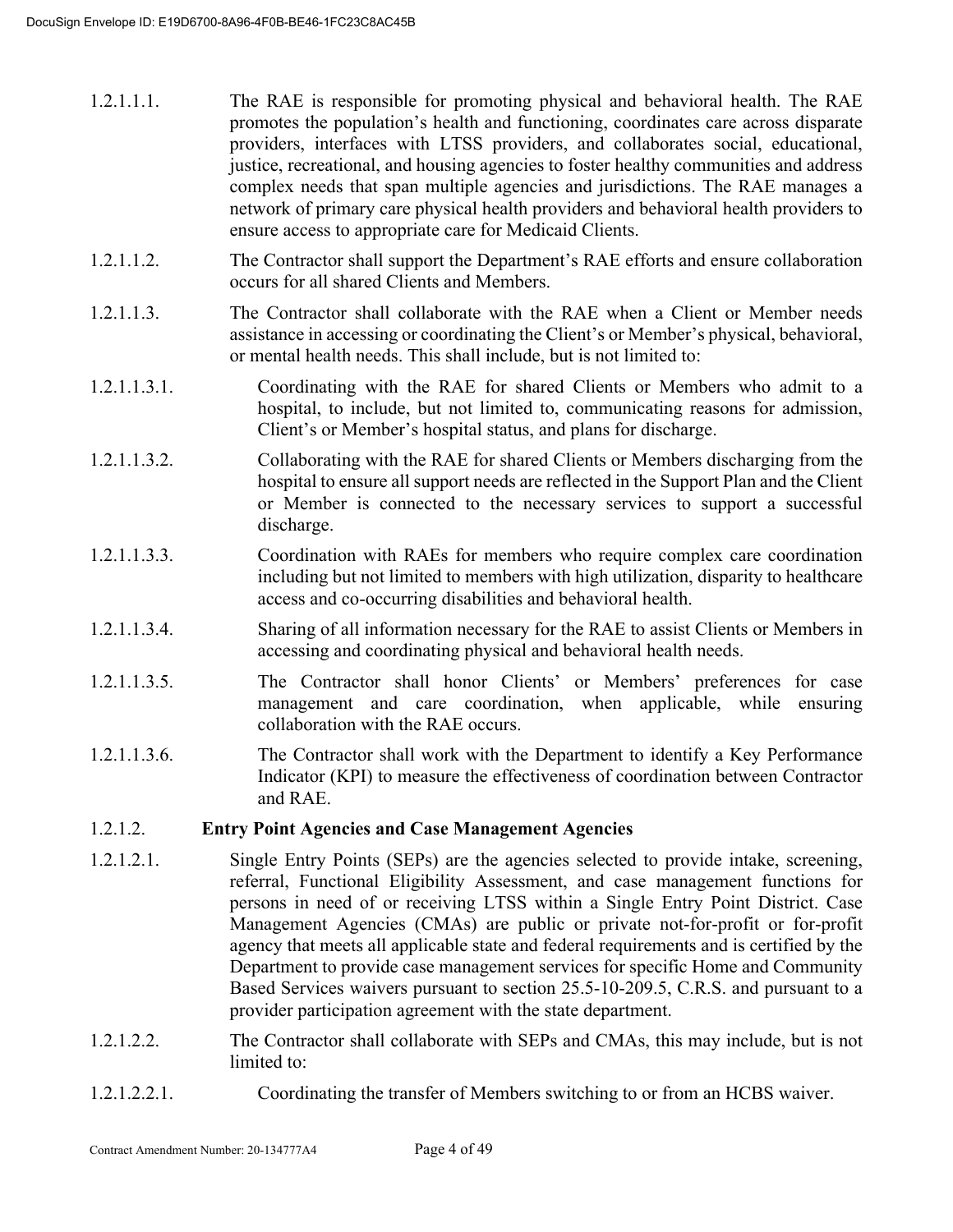| 1.2.1.1.1. | The RAE is responsible for promoting physical and behavioral health. The RAE          |
|------------|---------------------------------------------------------------------------------------|
|            | promotes the population's health and functioning, coordinates care across disparate   |
|            | providers, interfaces with LTSS providers, and collaborates social, educational,      |
|            | justice, recreational, and housing agencies to foster healthy communities and address |
|            | complex needs that span multiple agencies and jurisdictions. The RAE manages a        |
|            | network of primary care physical health providers and behavioral health providers to  |
|            | ensure access to appropriate care for Medicaid Clients.                               |

- 1.2.1.1.2. The Contractor shall support the Department's RAE efforts and ensure collaboration occurs for all shared Clients and Members.
- 1.2.1.1.3. The Contractor shall collaborate with the RAE when a Client or Member needs assistance in accessing or coordinating the Client's or Member's physical, behavioral, or mental health needs. This shall include, but is not limited to:
- 1.2.1.1.3.1. Coordinating with the RAE for shared Clients or Members who admit to a hospital, to include, but not limited to, communicating reasons for admission, Client's or Member's hospital status, and plans for discharge.
- 1.2.1.1.3.2. Collaborating with the RAE for shared Clients or Members discharging from the hospital to ensure all support needs are reflected in the Support Plan and the Client or Member is connected to the necessary services to support a successful discharge.
- 1.2.1.1.3.3. Coordination with RAEs for members who require complex care coordination including but not limited to members with high utilization, disparity to healthcare access and co-occurring disabilities and behavioral health.
- 1.2.1.1.3.4. Sharing of all information necessary for the RAE to assist Clients or Members in accessing and coordinating physical and behavioral health needs.
- 1.2.1.1.3.5. The Contractor shall honor Clients' or Members' preferences for case management and care coordination, when applicable, while ensuring collaboration with the RAE occurs.
- 1.2.1.1.3.6. The Contractor shall work with the Department to identify a Key Performance Indicator (KPI) to measure the effectiveness of coordination between Contractor and RAE.

# 1.2.1.2. **Entry Point Agencies and Case Management Agencies**

- 1.2.1.2.1. Single Entry Points (SEPs) are the agencies selected to provide intake, screening, referral, Functional Eligibility Assessment, and case management functions for persons in need of or receiving LTSS within a Single Entry Point District. Case Management Agencies (CMAs) are public or private not-for-profit or for-profit agency that meets all applicable state and federal requirements and is certified by the Department to provide case management services for specific Home and Community Based Services waivers pursuant to section 25.5-10-209.5, C.R.S. and pursuant to a provider participation agreement with the state department.
- 1.2.1.2.2. The Contractor shall collaborate with SEPs and CMAs, this may include, but is not limited to:
- 1.2.1.2.2.1. Coordinating the transfer of Members switching to or from an HCBS waiver.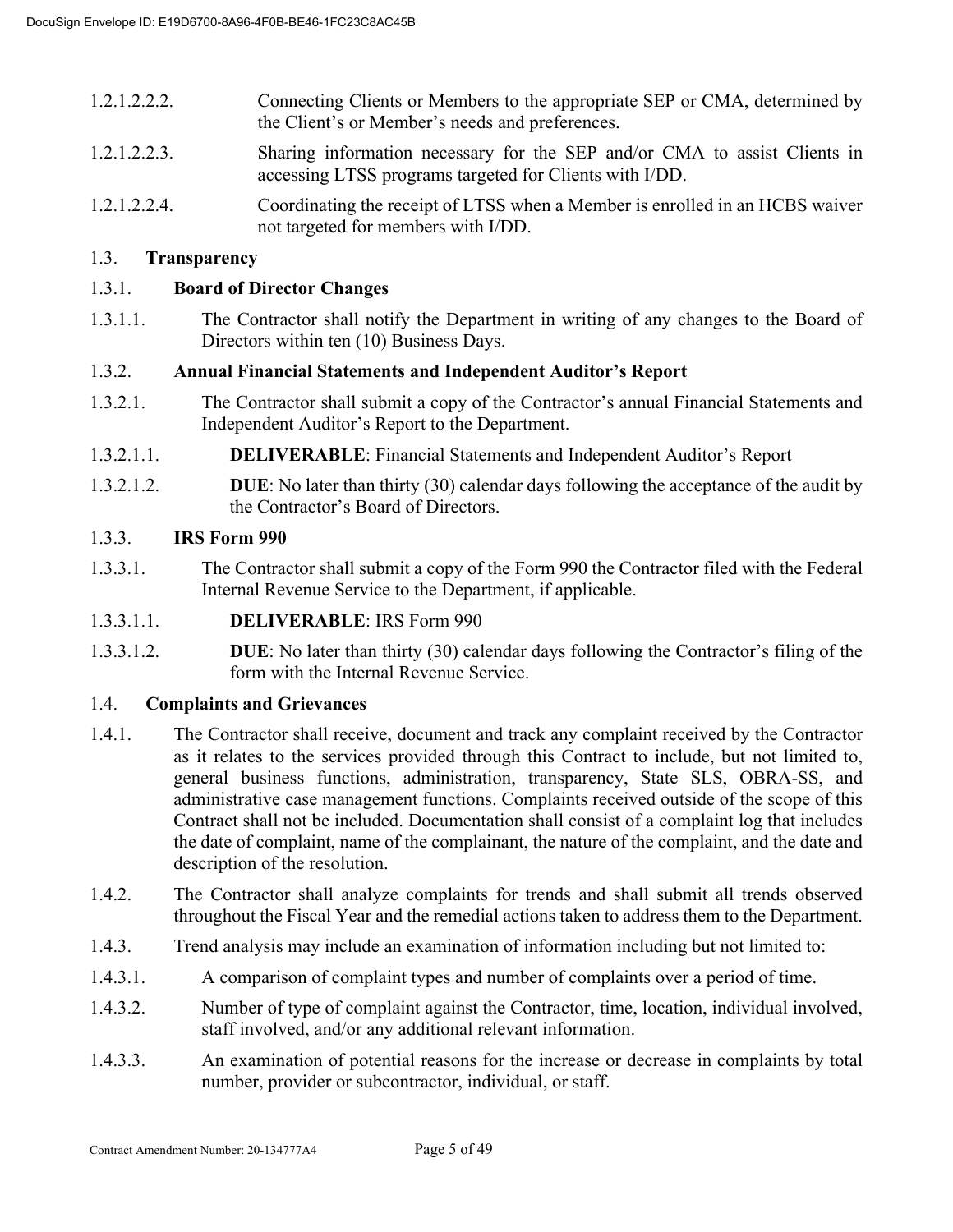- 1.2.1.2.2.2. Connecting Clients or Members to the appropriate SEP or CMA, determined by the Client's or Member's needs and preferences.
- 1.2.1.2.2.3. Sharing information necessary for the SEP and/or CMA to assist Clients in accessing LTSS programs targeted for Clients with I/DD.
- 1.2.1.2.2.4. Coordinating the receipt of LTSS when a Member is enrolled in an HCBS waiver not targeted for members with I/DD.

# 1.3. **Transparency**

# 1.3.1. **Board of Director Changes**

1.3.1.1. The Contractor shall notify the Department in writing of any changes to the Board of Directors within ten (10) Business Days.

# 1.3.2. **Annual Financial Statements and Independent Auditor's Report**

- 1.3.2.1. The Contractor shall submit a copy of the Contractor's annual Financial Statements and Independent Auditor's Report to the Department.
- 1.3.2.1.1. **DELIVERABLE**: Financial Statements and Independent Auditor's Report
- 1.3.2.1.2. **DUE**: No later than thirty (30) calendar days following the acceptance of the audit by the Contractor's Board of Directors.

# 1.3.3. **IRS Form 990**

- 1.3.3.1. The Contractor shall submit a copy of the Form 990 the Contractor filed with the Federal Internal Revenue Service to the Department, if applicable.
- 1.3.3.1.1. **DELIVERABLE**: IRS Form 990
- 1.3.3.1.2. **DUE**: No later than thirty (30) calendar days following the Contractor's filing of the form with the Internal Revenue Service.

# 1.4. **Complaints and Grievances**

- 1.4.1. The Contractor shall receive, document and track any complaint received by the Contractor as it relates to the services provided through this Contract to include, but not limited to, general business functions, administration, transparency, State SLS, OBRA-SS, and administrative case management functions. Complaints received outside of the scope of this Contract shall not be included. Documentation shall consist of a complaint log that includes the date of complaint, name of the complainant, the nature of the complaint, and the date and description of the resolution.
- 1.4.2. The Contractor shall analyze complaints for trends and shall submit all trends observed throughout the Fiscal Year and the remedial actions taken to address them to the Department.
- 1.4.3. Trend analysis may include an examination of information including but not limited to:
- 1.4.3.1. A comparison of complaint types and number of complaints over a period of time.
- 1.4.3.2. Number of type of complaint against the Contractor, time, location, individual involved, staff involved, and/or any additional relevant information.
- 1.4.3.3. An examination of potential reasons for the increase or decrease in complaints by total number, provider or subcontractor, individual, or staff.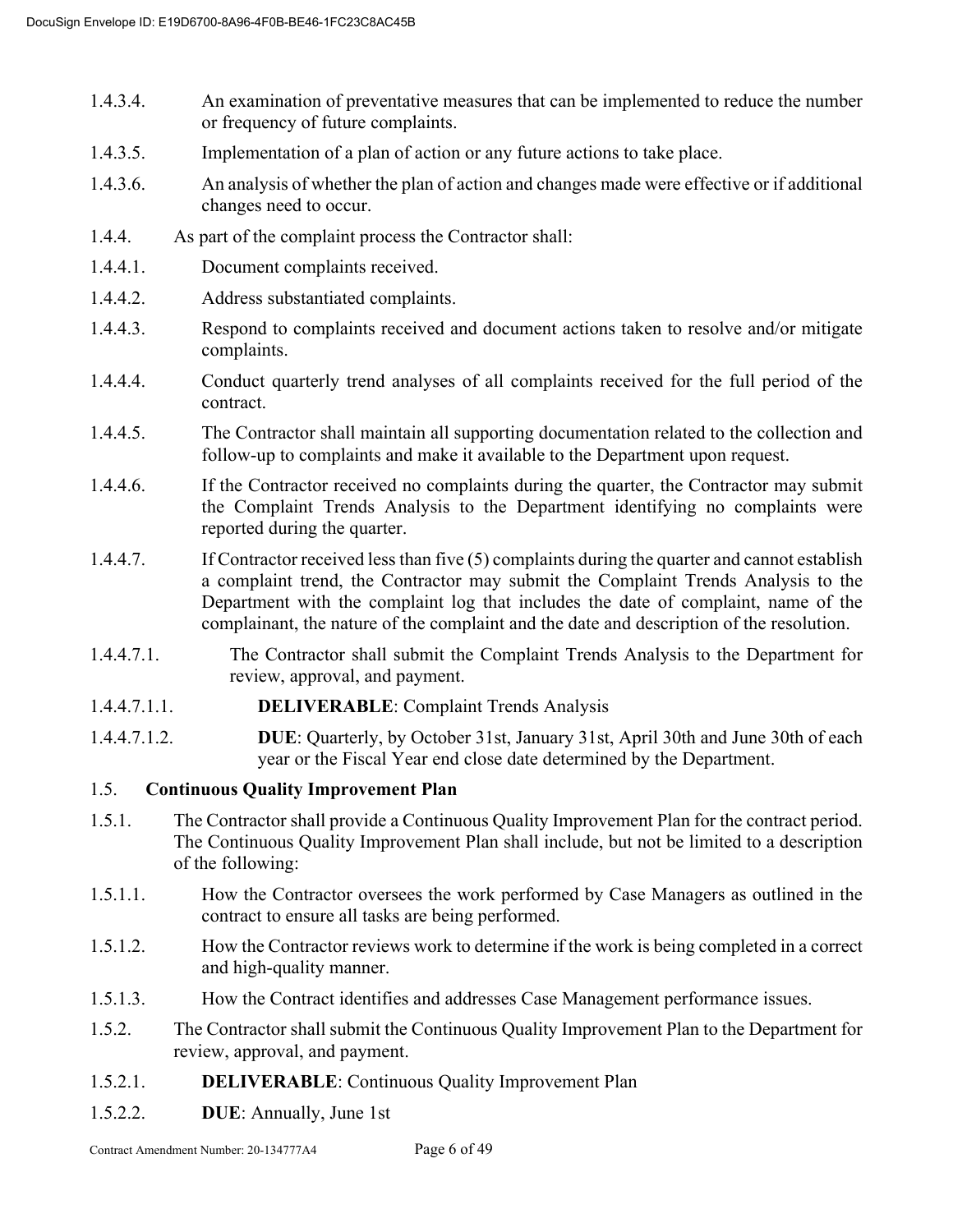- 1.4.3.4. An examination of preventative measures that can be implemented to reduce the number or frequency of future complaints.
- 1.4.3.5. Implementation of a plan of action or any future actions to take place.
- 1.4.3.6. An analysis of whether the plan of action and changes made were effective or if additional changes need to occur.
- 1.4.4. As part of the complaint process the Contractor shall:
- 1.4.4.1. Document complaints received.
- 1.4.4.2. Address substantiated complaints.
- 1.4.4.3. Respond to complaints received and document actions taken to resolve and/or mitigate complaints.
- 1.4.4.4. Conduct quarterly trend analyses of all complaints received for the full period of the contract.
- 1.4.4.5. The Contractor shall maintain all supporting documentation related to the collection and follow-up to complaints and make it available to the Department upon request.
- 1.4.4.6. If the Contractor received no complaints during the quarter, the Contractor may submit the Complaint Trends Analysis to the Department identifying no complaints were reported during the quarter.
- 1.4.4.7. If Contractor received less than five (5) complaints during the quarter and cannot establish a complaint trend, the Contractor may submit the Complaint Trends Analysis to the Department with the complaint log that includes the date of complaint, name of the complainant, the nature of the complaint and the date and description of the resolution.
- 1.4.4.7.1. The Contractor shall submit the Complaint Trends Analysis to the Department for review, approval, and payment.
- 1.4.4.7.1.1. **DELIVERABLE**: Complaint Trends Analysis
- 1.4.4.7.1.2. **DUE**: Quarterly, by October 31st, January 31st, April 30th and June 30th of each year or the Fiscal Year end close date determined by the Department.

# 1.5. **Continuous Quality Improvement Plan**

- 1.5.1. The Contractor shall provide a Continuous Quality Improvement Plan for the contract period. The Continuous Quality Improvement Plan shall include, but not be limited to a description of the following:
- 1.5.1.1. How the Contractor oversees the work performed by Case Managers as outlined in the contract to ensure all tasks are being performed.
- 1.5.1.2. How the Contractor reviews work to determine if the work is being completed in a correct and high-quality manner.
- 1.5.1.3. How the Contract identifies and addresses Case Management performance issues.
- 1.5.2. The Contractor shall submit the Continuous Quality Improvement Plan to the Department for review, approval, and payment.
- 1.5.2.1. **DELIVERABLE**: Continuous Quality Improvement Plan
- 1.5.2.2. **DUE**: Annually, June 1st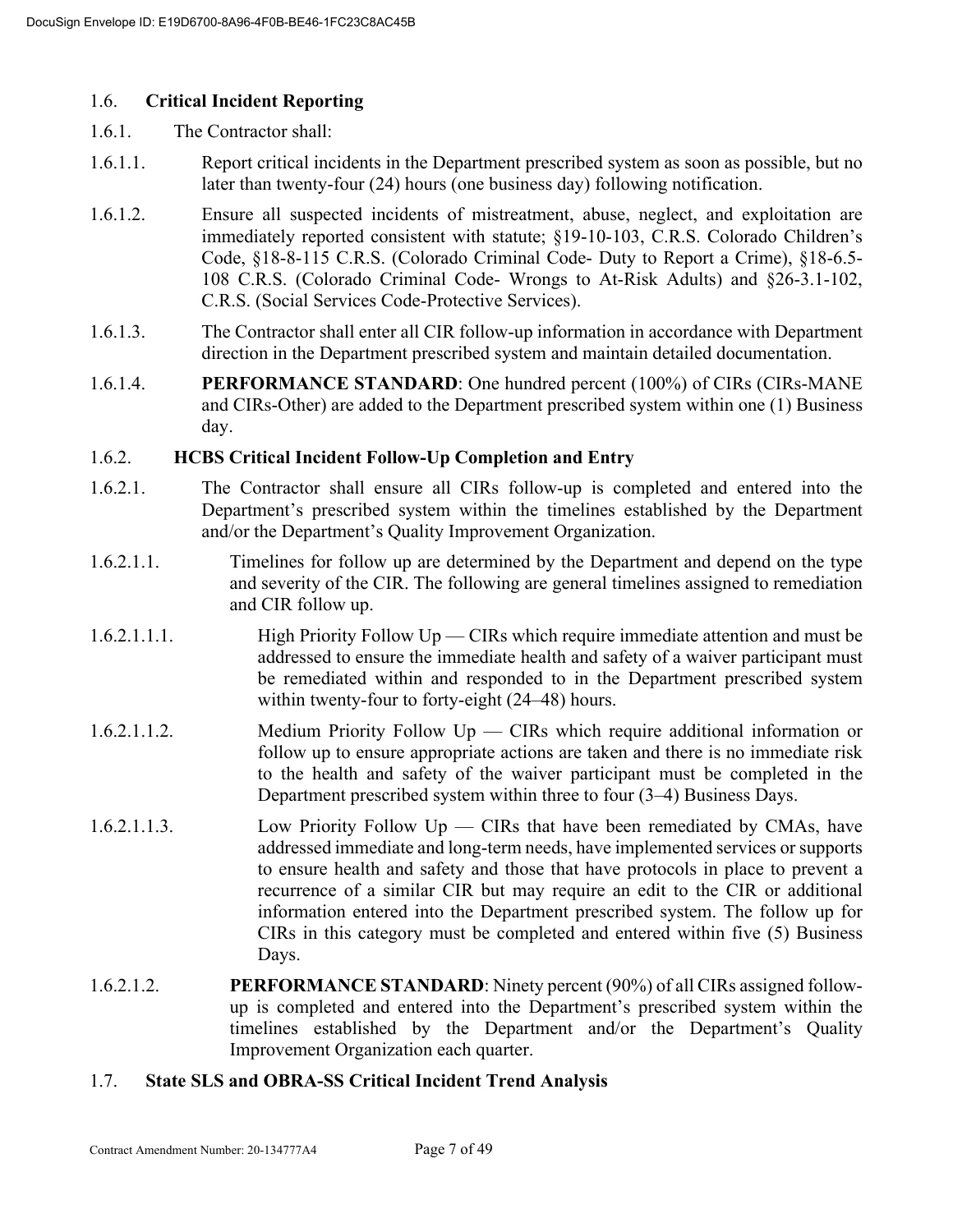# 1.6. **Critical Incident Reporting**

- 1.6.1. The Contractor shall:
- 1.6.1.1. Report critical incidents in the Department prescribed system as soon as possible, but no later than twenty-four (24) hours (one business day) following notification.
- 1.6.1.2. Ensure all suspected incidents of mistreatment, abuse, neglect, and exploitation are immediately reported consistent with statute; §19-10-103, C.R.S. Colorado Children's Code, §18-8-115 C.R.S. (Colorado Criminal Code- Duty to Report a Crime), §18-6.5- 108 C.R.S. (Colorado Criminal Code- Wrongs to At-Risk Adults) and §26-3.1-102, C.R.S. (Social Services Code-Protective Services).
- 1.6.1.3. The Contractor shall enter all CIR follow-up information in accordance with Department direction in the Department prescribed system and maintain detailed documentation.
- 1.6.1.4. **PERFORMANCE STANDARD**: One hundred percent (100%) of CIRs (CIRs-MANE and CIRs-Other) are added to the Department prescribed system within one (1) Business day.

# 1.6.2. **HCBS Critical Incident Follow-Up Completion and Entry**

- 1.6.2.1. The Contractor shall ensure all CIRs follow-up is completed and entered into the Department's prescribed system within the timelines established by the Department and/or the Department's Quality Improvement Organization.
- 1.6.2.1.1. Timelines for follow up are determined by the Department and depend on the type and severity of the CIR. The following are general timelines assigned to remediation and CIR follow up.
- 1.6.2.1.1.1. High Priority Follow Up CIRs which require immediate attention and must be addressed to ensure the immediate health and safety of a waiver participant must be remediated within and responded to in the Department prescribed system within twenty-four to forty-eight (24–48) hours.
- 1.6.2.1.1.2. Medium Priority Follow Up CIRs which require additional information or follow up to ensure appropriate actions are taken and there is no immediate risk to the health and safety of the waiver participant must be completed in the Department prescribed system within three to four (3–4) Business Days.
- 1.6.2.1.1.3. Low Priority Follow Up CIRs that have been remediated by CMAs, have addressed immediate and long-term needs, have implemented services or supports to ensure health and safety and those that have protocols in place to prevent a recurrence of a similar CIR but may require an edit to the CIR or additional information entered into the Department prescribed system. The follow up for CIRs in this category must be completed and entered within five (5) Business Days.
- 1.6.2.1.2. **PERFORMANCE STANDARD**: Ninety percent (90%) of all CIRs assigned followup is completed and entered into the Department's prescribed system within the timelines established by the Department and/or the Department's Quality Improvement Organization each quarter.

# 1.7. **State SLS and OBRA-SS Critical Incident Trend Analysis**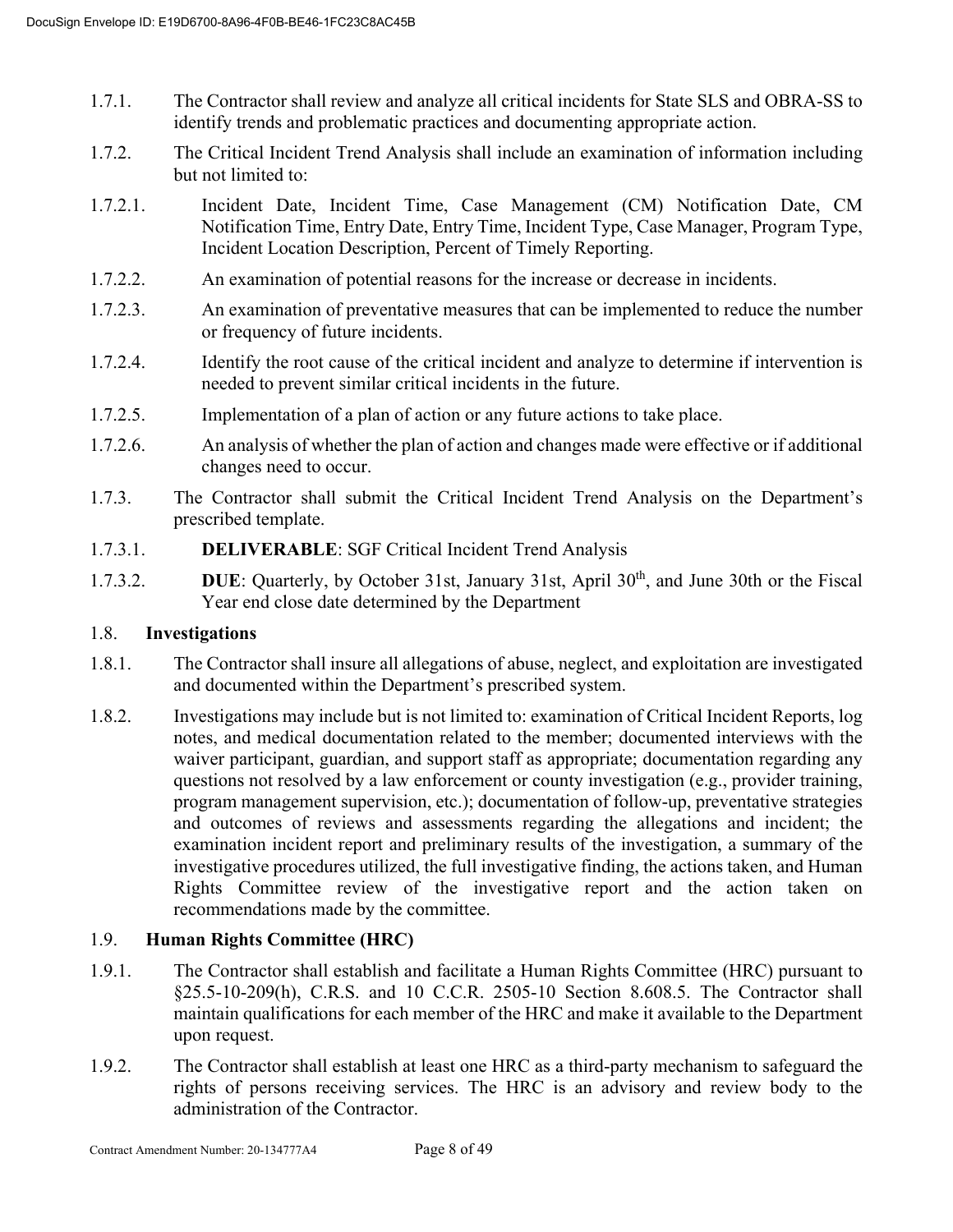- 1.7.1. The Contractor shall review and analyze all critical incidents for State SLS and OBRA-SS to identify trends and problematic practices and documenting appropriate action.
- 1.7.2. The Critical Incident Trend Analysis shall include an examination of information including but not limited to:
- 1.7.2.1. Incident Date, Incident Time, Case Management (CM) Notification Date, CM Notification Time, Entry Date, Entry Time, Incident Type, Case Manager, Program Type, Incident Location Description, Percent of Timely Reporting.
- 1.7.2.2. An examination of potential reasons for the increase or decrease in incidents.
- 1.7.2.3. An examination of preventative measures that can be implemented to reduce the number or frequency of future incidents.
- 1.7.2.4. Identify the root cause of the critical incident and analyze to determine if intervention is needed to prevent similar critical incidents in the future.
- 1.7.2.5. Implementation of a plan of action or any future actions to take place.
- 1.7.2.6. An analysis of whether the plan of action and changes made were effective or if additional changes need to occur.
- 1.7.3. The Contractor shall submit the Critical Incident Trend Analysis on the Department's prescribed template.
- 1.7.3.1. **DELIVERABLE**: SGF Critical Incident Trend Analysis
- 1.7.3.2. **DUE**: Quarterly, by October 31st, January 31st, April 30<sup>th</sup>, and June 30th or the Fiscal Year end close date determined by the Department

# 1.8. **Investigations**

- 1.8.1. The Contractor shall insure all allegations of abuse, neglect, and exploitation are investigated and documented within the Department's prescribed system.
- 1.8.2. Investigations may include but is not limited to: examination of Critical Incident Reports, log notes, and medical documentation related to the member; documented interviews with the waiver participant, guardian, and support staff as appropriate; documentation regarding any questions not resolved by a law enforcement or county investigation (e.g., provider training, program management supervision, etc.); documentation of follow-up, preventative strategies and outcomes of reviews and assessments regarding the allegations and incident; the examination incident report and preliminary results of the investigation, a summary of the investigative procedures utilized, the full investigative finding, the actions taken, and Human Rights Committee review of the investigative report and the action taken on recommendations made by the committee.

# 1.9. **Human Rights Committee (HRC)**

- 1.9.1. The Contractor shall establish and facilitate a Human Rights Committee (HRC) pursuant to §25.5-10-209(h), C.R.S. and 10 C.C.R. 2505-10 Section 8.608.5. The Contractor shall maintain qualifications for each member of the HRC and make it available to the Department upon request.
- 1.9.2. The Contractor shall establish at least one HRC as a third-party mechanism to safeguard the rights of persons receiving services. The HRC is an advisory and review body to the administration of the Contractor.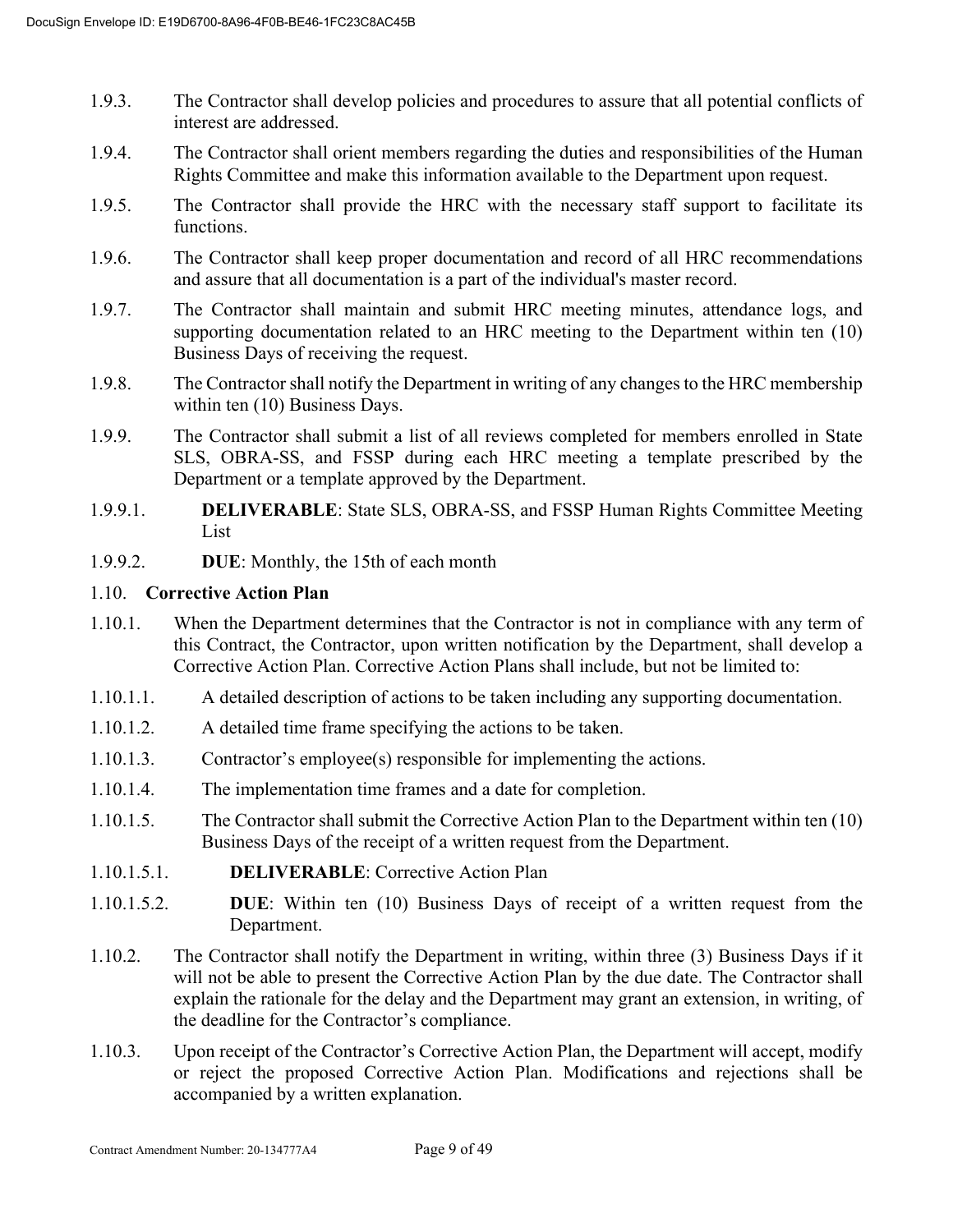- 1.9.3. The Contractor shall develop policies and procedures to assure that all potential conflicts of interest are addressed.
- 1.9.4. The Contractor shall orient members regarding the duties and responsibilities of the Human Rights Committee and make this information available to the Department upon request.
- 1.9.5. The Contractor shall provide the HRC with the necessary staff support to facilitate its functions.
- 1.9.6. The Contractor shall keep proper documentation and record of all HRC recommendations and assure that all documentation is a part of the individual's master record.
- 1.9.7. The Contractor shall maintain and submit HRC meeting minutes, attendance logs, and supporting documentation related to an HRC meeting to the Department within ten (10) Business Days of receiving the request.
- 1.9.8. The Contractor shall notify the Department in writing of any changes to the HRC membership within ten (10) Business Days.
- 1.9.9. The Contractor shall submit a list of all reviews completed for members enrolled in State SLS, OBRA-SS, and FSSP during each HRC meeting a template prescribed by the Department or a template approved by the Department.
- 1.9.9.1. **DELIVERABLE**: State SLS, OBRA-SS, and FSSP Human Rights Committee Meeting List
- 1.9.9.2. **DUE**: Monthly, the 15th of each month

# 1.10. **Corrective Action Plan**

- 1.10.1. When the Department determines that the Contractor is not in compliance with any term of this Contract, the Contractor, upon written notification by the Department, shall develop a Corrective Action Plan. Corrective Action Plans shall include, but not be limited to:
- 1.10.1.1. A detailed description of actions to be taken including any supporting documentation.
- 1.10.1.2. A detailed time frame specifying the actions to be taken.
- 1.10.1.3. Contractor's employee(s) responsible for implementing the actions.
- 1.10.1.4. The implementation time frames and a date for completion.
- 1.10.1.5. The Contractor shall submit the Corrective Action Plan to the Department within ten (10) Business Days of the receipt of a written request from the Department.
- 1.10.1.5.1. **DELIVERABLE**: Corrective Action Plan
- 1.10.1.5.2. **DUE**: Within ten (10) Business Days of receipt of a written request from the Department.
- 1.10.2. The Contractor shall notify the Department in writing, within three (3) Business Days if it will not be able to present the Corrective Action Plan by the due date. The Contractor shall explain the rationale for the delay and the Department may grant an extension, in writing, of the deadline for the Contractor's compliance.
- 1.10.3. Upon receipt of the Contractor's Corrective Action Plan, the Department will accept, modify or reject the proposed Corrective Action Plan. Modifications and rejections shall be accompanied by a written explanation.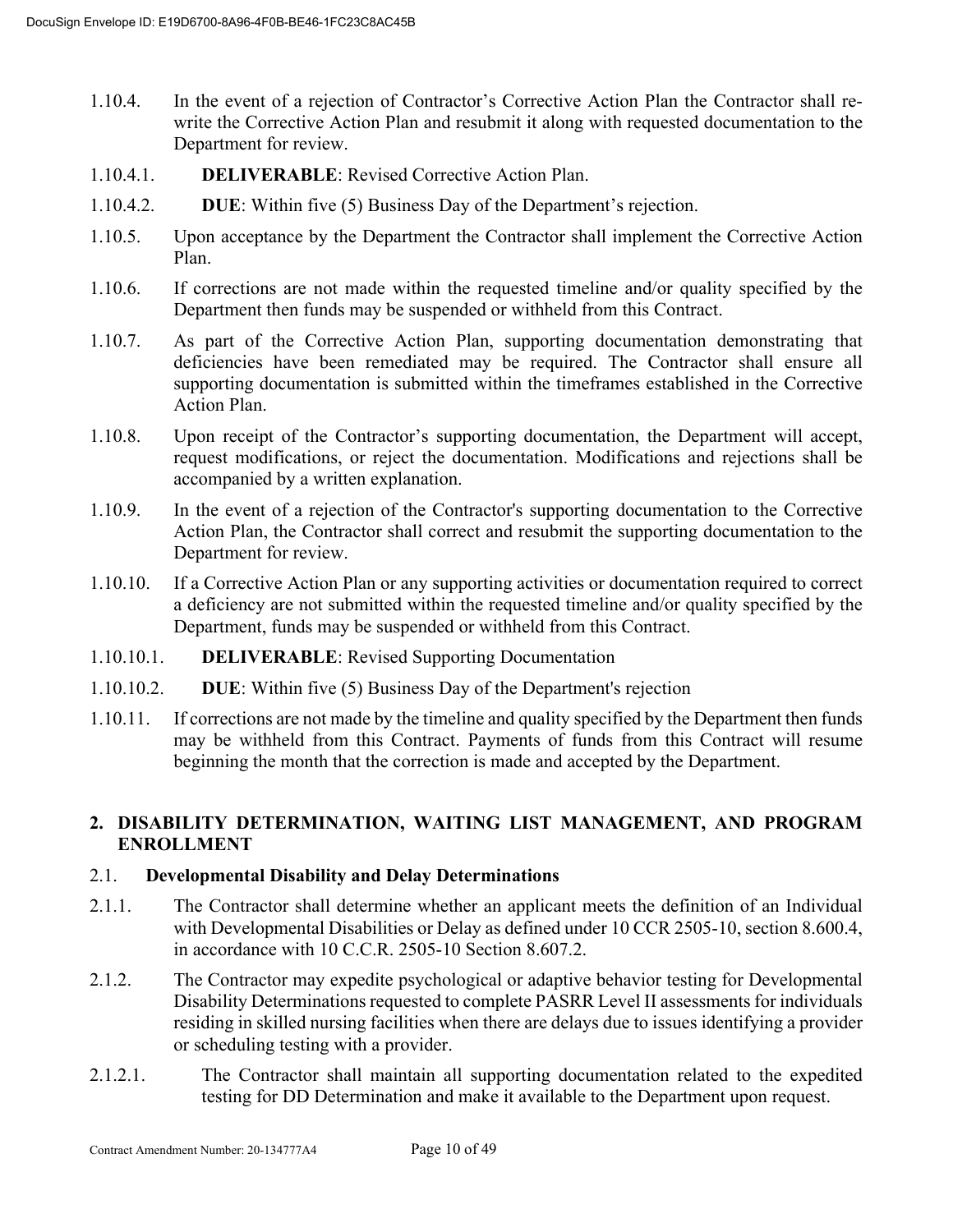- 1.10.4. In the event of a rejection of Contractor's Corrective Action Plan the Contractor shall rewrite the Corrective Action Plan and resubmit it along with requested documentation to the Department for review.
- 1.10.4.1. **DELIVERABLE**: Revised Corrective Action Plan.
- 1.10.4.2. **DUE**: Within five (5) Business Day of the Department's rejection.
- 1.10.5. Upon acceptance by the Department the Contractor shall implement the Corrective Action Plan.
- 1.10.6. If corrections are not made within the requested timeline and/or quality specified by the Department then funds may be suspended or withheld from this Contract.
- 1.10.7. As part of the Corrective Action Plan, supporting documentation demonstrating that deficiencies have been remediated may be required. The Contractor shall ensure all supporting documentation is submitted within the timeframes established in the Corrective Action Plan.
- 1.10.8. Upon receipt of the Contractor's supporting documentation, the Department will accept, request modifications, or reject the documentation. Modifications and rejections shall be accompanied by a written explanation.
- 1.10.9. In the event of a rejection of the Contractor's supporting documentation to the Corrective Action Plan, the Contractor shall correct and resubmit the supporting documentation to the Department for review.
- 1.10.10. If a Corrective Action Plan or any supporting activities or documentation required to correct a deficiency are not submitted within the requested timeline and/or quality specified by the Department, funds may be suspended or withheld from this Contract.
- 1.10.10.1. **DELIVERABLE**: Revised Supporting Documentation
- 1.10.10.2. **DUE**: Within five (5) Business Day of the Department's rejection
- 1.10.11. If corrections are not made by the timeline and quality specified by the Department then funds may be withheld from this Contract. Payments of funds from this Contract will resume beginning the month that the correction is made and accepted by the Department.

# **2. DISABILITY DETERMINATION, WAITING LIST MANAGEMENT, AND PROGRAM ENROLLMENT**

#### 2.1. **Developmental Disability and Delay Determinations**

- 2.1.1. The Contractor shall determine whether an applicant meets the definition of an Individual with Developmental Disabilities or Delay as defined under 10 CCR 2505-10, section 8.600.4, in accordance with 10 C.C.R. 2505-10 Section 8.607.2.
- 2.1.2. The Contractor may expedite psychological or adaptive behavior testing for Developmental Disability Determinations requested to complete PASRR Level II assessments for individuals residing in skilled nursing facilities when there are delays due to issues identifying a provider or scheduling testing with a provider.
- 2.1.2.1. The Contractor shall maintain all supporting documentation related to the expedited testing for DD Determination and make it available to the Department upon request.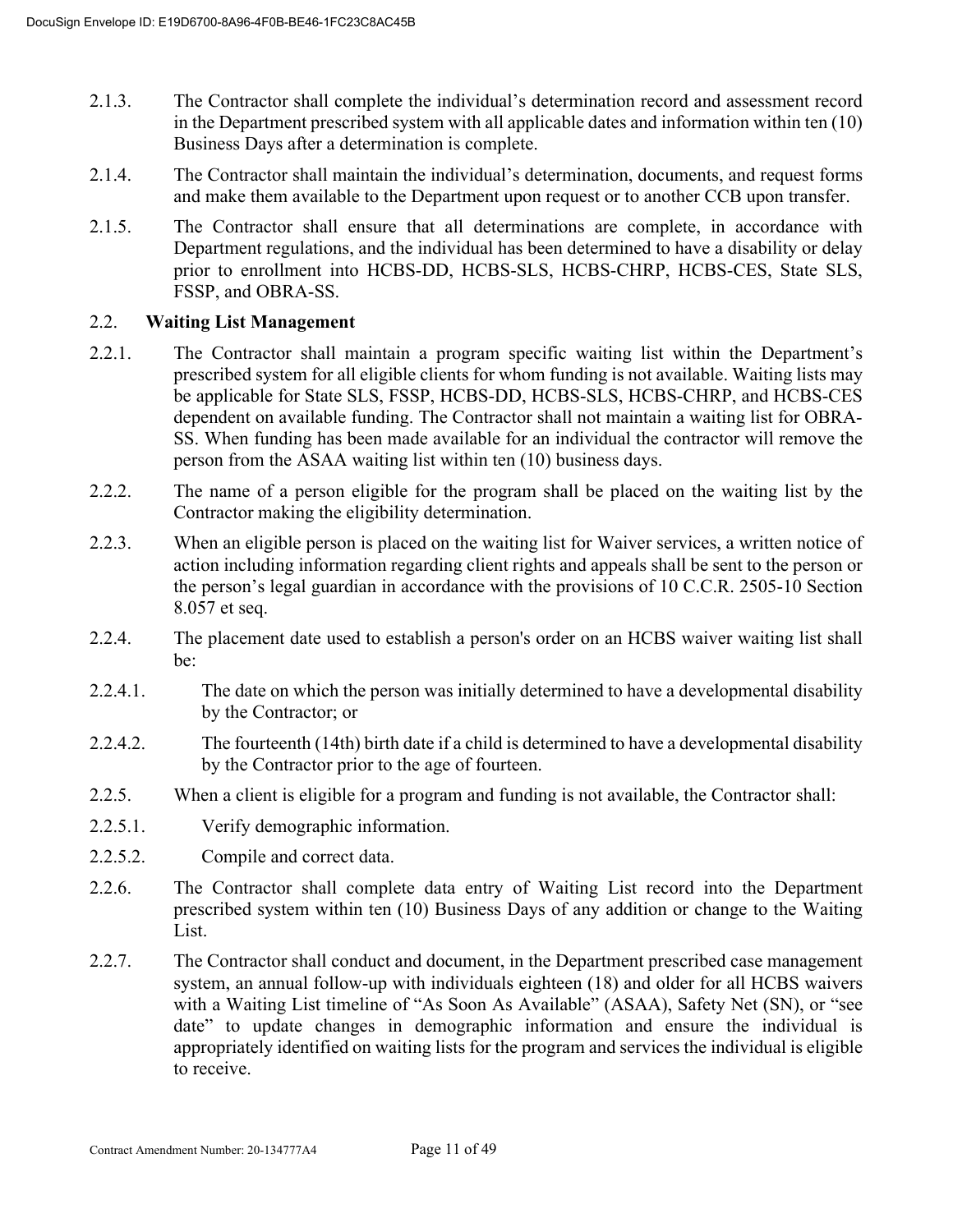- 2.1.3. The Contractor shall complete the individual's determination record and assessment record in the Department prescribed system with all applicable dates and information within ten (10) Business Days after a determination is complete.
- 2.1.4. The Contractor shall maintain the individual's determination, documents, and request forms and make them available to the Department upon request or to another CCB upon transfer.
- 2.1.5. The Contractor shall ensure that all determinations are complete, in accordance with Department regulations, and the individual has been determined to have a disability or delay prior to enrollment into HCBS-DD, HCBS-SLS, HCBS-CHRP, HCBS-CES, State SLS, FSSP, and OBRA-SS.

# 2.2. **Waiting List Management**

- 2.2.1. The Contractor shall maintain a program specific waiting list within the Department's prescribed system for all eligible clients for whom funding is not available. Waiting lists may be applicable for State SLS, FSSP, HCBS-DD, HCBS-SLS, HCBS-CHRP, and HCBS-CES dependent on available funding. The Contractor shall not maintain a waiting list for OBRA-SS. When funding has been made available for an individual the contractor will remove the person from the ASAA waiting list within ten (10) business days.
- 2.2.2. The name of a person eligible for the program shall be placed on the waiting list by the Contractor making the eligibility determination.
- 2.2.3. When an eligible person is placed on the waiting list for Waiver services, a written notice of action including information regarding client rights and appeals shall be sent to the person or the person's legal guardian in accordance with the provisions of 10 C.C.R. 2505-10 Section 8.057 et seq.
- 2.2.4. The placement date used to establish a person's order on an HCBS waiver waiting list shall be:
- 2.2.4.1. The date on which the person was initially determined to have a developmental disability by the Contractor; or
- 2.2.4.2. The fourteenth (14th) birth date if a child is determined to have a developmental disability by the Contractor prior to the age of fourteen.
- 2.2.5. When a client is eligible for a program and funding is not available, the Contractor shall:
- 2.2.5.1. Verify demographic information.
- 2.2.5.2. Compile and correct data.
- 2.2.6. The Contractor shall complete data entry of Waiting List record into the Department prescribed system within ten (10) Business Days of any addition or change to the Waiting List.
- 2.2.7. The Contractor shall conduct and document, in the Department prescribed case management system, an annual follow-up with individuals eighteen (18) and older for all HCBS waivers with a Waiting List timeline of "As Soon As Available" (ASAA), Safety Net (SN), or "see date" to update changes in demographic information and ensure the individual is appropriately identified on waiting lists for the program and services the individual is eligible to receive.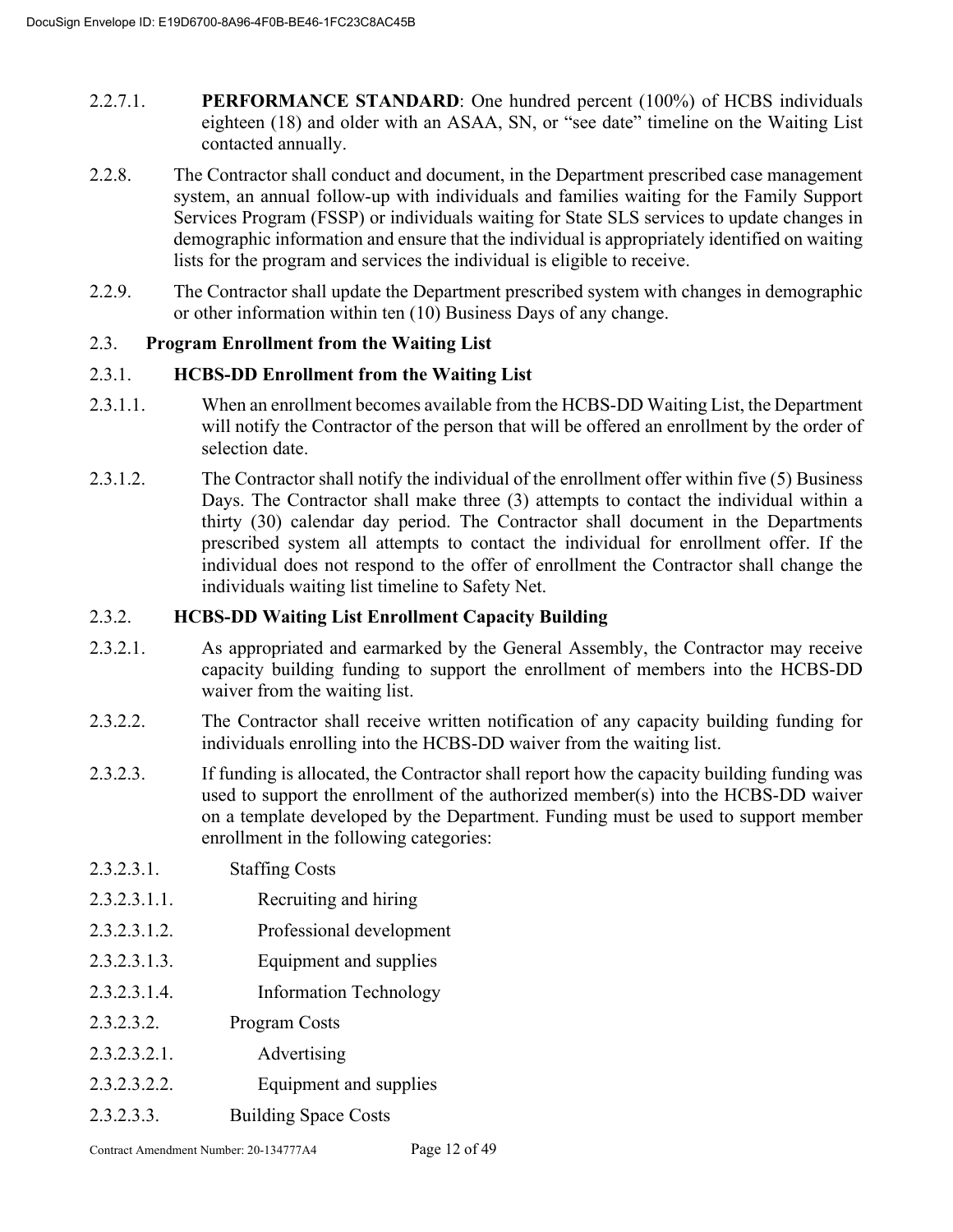- 2.2.7.1. **PERFORMANCE STANDARD**: One hundred percent (100%) of HCBS individuals eighteen (18) and older with an ASAA, SN, or "see date" timeline on the Waiting List contacted annually.
- 2.2.8. The Contractor shall conduct and document, in the Department prescribed case management system, an annual follow-up with individuals and families waiting for the Family Support Services Program (FSSP) or individuals waiting for State SLS services to update changes in demographic information and ensure that the individual is appropriately identified on waiting lists for the program and services the individual is eligible to receive.
- 2.2.9. The Contractor shall update the Department prescribed system with changes in demographic or other information within ten (10) Business Days of any change.

# 2.3. **Program Enrollment from the Waiting List**

# 2.3.1. **HCBS-DD Enrollment from the Waiting List**

- 2.3.1.1. When an enrollment becomes available from the HCBS-DD Waiting List, the Department will notify the Contractor of the person that will be offered an enrollment by the order of selection date.
- 2.3.1.2. The Contractor shall notify the individual of the enrollment offer within five (5) Business Days. The Contractor shall make three (3) attempts to contact the individual within a thirty (30) calendar day period. The Contractor shall document in the Departments prescribed system all attempts to contact the individual for enrollment offer. If the individual does not respond to the offer of enrollment the Contractor shall change the individuals waiting list timeline to Safety Net.

# 2.3.2. **HCBS-DD Waiting List Enrollment Capacity Building**

- 2.3.2.1. As appropriated and earmarked by the General Assembly, the Contractor may receive capacity building funding to support the enrollment of members into the HCBS-DD waiver from the waiting list.
- 2.3.2.2. The Contractor shall receive written notification of any capacity building funding for individuals enrolling into the HCBS-DD waiver from the waiting list.
- 2.3.2.3. If funding is allocated, the Contractor shall report how the capacity building funding was used to support the enrollment of the authorized member(s) into the HCBS-DD waiver on a template developed by the Department. Funding must be used to support member enrollment in the following categories:
- 2.3.2.3.1. Staffing Costs
- 2.3.2.3.1.1. Recruiting and hiring
- 2.3.2.3.1.2. Professional development
- 2.3.2.3.1.3. Equipment and supplies
- 2.3.2.3.1.4. Information Technology
- 2.3.2.3.2. Program Costs
- 2.3.2.3.2.1. Advertising
- 2.3.2.3.2.2. Equipment and supplies
- 2.3.2.3.3. Building Space Costs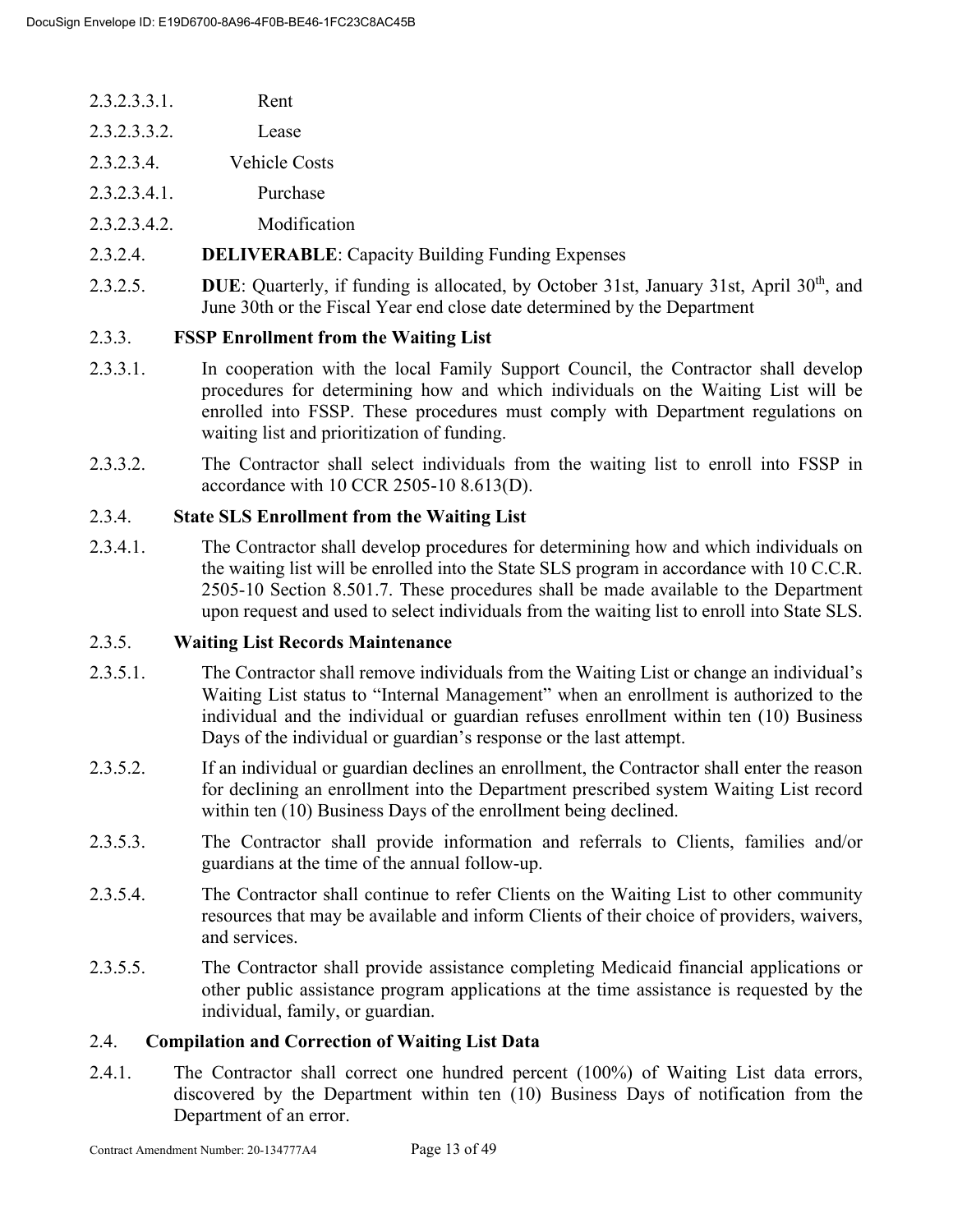- 2.3.2.3.3.1. Rent 2.3.2.3.3.2. Lease
- 2.3.2.3.4. Vehicle Costs
- 2.3.2.3.4.1. Purchase
- 2.3.2.3.4.2. Modification
- 2.3.2.4. **DELIVERABLE**: Capacity Building Funding Expenses
- 2.3.2.5. **DUE**: Quarterly, if funding is allocated, by October 31st, January 31st, April 30<sup>th</sup>, and June 30th or the Fiscal Year end close date determined by the Department

# 2.3.3. **FSSP Enrollment from the Waiting List**

- 2.3.3.1. In cooperation with the local Family Support Council, the Contractor shall develop procedures for determining how and which individuals on the Waiting List will be enrolled into FSSP. These procedures must comply with Department regulations on waiting list and prioritization of funding.
- 2.3.3.2. The Contractor shall select individuals from the waiting list to enroll into FSSP in accordance with 10 CCR 2505-10 8.613(D).

# 2.3.4. **State SLS Enrollment from the Waiting List**

2.3.4.1. The Contractor shall develop procedures for determining how and which individuals on the waiting list will be enrolled into the State SLS program in accordance with 10 C.C.R. 2505-10 Section 8.501.7. These procedures shall be made available to the Department upon request and used to select individuals from the waiting list to enroll into State SLS.

# 2.3.5. **Waiting List Records Maintenance**

- 2.3.5.1. The Contractor shall remove individuals from the Waiting List or change an individual's Waiting List status to "Internal Management" when an enrollment is authorized to the individual and the individual or guardian refuses enrollment within ten (10) Business Days of the individual or guardian's response or the last attempt.
- 2.3.5.2. If an individual or guardian declines an enrollment, the Contractor shall enter the reason for declining an enrollment into the Department prescribed system Waiting List record within ten (10) Business Days of the enrollment being declined.
- 2.3.5.3. The Contractor shall provide information and referrals to Clients, families and/or guardians at the time of the annual follow-up.
- 2.3.5.4. The Contractor shall continue to refer Clients on the Waiting List to other community resources that may be available and inform Clients of their choice of providers, waivers, and services.
- 2.3.5.5. The Contractor shall provide assistance completing Medicaid financial applications or other public assistance program applications at the time assistance is requested by the individual, family, or guardian.

# 2.4. **Compilation and Correction of Waiting List Data**

2.4.1. The Contractor shall correct one hundred percent (100%) of Waiting List data errors, discovered by the Department within ten (10) Business Days of notification from the Department of an error.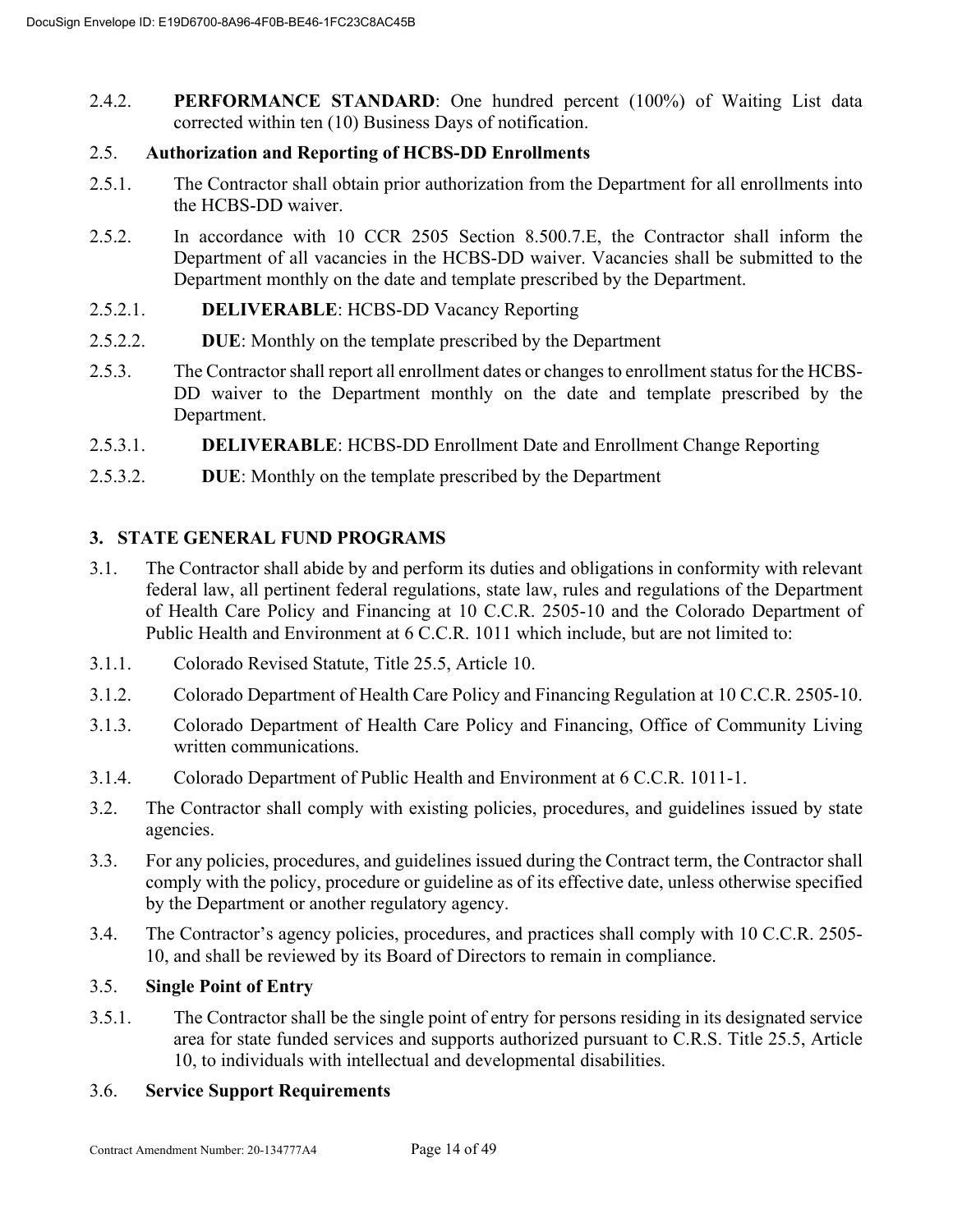2.4.2. **PERFORMANCE STANDARD**: One hundred percent (100%) of Waiting List data corrected within ten (10) Business Days of notification.

# 2.5. **Authorization and Reporting of HCBS-DD Enrollments**

- 2.5.1. The Contractor shall obtain prior authorization from the Department for all enrollments into the HCBS-DD waiver.
- 2.5.2. In accordance with 10 CCR 2505 Section 8.500.7.E, the Contractor shall inform the Department of all vacancies in the HCBS-DD waiver. Vacancies shall be submitted to the Department monthly on the date and template prescribed by the Department.
- 2.5.2.1. **DELIVERABLE**: HCBS-DD Vacancy Reporting
- 2.5.2.2. **DUE**: Monthly on the template prescribed by the Department
- 2.5.3. The Contractor shall report all enrollment dates or changes to enrollment status for the HCBS-DD waiver to the Department monthly on the date and template prescribed by the Department.
- 2.5.3.1. **DELIVERABLE**: HCBS-DD Enrollment Date and Enrollment Change Reporting
- 2.5.3.2. **DUE**: Monthly on the template prescribed by the Department

# **3. STATE GENERAL FUND PROGRAMS**

- 3.1. The Contractor shall abide by and perform its duties and obligations in conformity with relevant federal law, all pertinent federal regulations, state law, rules and regulations of the Department of Health Care Policy and Financing at 10 C.C.R. 2505-10 and the Colorado Department of Public Health and Environment at 6 C.C.R. 1011 which include, but are not limited to:
- 3.1.1. Colorado Revised Statute, Title 25.5, Article 10.
- 3.1.2. Colorado Department of Health Care Policy and Financing Regulation at 10 C.C.R. 2505-10.
- 3.1.3. Colorado Department of Health Care Policy and Financing, Office of Community Living written communications.
- 3.1.4. Colorado Department of Public Health and Environment at 6 C.C.R. 1011-1.
- 3.2. The Contractor shall comply with existing policies, procedures, and guidelines issued by state agencies.
- 3.3. For any policies, procedures, and guidelines issued during the Contract term, the Contractor shall comply with the policy, procedure or guideline as of its effective date, unless otherwise specified by the Department or another regulatory agency.
- 3.4. The Contractor's agency policies, procedures, and practices shall comply with 10 C.C.R. 2505- 10, and shall be reviewed by its Board of Directors to remain in compliance.

# 3.5. **Single Point of Entry**

3.5.1. The Contractor shall be the single point of entry for persons residing in its designated service area for state funded services and supports authorized pursuant to C.R.S. Title 25.5, Article 10, to individuals with intellectual and developmental disabilities.

# 3.6. **Service Support Requirements**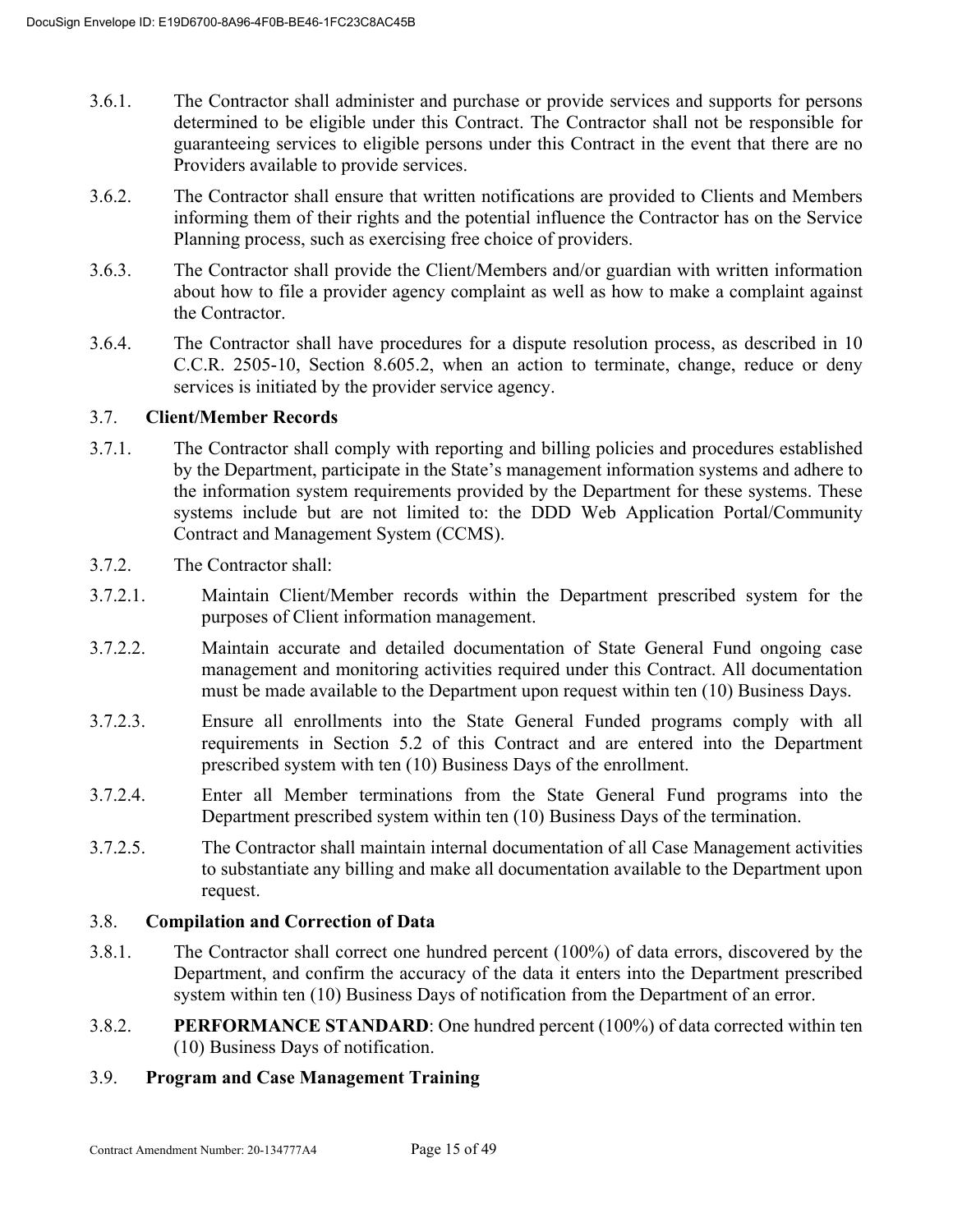- 3.6.1. The Contractor shall administer and purchase or provide services and supports for persons determined to be eligible under this Contract. The Contractor shall not be responsible for guaranteeing services to eligible persons under this Contract in the event that there are no Providers available to provide services.
- 3.6.2. The Contractor shall ensure that written notifications are provided to Clients and Members informing them of their rights and the potential influence the Contractor has on the Service Planning process, such as exercising free choice of providers.
- 3.6.3. The Contractor shall provide the Client/Members and/or guardian with written information about how to file a provider agency complaint as well as how to make a complaint against the Contractor.
- 3.6.4. The Contractor shall have procedures for a dispute resolution process, as described in 10 C.C.R. 2505-10, Section 8.605.2, when an action to terminate, change, reduce or deny services is initiated by the provider service agency.

# 3.7. **Client/Member Records**

- 3.7.1. The Contractor shall comply with reporting and billing policies and procedures established by the Department, participate in the State's management information systems and adhere to the information system requirements provided by the Department for these systems. These systems include but are not limited to: the DDD Web Application Portal/Community Contract and Management System (CCMS).
- 3.7.2. The Contractor shall:
- 3.7.2.1. Maintain Client/Member records within the Department prescribed system for the purposes of Client information management.
- 3.7.2.2. Maintain accurate and detailed documentation of State General Fund ongoing case management and monitoring activities required under this Contract. All documentation must be made available to the Department upon request within ten (10) Business Days.
- 3.7.2.3. Ensure all enrollments into the State General Funded programs comply with all requirements in Section 5.2 of this Contract and are entered into the Department prescribed system with ten (10) Business Days of the enrollment.
- 3.7.2.4. Enter all Member terminations from the State General Fund programs into the Department prescribed system within ten (10) Business Days of the termination.
- 3.7.2.5. The Contractor shall maintain internal documentation of all Case Management activities to substantiate any billing and make all documentation available to the Department upon request.

# 3.8. **Compilation and Correction of Data**

- 3.8.1. The Contractor shall correct one hundred percent (100%) of data errors, discovered by the Department, and confirm the accuracy of the data it enters into the Department prescribed system within ten (10) Business Days of notification from the Department of an error.
- 3.8.2. **PERFORMANCE STANDARD**: One hundred percent (100%) of data corrected within ten (10) Business Days of notification.

# 3.9. **Program and Case Management Training**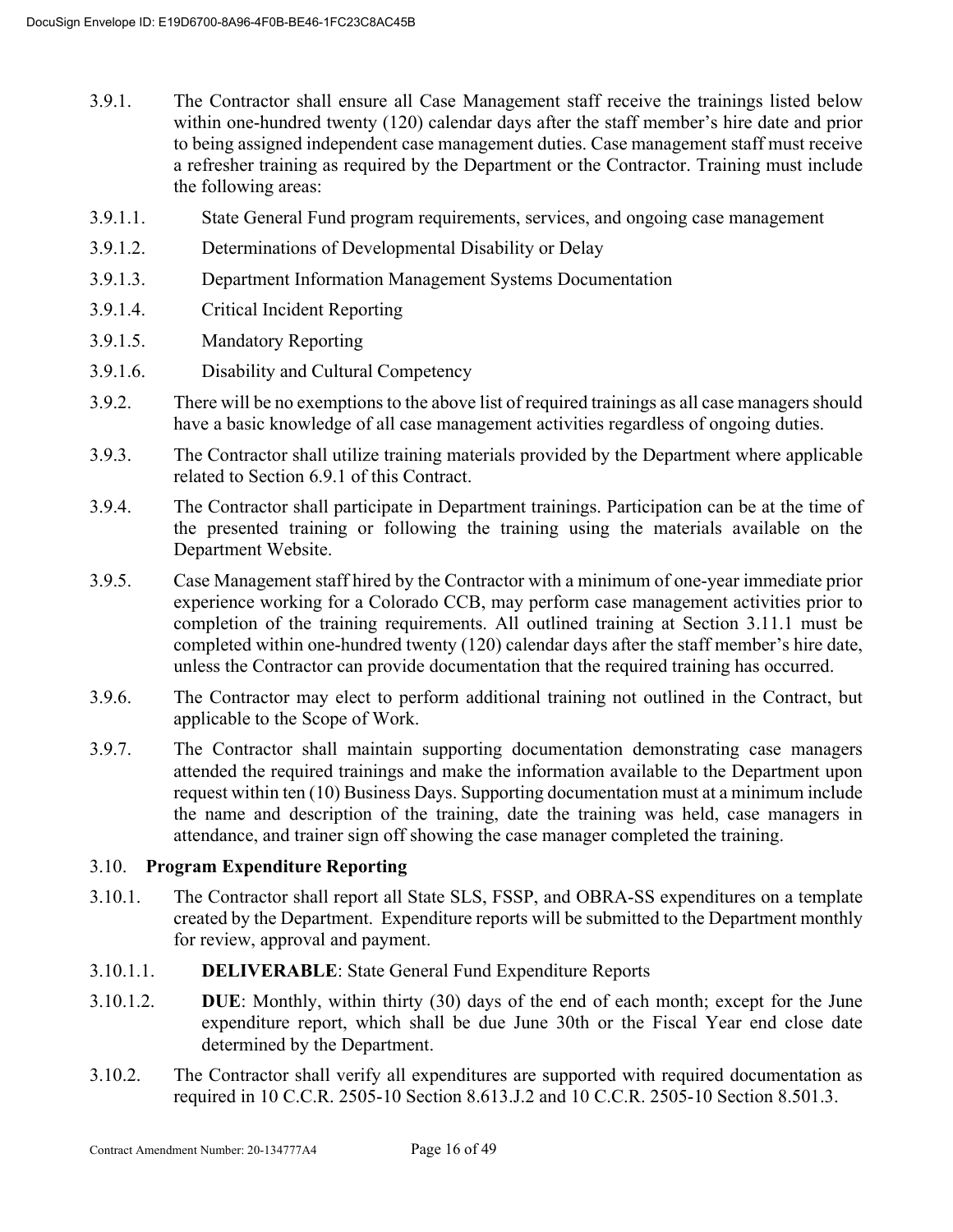- 3.9.1. The Contractor shall ensure all Case Management staff receive the trainings listed below within one-hundred twenty (120) calendar days after the staff member's hire date and prior to being assigned independent case management duties. Case management staff must receive a refresher training as required by the Department or the Contractor. Training must include the following areas:
- 3.9.1.1. State General Fund program requirements, services, and ongoing case management
- 3.9.1.2. Determinations of Developmental Disability or Delay
- 3.9.1.3. Department Information Management Systems Documentation
- 3.9.1.4. Critical Incident Reporting
- 3.9.1.5. Mandatory Reporting
- 3.9.1.6. Disability and Cultural Competency
- 3.9.2. There will be no exemptions to the above list of required trainings as all case managers should have a basic knowledge of all case management activities regardless of ongoing duties.
- 3.9.3. The Contractor shall utilize training materials provided by the Department where applicable related to Section 6.9.1 of this Contract.
- 3.9.4. The Contractor shall participate in Department trainings. Participation can be at the time of the presented training or following the training using the materials available on the Department Website.
- 3.9.5. Case Management staff hired by the Contractor with a minimum of one-year immediate prior experience working for a Colorado CCB, may perform case management activities prior to completion of the training requirements. All outlined training at Section 3.11.1 must be completed within one-hundred twenty (120) calendar days after the staff member's hire date, unless the Contractor can provide documentation that the required training has occurred.
- 3.9.6. The Contractor may elect to perform additional training not outlined in the Contract, but applicable to the Scope of Work.
- 3.9.7. The Contractor shall maintain supporting documentation demonstrating case managers attended the required trainings and make the information available to the Department upon request within ten (10) Business Days. Supporting documentation must at a minimum include the name and description of the training, date the training was held, case managers in attendance, and trainer sign off showing the case manager completed the training.

# 3.10. **Program Expenditure Reporting**

- 3.10.1. The Contractor shall report all State SLS, FSSP, and OBRA-SS expenditures on a template created by the Department. Expenditure reports will be submitted to the Department monthly for review, approval and payment.
- 3.10.1.1. **DELIVERABLE**: State General Fund Expenditure Reports
- 3.10.1.2. **DUE**: Monthly, within thirty (30) days of the end of each month; except for the June expenditure report, which shall be due June 30th or the Fiscal Year end close date determined by the Department.
- 3.10.2. The Contractor shall verify all expenditures are supported with required documentation as required in 10 C.C.R. 2505-10 Section 8.613.J.2 and 10 C.C.R. 2505-10 Section 8.501.3.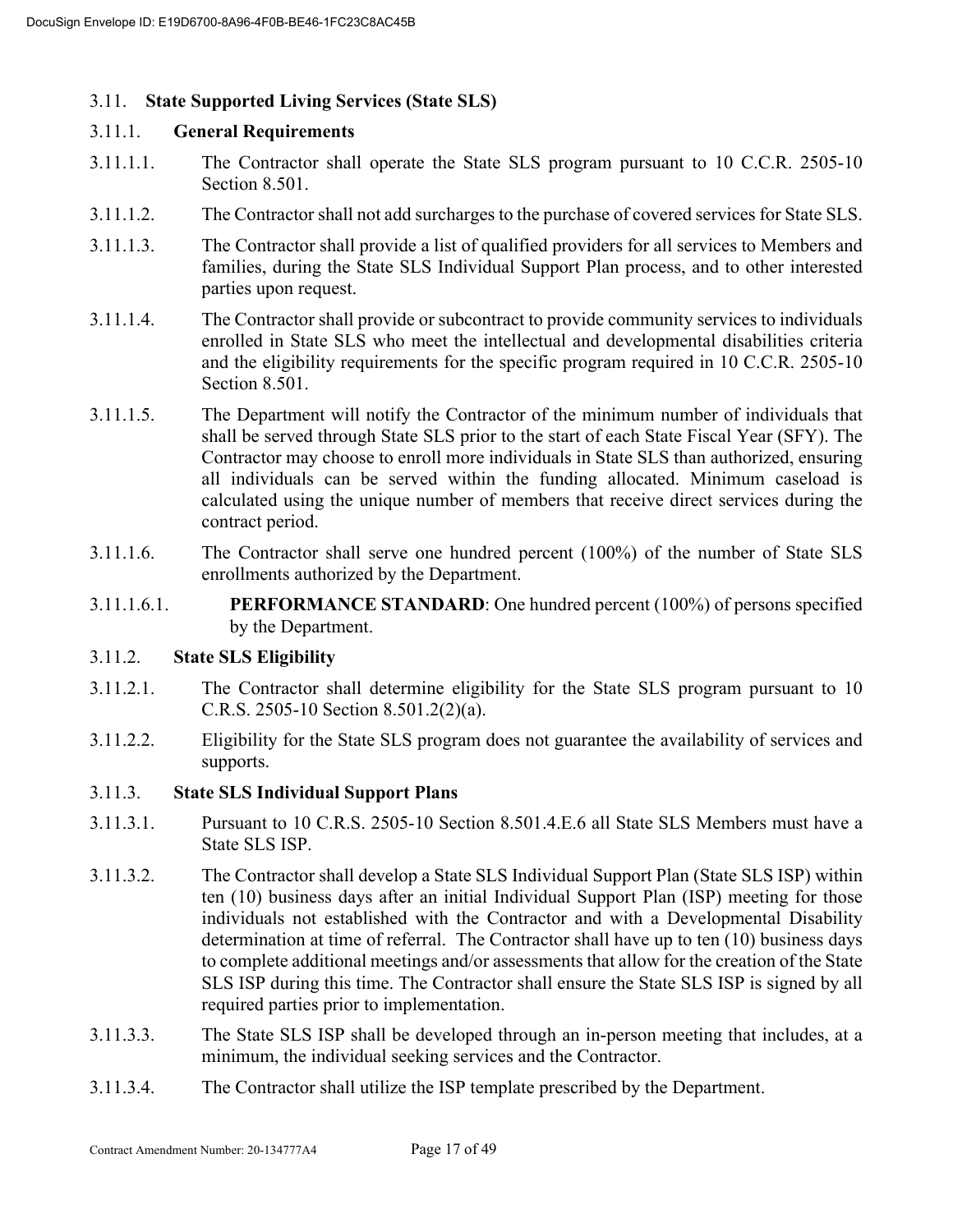# 3.11. **State Supported Living Services (State SLS)**

#### 3.11.1. **General Requirements**

- 3.11.1.1. The Contractor shall operate the State SLS program pursuant to 10 C.C.R. 2505-10 Section 8.501.
- 3.11.1.2. The Contractor shall not add surcharges to the purchase of covered services for State SLS.
- 3.11.1.3. The Contractor shall provide a list of qualified providers for all services to Members and families, during the State SLS Individual Support Plan process, and to other interested parties upon request.
- 3.11.1.4. The Contractor shall provide or subcontract to provide community services to individuals enrolled in State SLS who meet the intellectual and developmental disabilities criteria and the eligibility requirements for the specific program required in 10 C.C.R. 2505-10 Section 8.501.
- 3.11.1.5. The Department will notify the Contractor of the minimum number of individuals that shall be served through State SLS prior to the start of each State Fiscal Year (SFY). The Contractor may choose to enroll more individuals in State SLS than authorized, ensuring all individuals can be served within the funding allocated. Minimum caseload is calculated using the unique number of members that receive direct services during the contract period.
- 3.11.1.6. The Contractor shall serve one hundred percent (100%) of the number of State SLS enrollments authorized by the Department.
- 3.11.1.6.1. **PERFORMANCE STANDARD**: One hundred percent (100%) of persons specified by the Department.

#### 3.11.2. **State SLS Eligibility**

- 3.11.2.1. The Contractor shall determine eligibility for the State SLS program pursuant to 10 C.R.S. 2505-10 Section 8.501.2(2)(a).
- 3.11.2.2. Eligibility for the State SLS program does not guarantee the availability of services and supports.

# 3.11.3. **State SLS Individual Support Plans**

- 3.11.3.1. Pursuant to 10 C.R.S. 2505-10 Section 8.501.4.E.6 all State SLS Members must have a State SLS ISP.
- 3.11.3.2. The Contractor shall develop a State SLS Individual Support Plan (State SLS ISP) within ten (10) business days after an initial Individual Support Plan (ISP) meeting for those individuals not established with the Contractor and with a Developmental Disability determination at time of referral. The Contractor shall have up to ten (10) business days to complete additional meetings and/or assessments that allow for the creation of the State SLS ISP during this time. The Contractor shall ensure the State SLS ISP is signed by all required parties prior to implementation.
- 3.11.3.3. The State SLS ISP shall be developed through an in-person meeting that includes, at a minimum, the individual seeking services and the Contractor.
- 3.11.3.4. The Contractor shall utilize the ISP template prescribed by the Department.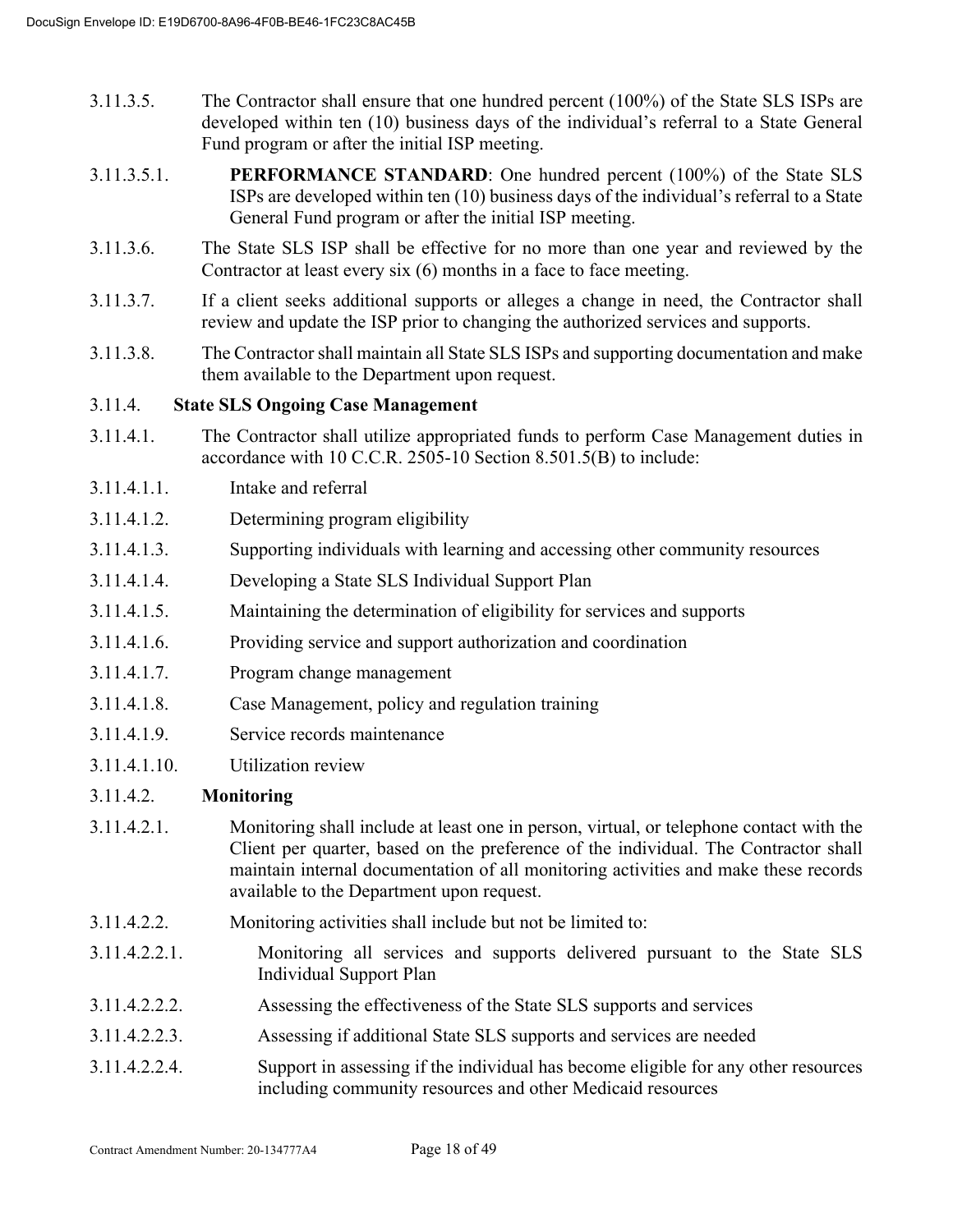- 3.11.3.5. The Contractor shall ensure that one hundred percent (100%) of the State SLS ISPs are developed within ten (10) business days of the individual's referral to a State General Fund program or after the initial ISP meeting.
- 3.11.3.5.1. **PERFORMANCE STANDARD**: One hundred percent (100%) of the State SLS ISPs are developed within ten (10) business days of the individual's referral to a State General Fund program or after the initial ISP meeting.
- 3.11.3.6. The State SLS ISP shall be effective for no more than one year and reviewed by the Contractor at least every six (6) months in a face to face meeting.
- 3.11.3.7. If a client seeks additional supports or alleges a change in need, the Contractor shall review and update the ISP prior to changing the authorized services and supports.
- 3.11.3.8. The Contractor shall maintain all State SLS ISPs and supporting documentation and make them available to the Department upon request.

# 3.11.4. **State SLS Ongoing Case Management**

- 3.11.4.1. The Contractor shall utilize appropriated funds to perform Case Management duties in accordance with 10 C.C.R. 2505-10 Section 8.501.5(B) to include:
- 3.11.4.1.1. Intake and referral
- 3.11.4.1.2. Determining program eligibility
- 3.11.4.1.3. Supporting individuals with learning and accessing other community resources
- 3.11.4.1.4. Developing a State SLS Individual Support Plan
- 3.11.4.1.5. Maintaining the determination of eligibility for services and supports
- 3.11.4.1.6. Providing service and support authorization and coordination
- 3.11.4.1.7. Program change management
- 3.11.4.1.8. Case Management, policy and regulation training
- 3.11.4.1.9. Service records maintenance
- 3.11.4.1.10. Utilization review

# 3.11.4.2. **Monitoring**

- 3.11.4.2.1. Monitoring shall include at least one in person, virtual, or telephone contact with the Client per quarter, based on the preference of the individual. The Contractor shall maintain internal documentation of all monitoring activities and make these records available to the Department upon request.
- 3.11.4.2.2. Monitoring activities shall include but not be limited to:
- 3.11.4.2.2.1. Monitoring all services and supports delivered pursuant to the State SLS Individual Support Plan
- 3.11.4.2.2.2. Assessing the effectiveness of the State SLS supports and services
- 3.11.4.2.2.3. Assessing if additional State SLS supports and services are needed
- 3.11.4.2.2.4. Support in assessing if the individual has become eligible for any other resources including community resources and other Medicaid resources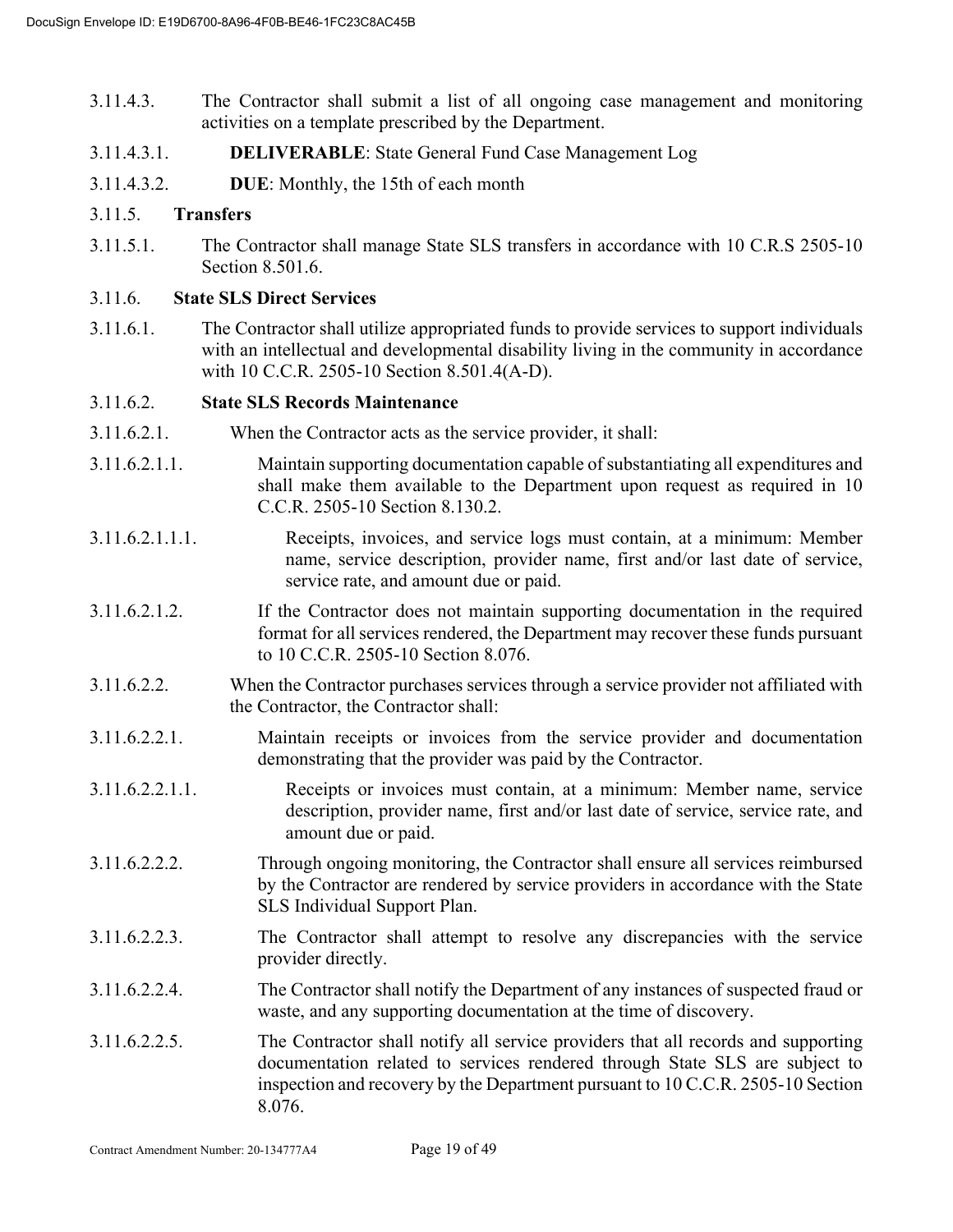- 3.11.4.3. The Contractor shall submit a list of all ongoing case management and monitoring activities on a template prescribed by the Department.
- 3.11.4.3.1. **DELIVERABLE**: State General Fund Case Management Log
- 3.11.4.3.2. **DUE**: Monthly, the 15th of each month

#### 3.11.5. **Transfers**

3.11.5.1. The Contractor shall manage State SLS transfers in accordance with 10 C.R.S 2505-10 Section 8.501.6.

#### 3.11.6. **State SLS Direct Services**

3.11.6.1. The Contractor shall utilize appropriated funds to provide services to support individuals with an intellectual and developmental disability living in the community in accordance with 10 C.C.R. 2505-10 Section 8.501.4(A-D).

#### 3.11.6.2. **State SLS Records Maintenance**

- 3.11.6.2.1. When the Contractor acts as the service provider, it shall:
- 3.11.6.2.1.1. Maintain supporting documentation capable of substantiating all expenditures and shall make them available to the Department upon request as required in 10 C.C.R. 2505-10 Section 8.130.2.
- 3.11.6.2.1.1.1. Receipts, invoices, and service logs must contain, at a minimum: Member name, service description, provider name, first and/or last date of service, service rate, and amount due or paid.
- 3.11.6.2.1.2. If the Contractor does not maintain supporting documentation in the required format for all services rendered, the Department may recover these funds pursuant to 10 C.C.R. 2505-10 Section 8.076.
- 3.11.6.2.2. When the Contractor purchases services through a service provider not affiliated with the Contractor, the Contractor shall:
- 3.11.6.2.2.1. Maintain receipts or invoices from the service provider and documentation demonstrating that the provider was paid by the Contractor.
- 3.11.6.2.2.1.1. Receipts or invoices must contain, at a minimum: Member name, service description, provider name, first and/or last date of service, service rate, and amount due or paid.
- 3.11.6.2.2.2. Through ongoing monitoring, the Contractor shall ensure all services reimbursed by the Contractor are rendered by service providers in accordance with the State SLS Individual Support Plan.
- 3.11.6.2.2.3. The Contractor shall attempt to resolve any discrepancies with the service provider directly.
- 3.11.6.2.2.4. The Contractor shall notify the Department of any instances of suspected fraud or waste, and any supporting documentation at the time of discovery.
- 3.11.6.2.2.5. The Contractor shall notify all service providers that all records and supporting documentation related to services rendered through State SLS are subject to inspection and recovery by the Department pursuant to 10 C.C.R. 2505-10 Section 8.076.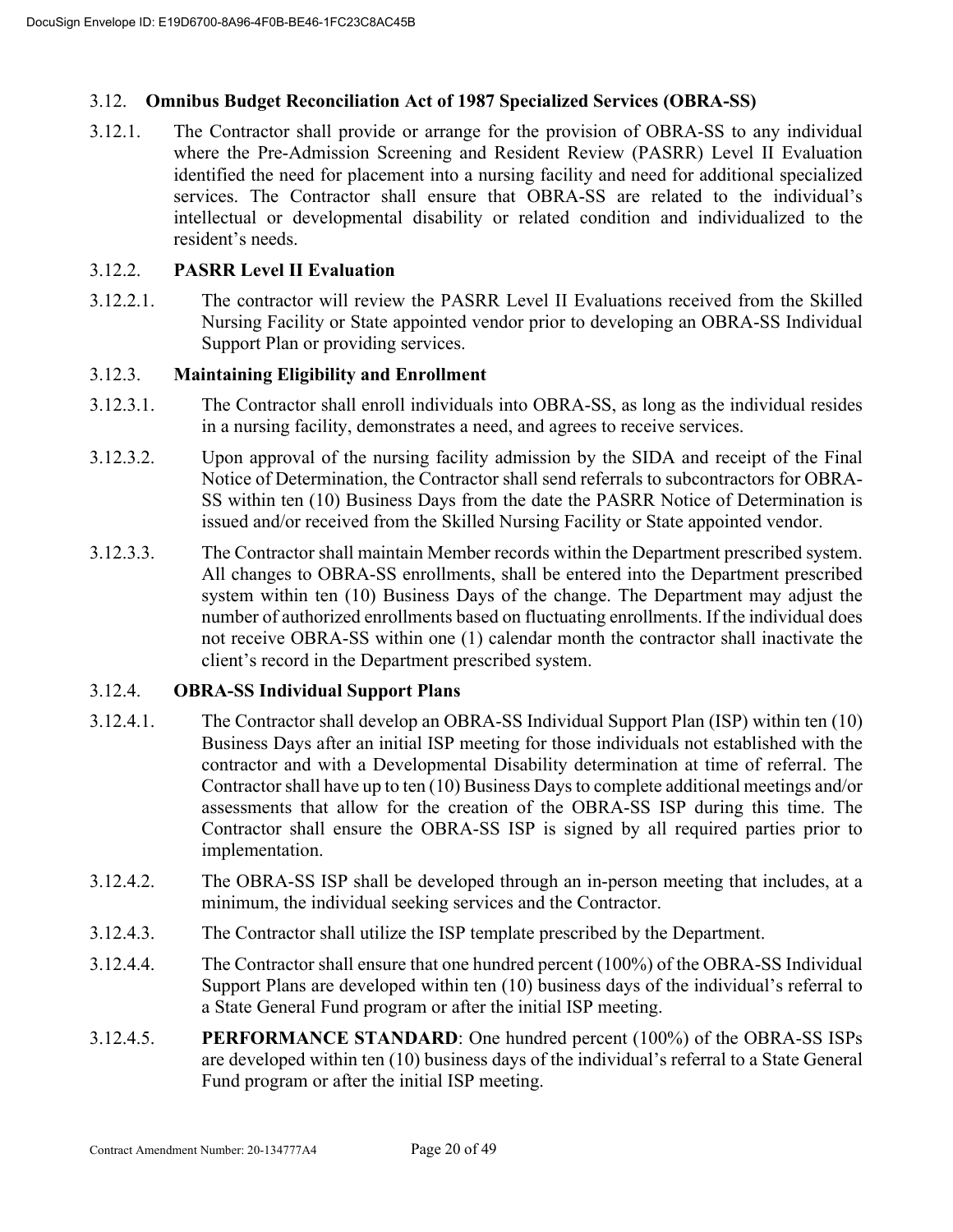# 3.12. **Omnibus Budget Reconciliation Act of 1987 Specialized Services (OBRA-SS)**

3.12.1. The Contractor shall provide or arrange for the provision of OBRA-SS to any individual where the Pre-Admission Screening and Resident Review (PASRR) Level II Evaluation identified the need for placement into a nursing facility and need for additional specialized services. The Contractor shall ensure that OBRA-SS are related to the individual's intellectual or developmental disability or related condition and individualized to the resident's needs.

# 3.12.2. **PASRR Level II Evaluation**

3.12.2.1. The contractor will review the PASRR Level II Evaluations received from the Skilled Nursing Facility or State appointed vendor prior to developing an OBRA-SS Individual Support Plan or providing services.

# 3.12.3. **Maintaining Eligibility and Enrollment**

- 3.12.3.1. The Contractor shall enroll individuals into OBRA-SS, as long as the individual resides in a nursing facility, demonstrates a need, and agrees to receive services.
- 3.12.3.2. Upon approval of the nursing facility admission by the SIDA and receipt of the Final Notice of Determination, the Contractor shall send referrals to subcontractors for OBRA-SS within ten (10) Business Days from the date the PASRR Notice of Determination is issued and/or received from the Skilled Nursing Facility or State appointed vendor.
- 3.12.3.3. The Contractor shall maintain Member records within the Department prescribed system. All changes to OBRA-SS enrollments, shall be entered into the Department prescribed system within ten (10) Business Days of the change. The Department may adjust the number of authorized enrollments based on fluctuating enrollments. If the individual does not receive OBRA-SS within one (1) calendar month the contractor shall inactivate the client's record in the Department prescribed system.

# 3.12.4. **OBRA-SS Individual Support Plans**

- 3.12.4.1. The Contractor shall develop an OBRA-SS Individual Support Plan (ISP) within ten (10) Business Days after an initial ISP meeting for those individuals not established with the contractor and with a Developmental Disability determination at time of referral. The Contractor shall have up to ten (10) Business Days to complete additional meetings and/or assessments that allow for the creation of the OBRA-SS ISP during this time. The Contractor shall ensure the OBRA-SS ISP is signed by all required parties prior to implementation.
- 3.12.4.2. The OBRA-SS ISP shall be developed through an in-person meeting that includes, at a minimum, the individual seeking services and the Contractor.
- 3.12.4.3. The Contractor shall utilize the ISP template prescribed by the Department.
- 3.12.4.4. The Contractor shall ensure that one hundred percent (100%) of the OBRA-SS Individual Support Plans are developed within ten (10) business days of the individual's referral to a State General Fund program or after the initial ISP meeting.
- 3.12.4.5. **PERFORMANCE STANDARD**: One hundred percent (100%) of the OBRA-SS ISPs are developed within ten (10) business days of the individual's referral to a State General Fund program or after the initial ISP meeting.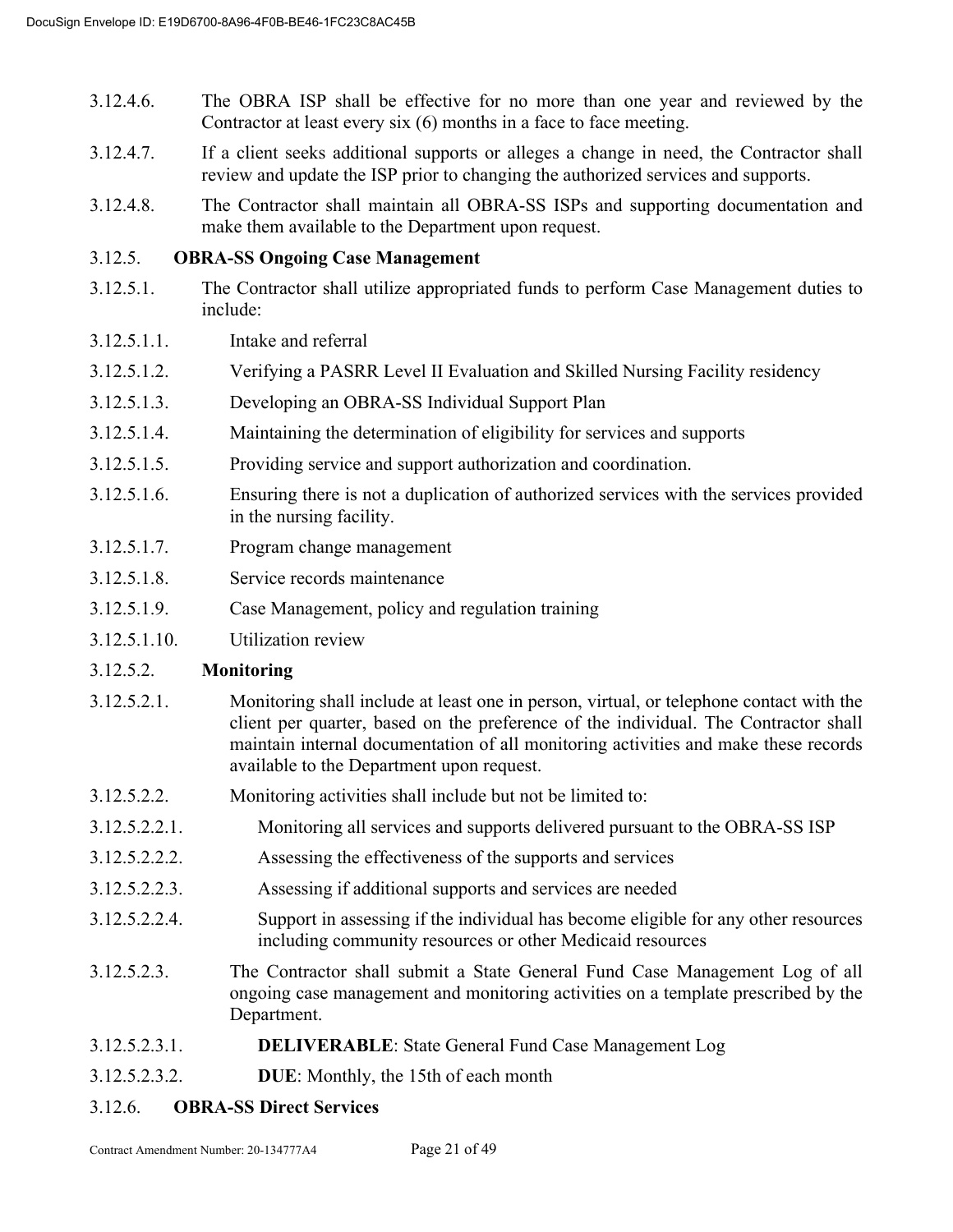- 3.12.4.6. The OBRA ISP shall be effective for no more than one year and reviewed by the Contractor at least every six (6) months in a face to face meeting.
- 3.12.4.7. If a client seeks additional supports or alleges a change in need, the Contractor shall review and update the ISP prior to changing the authorized services and supports.
- 3.12.4.8. The Contractor shall maintain all OBRA-SS ISPs and supporting documentation and make them available to the Department upon request.

# 3.12.5. **OBRA-SS Ongoing Case Management**

- 3.12.5.1. The Contractor shall utilize appropriated funds to perform Case Management duties to include:
- 3.12.5.1.1. Intake and referral
- 3.12.5.1.2. Verifying a PASRR Level II Evaluation and Skilled Nursing Facility residency
- 3.12.5.1.3. Developing an OBRA-SS Individual Support Plan
- 3.12.5.1.4. Maintaining the determination of eligibility for services and supports
- 3.12.5.1.5. Providing service and support authorization and coordination.
- 3.12.5.1.6. Ensuring there is not a duplication of authorized services with the services provided in the nursing facility.
- 3.12.5.1.7. Program change management
- 3.12.5.1.8. Service records maintenance
- 3.12.5.1.9. Case Management, policy and regulation training
- 3.12.5.1.10. Utilization review

#### 3.12.5.2. **Monitoring**

- 3.12.5.2.1. Monitoring shall include at least one in person, virtual, or telephone contact with the client per quarter, based on the preference of the individual. The Contractor shall maintain internal documentation of all monitoring activities and make these records available to the Department upon request.
- 3.12.5.2.2. Monitoring activities shall include but not be limited to:
- 3.12.5.2.2.1. Monitoring all services and supports delivered pursuant to the OBRA-SS ISP
- 3.12.5.2.2.2. Assessing the effectiveness of the supports and services
- 3.12.5.2.2.3. Assessing if additional supports and services are needed
- 3.12.5.2.2.4. Support in assessing if the individual has become eligible for any other resources including community resources or other Medicaid resources
- 3.12.5.2.3. The Contractor shall submit a State General Fund Case Management Log of all ongoing case management and monitoring activities on a template prescribed by the Department.
- 3.12.5.2.3.1. **DELIVERABLE**: State General Fund Case Management Log
- 3.12.5.2.3.2. **DUE**: Monthly, the 15th of each month
- 3.12.6. **OBRA-SS Direct Services**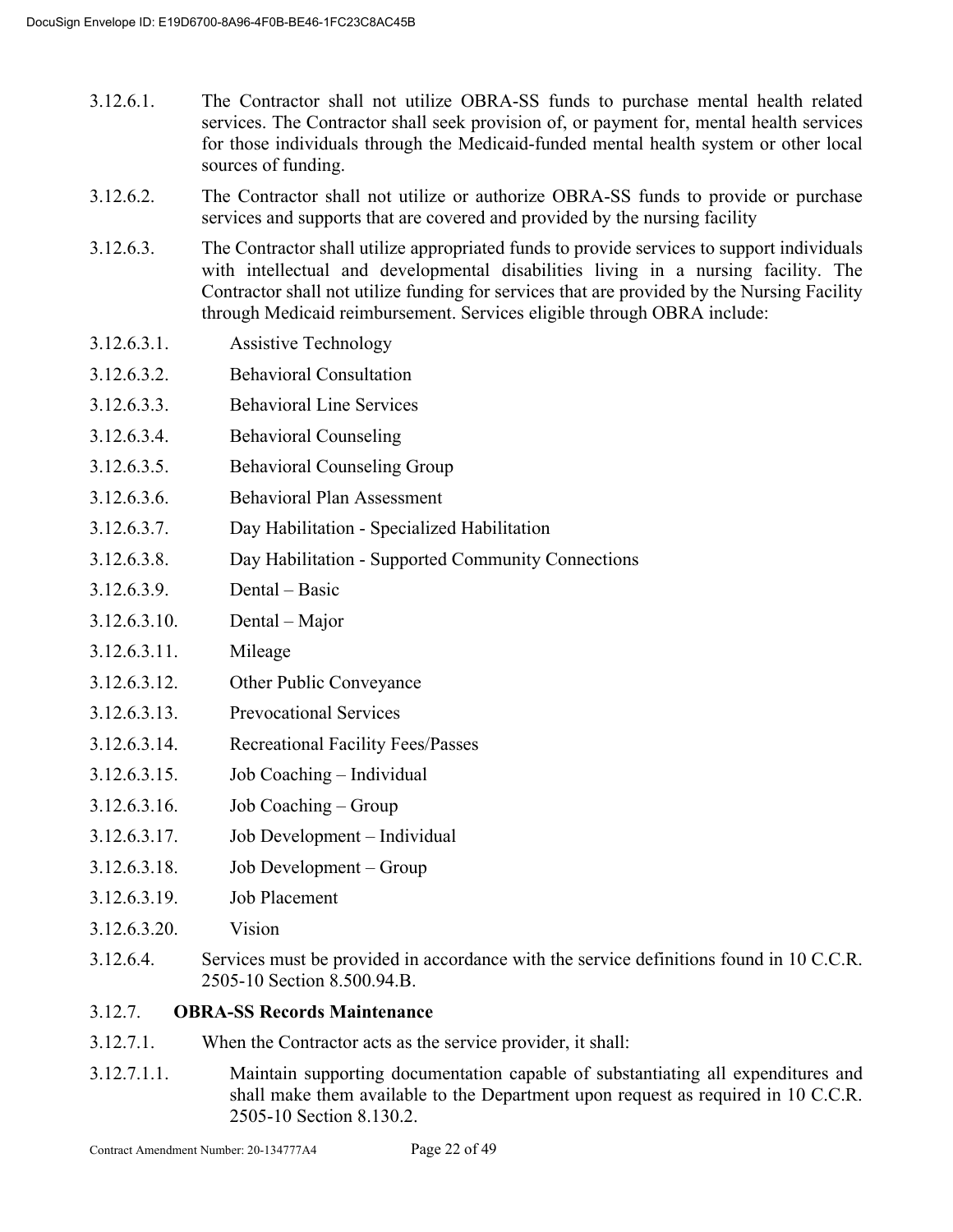- 3.12.6.1. The Contractor shall not utilize OBRA-SS funds to purchase mental health related services. The Contractor shall seek provision of, or payment for, mental health services for those individuals through the Medicaid-funded mental health system or other local sources of funding.
- 3.12.6.2. The Contractor shall not utilize or authorize OBRA-SS funds to provide or purchase services and supports that are covered and provided by the nursing facility
- 3.12.6.3. The Contractor shall utilize appropriated funds to provide services to support individuals with intellectual and developmental disabilities living in a nursing facility. The Contractor shall not utilize funding for services that are provided by the Nursing Facility through Medicaid reimbursement. Services eligible through OBRA include:
- 3.12.6.3.1. Assistive Technology
- 3.12.6.3.2. Behavioral Consultation
- 3.12.6.3.3. Behavioral Line Services
- 3.12.6.3.4. Behavioral Counseling
- 3.12.6.3.5. Behavioral Counseling Group
- 3.12.6.3.6. Behavioral Plan Assessment
- 3.12.6.3.7. Day Habilitation Specialized Habilitation
- 3.12.6.3.8. Day Habilitation Supported Community Connections
- 3.12.6.3.9. Dental Basic
- 3.12.6.3.10. Dental Major
- 3.12.6.3.11. Mileage
- 3.12.6.3.12. Other Public Conveyance
- 3.12.6.3.13. Prevocational Services
- 3.12.6.3.14. Recreational Facility Fees/Passes
- 3.12.6.3.15. Job Coaching Individual
- 3.12.6.3.16. Job Coaching Group
- 3.12.6.3.17. Job Development Individual
- 3.12.6.3.18. Job Development Group
- 3.12.6.3.19. Job Placement
- 3.12.6.3.20. Vision
- 3.12.6.4. Services must be provided in accordance with the service definitions found in 10 C.C.R. 2505-10 Section 8.500.94.B.
- 3.12.7. **OBRA-SS Records Maintenance**
- 3.12.7.1. When the Contractor acts as the service provider, it shall:
- 3.12.7.1.1. Maintain supporting documentation capable of substantiating all expenditures and shall make them available to the Department upon request as required in 10 C.C.R. 2505-10 Section 8.130.2.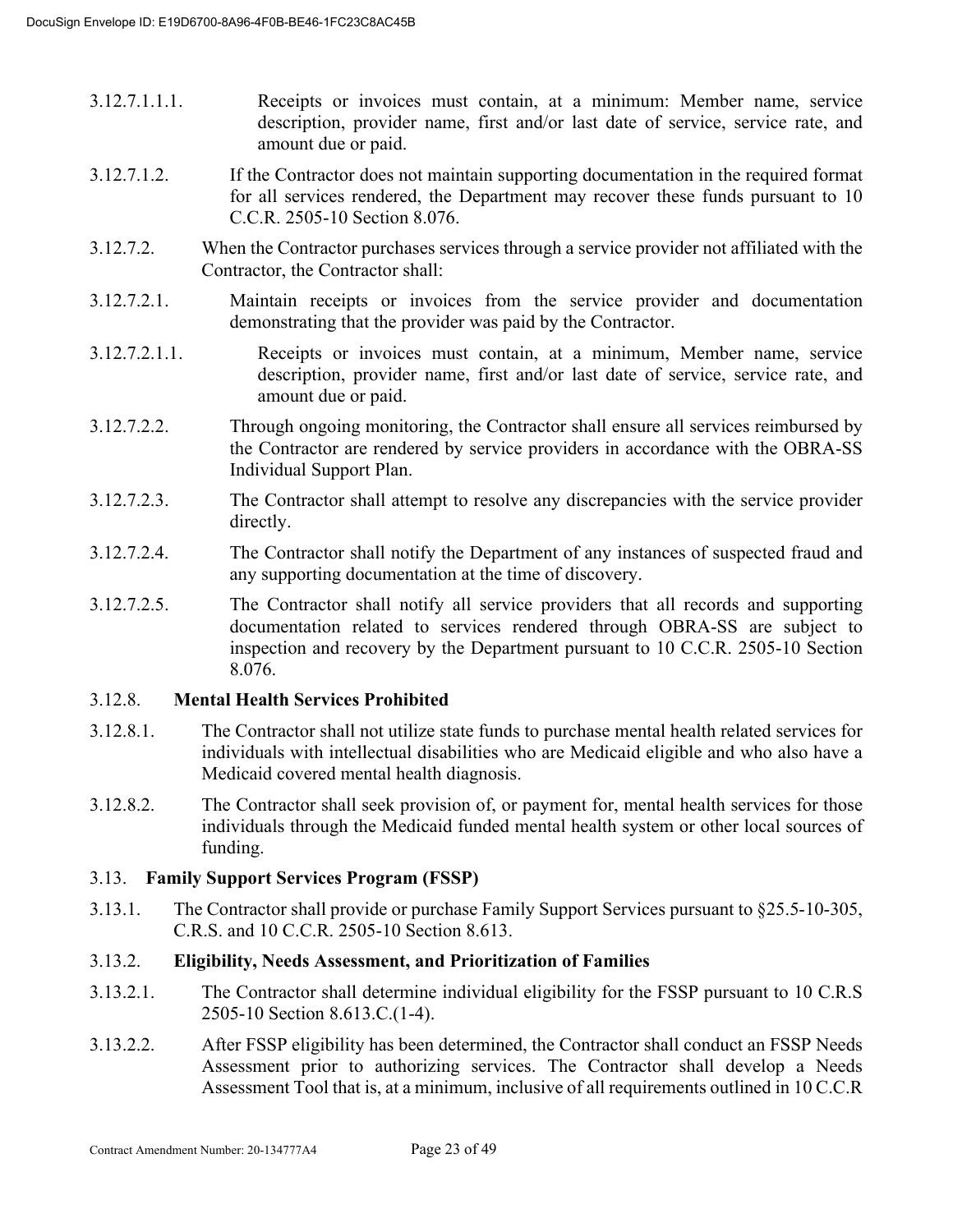- 3.12.7.1.1.1. Receipts or invoices must contain, at a minimum: Member name, service description, provider name, first and/or last date of service, service rate, and amount due or paid.
- 3.12.7.1.2. If the Contractor does not maintain supporting documentation in the required format for all services rendered, the Department may recover these funds pursuant to 10 C.C.R. 2505-10 Section 8.076.
- 3.12.7.2. When the Contractor purchases services through a service provider not affiliated with the Contractor, the Contractor shall:
- 3.12.7.2.1. Maintain receipts or invoices from the service provider and documentation demonstrating that the provider was paid by the Contractor.
- 3.12.7.2.1.1. Receipts or invoices must contain, at a minimum, Member name, service description, provider name, first and/or last date of service, service rate, and amount due or paid.
- 3.12.7.2.2. Through ongoing monitoring, the Contractor shall ensure all services reimbursed by the Contractor are rendered by service providers in accordance with the OBRA-SS Individual Support Plan.
- 3.12.7.2.3. The Contractor shall attempt to resolve any discrepancies with the service provider directly.
- 3.12.7.2.4. The Contractor shall notify the Department of any instances of suspected fraud and any supporting documentation at the time of discovery.
- 3.12.7.2.5. The Contractor shall notify all service providers that all records and supporting documentation related to services rendered through OBRA-SS are subject to inspection and recovery by the Department pursuant to 10 C.C.R. 2505-10 Section 8.076.

#### 3.12.8. **Mental Health Services Prohibited**

- 3.12.8.1. The Contractor shall not utilize state funds to purchase mental health related services for individuals with intellectual disabilities who are Medicaid eligible and who also have a Medicaid covered mental health diagnosis.
- 3.12.8.2. The Contractor shall seek provision of, or payment for, mental health services for those individuals through the Medicaid funded mental health system or other local sources of funding.

#### 3.13. **Family Support Services Program (FSSP)**

3.13.1. The Contractor shall provide or purchase Family Support Services pursuant to §25.5-10-305, C.R.S. and 10 C.C.R. 2505-10 Section 8.613.

# 3.13.2. **Eligibility, Needs Assessment, and Prioritization of Families**

- 3.13.2.1. The Contractor shall determine individual eligibility for the FSSP pursuant to 10 C.R.S 2505-10 Section 8.613.C.(1-4).
- 3.13.2.2. After FSSP eligibility has been determined, the Contractor shall conduct an FSSP Needs Assessment prior to authorizing services. The Contractor shall develop a Needs Assessment Tool that is, at a minimum, inclusive of all requirements outlined in 10 C.C.R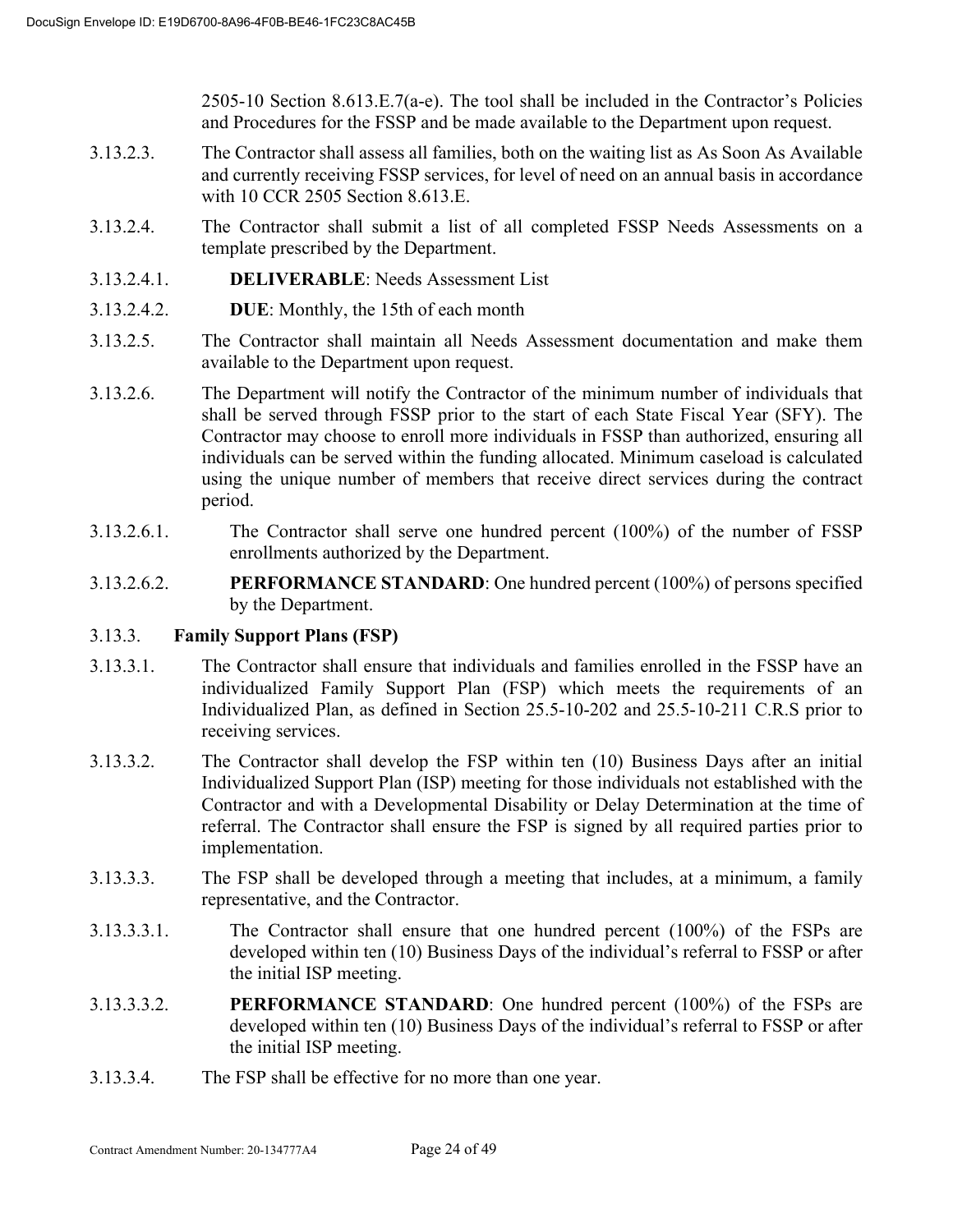2505-10 Section 8.613.E.7(a-e). The tool shall be included in the Contractor's Policies and Procedures for the FSSP and be made available to the Department upon request.

- 3.13.2.3. The Contractor shall assess all families, both on the waiting list as As Soon As Available and currently receiving FSSP services, for level of need on an annual basis in accordance with 10 CCR 2505 Section 8.613.E.
- 3.13.2.4. The Contractor shall submit a list of all completed FSSP Needs Assessments on a template prescribed by the Department.
- 3.13.2.4.1. **DELIVERABLE**: Needs Assessment List
- 3.13.2.4.2. **DUE**: Monthly, the 15th of each month
- 3.13.2.5. The Contractor shall maintain all Needs Assessment documentation and make them available to the Department upon request.
- 3.13.2.6. The Department will notify the Contractor of the minimum number of individuals that shall be served through FSSP prior to the start of each State Fiscal Year (SFY). The Contractor may choose to enroll more individuals in FSSP than authorized, ensuring all individuals can be served within the funding allocated. Minimum caseload is calculated using the unique number of members that receive direct services during the contract period.
- 3.13.2.6.1. The Contractor shall serve one hundred percent (100%) of the number of FSSP enrollments authorized by the Department.
- 3.13.2.6.2. **PERFORMANCE STANDARD**: One hundred percent (100%) of persons specified by the Department.

# 3.13.3. **Family Support Plans (FSP)**

- 3.13.3.1. The Contractor shall ensure that individuals and families enrolled in the FSSP have an individualized Family Support Plan (FSP) which meets the requirements of an Individualized Plan, as defined in Section 25.5-10-202 and 25.5-10-211 C.R.S prior to receiving services.
- 3.13.3.2. The Contractor shall develop the FSP within ten (10) Business Days after an initial Individualized Support Plan (ISP) meeting for those individuals not established with the Contractor and with a Developmental Disability or Delay Determination at the time of referral. The Contractor shall ensure the FSP is signed by all required parties prior to implementation.
- 3.13.3.3. The FSP shall be developed through a meeting that includes, at a minimum, a family representative, and the Contractor.
- 3.13.3.3.1. The Contractor shall ensure that one hundred percent (100%) of the FSPs are developed within ten (10) Business Days of the individual's referral to FSSP or after the initial ISP meeting.
- 3.13.3.3.2. **PERFORMANCE STANDARD**: One hundred percent (100%) of the FSPs are developed within ten (10) Business Days of the individual's referral to FSSP or after the initial ISP meeting.
- 3.13.3.4. The FSP shall be effective for no more than one year.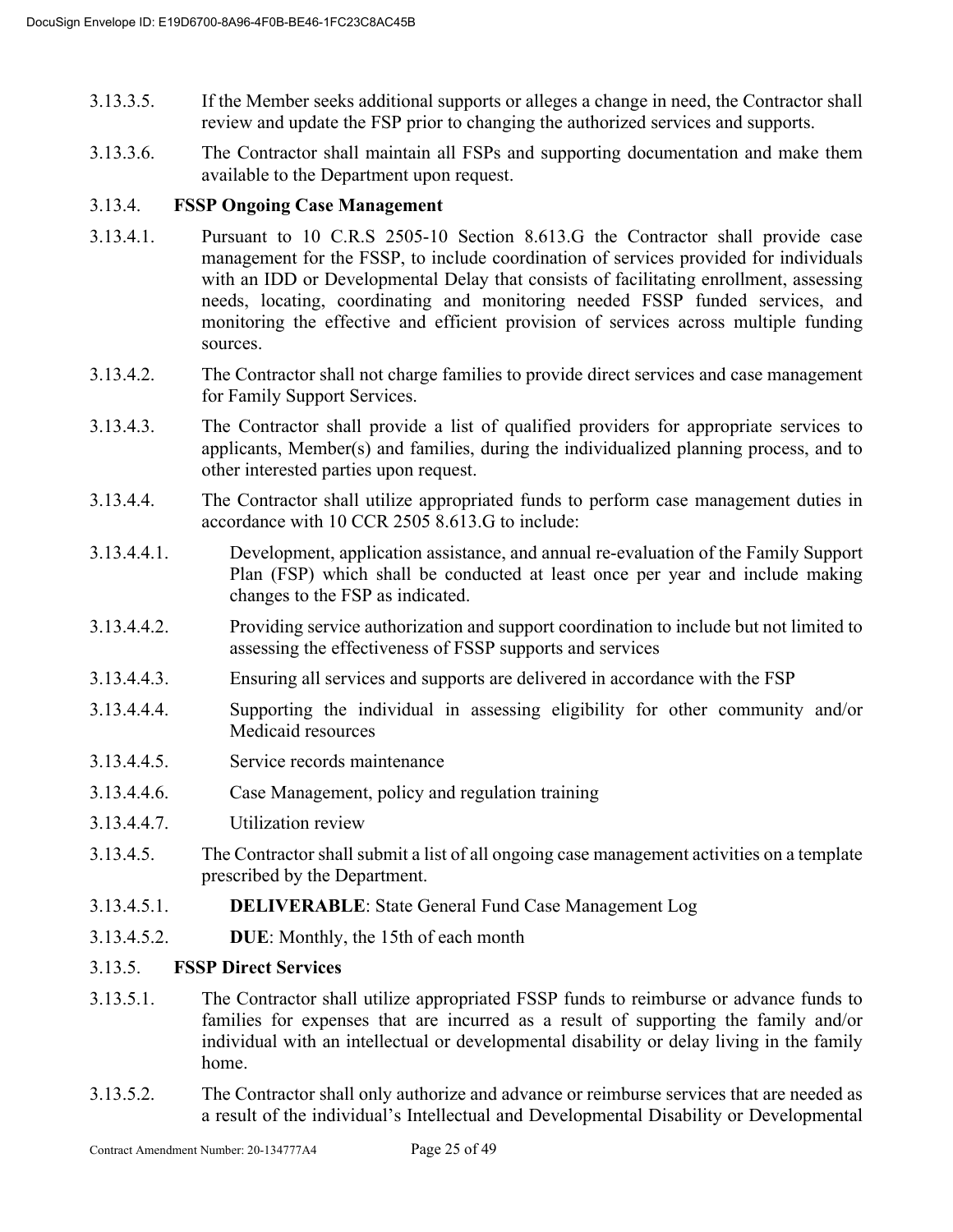- 3.13.3.5. If the Member seeks additional supports or alleges a change in need, the Contractor shall review and update the FSP prior to changing the authorized services and supports.
- 3.13.3.6. The Contractor shall maintain all FSPs and supporting documentation and make them available to the Department upon request.

# 3.13.4. **FSSP Ongoing Case Management**

- 3.13.4.1. Pursuant to 10 C.R.S 2505-10 Section 8.613.G the Contractor shall provide case management for the FSSP, to include coordination of services provided for individuals with an IDD or Developmental Delay that consists of facilitating enrollment, assessing needs, locating, coordinating and monitoring needed FSSP funded services, and monitoring the effective and efficient provision of services across multiple funding sources.
- 3.13.4.2. The Contractor shall not charge families to provide direct services and case management for Family Support Services.
- 3.13.4.3. The Contractor shall provide a list of qualified providers for appropriate services to applicants, Member(s) and families, during the individualized planning process, and to other interested parties upon request.
- 3.13.4.4. The Contractor shall utilize appropriated funds to perform case management duties in accordance with 10 CCR 2505 8.613.G to include:
- 3.13.4.4.1. Development, application assistance, and annual re-evaluation of the Family Support Plan (FSP) which shall be conducted at least once per year and include making changes to the FSP as indicated.
- 3.13.4.4.2. Providing service authorization and support coordination to include but not limited to assessing the effectiveness of FSSP supports and services
- 3.13.4.4.3. Ensuring all services and supports are delivered in accordance with the FSP
- 3.13.4.4.4. Supporting the individual in assessing eligibility for other community and/or Medicaid resources
- 3.13.4.4.5. Service records maintenance
- 3.13.4.4.6. Case Management, policy and regulation training
- 3.13.4.4.7. Utilization review
- 3.13.4.5. The Contractor shall submit a list of all ongoing case management activities on a template prescribed by the Department.
- 3.13.4.5.1. **DELIVERABLE**: State General Fund Case Management Log
- 3.13.4.5.2. **DUE**: Monthly, the 15th of each month

# 3.13.5. **FSSP Direct Services**

- 3.13.5.1. The Contractor shall utilize appropriated FSSP funds to reimburse or advance funds to families for expenses that are incurred as a result of supporting the family and/or individual with an intellectual or developmental disability or delay living in the family home.
- 3.13.5.2. The Contractor shall only authorize and advance or reimburse services that are needed as a result of the individual's Intellectual and Developmental Disability or Developmental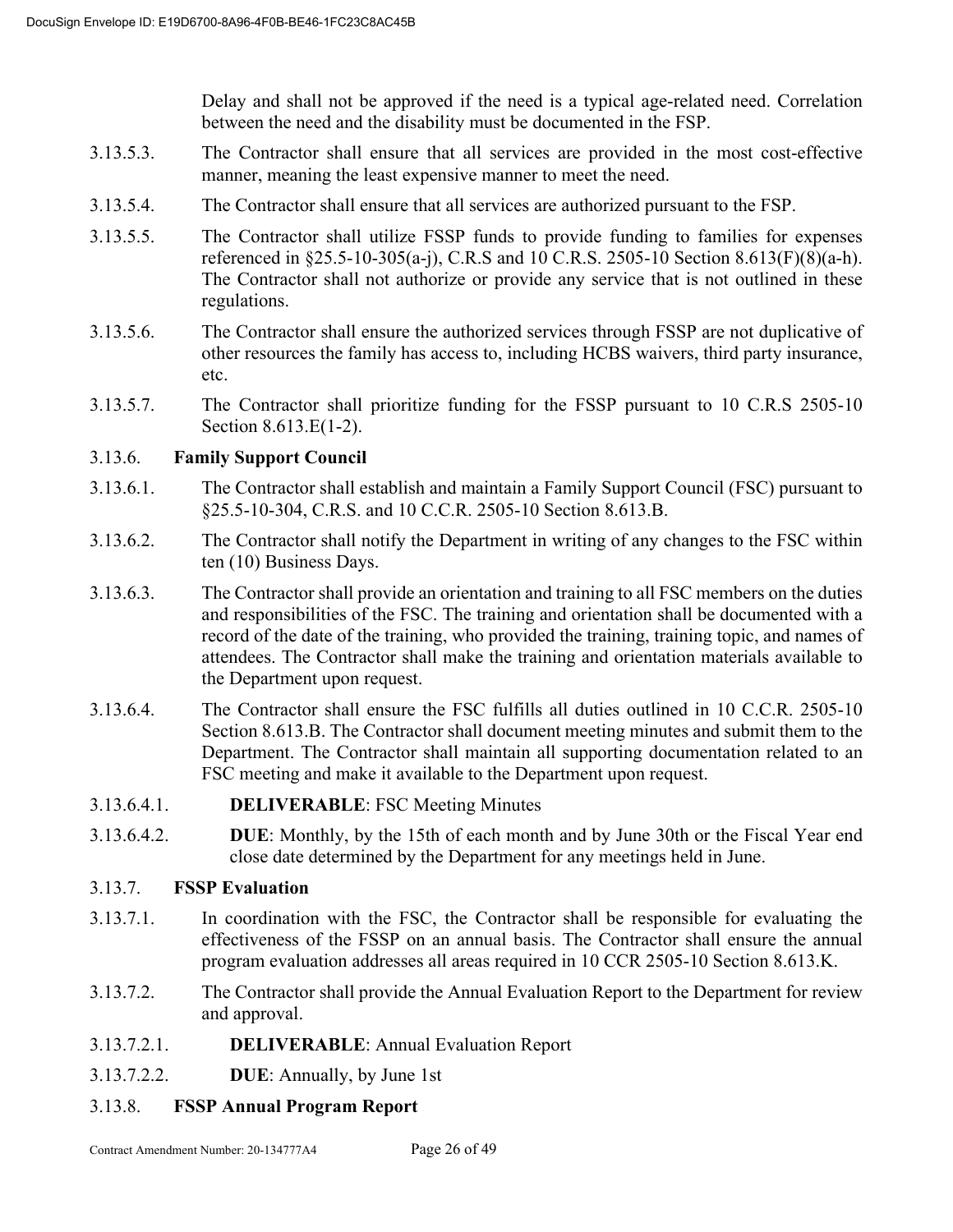Delay and shall not be approved if the need is a typical age-related need. Correlation between the need and the disability must be documented in the FSP.

- 3.13.5.3. The Contractor shall ensure that all services are provided in the most cost-effective manner, meaning the least expensive manner to meet the need.
- 3.13.5.4. The Contractor shall ensure that all services are authorized pursuant to the FSP.
- 3.13.5.5. The Contractor shall utilize FSSP funds to provide funding to families for expenses referenced in §25.5-10-305(a-j), C.R.S and 10 C.R.S. 2505-10 Section 8.613(F)(8)(a-h). The Contractor shall not authorize or provide any service that is not outlined in these regulations.
- 3.13.5.6. The Contractor shall ensure the authorized services through FSSP are not duplicative of other resources the family has access to, including HCBS waivers, third party insurance, etc.
- 3.13.5.7. The Contractor shall prioritize funding for the FSSP pursuant to 10 C.R.S 2505-10 Section 8.613.E(1-2).

# 3.13.6. **Family Support Council**

- 3.13.6.1. The Contractor shall establish and maintain a Family Support Council (FSC) pursuant to §25.5-10-304, C.R.S. and 10 C.C.R. 2505-10 Section 8.613.B.
- 3.13.6.2. The Contractor shall notify the Department in writing of any changes to the FSC within ten (10) Business Days.
- 3.13.6.3. The Contractor shall provide an orientation and training to all FSC members on the duties and responsibilities of the FSC. The training and orientation shall be documented with a record of the date of the training, who provided the training, training topic, and names of attendees. The Contractor shall make the training and orientation materials available to the Department upon request.
- 3.13.6.4. The Contractor shall ensure the FSC fulfills all duties outlined in 10 C.C.R. 2505-10 Section 8.613.B. The Contractor shall document meeting minutes and submit them to the Department. The Contractor shall maintain all supporting documentation related to an FSC meeting and make it available to the Department upon request.
- 3.13.6.4.1. **DELIVERABLE**: FSC Meeting Minutes
- 3.13.6.4.2. **DUE**: Monthly, by the 15th of each month and by June 30th or the Fiscal Year end close date determined by the Department for any meetings held in June.

# 3.13.7. **FSSP Evaluation**

- 3.13.7.1. In coordination with the FSC, the Contractor shall be responsible for evaluating the effectiveness of the FSSP on an annual basis. The Contractor shall ensure the annual program evaluation addresses all areas required in 10 CCR 2505-10 Section 8.613.K.
- 3.13.7.2. The Contractor shall provide the Annual Evaluation Report to the Department for review and approval.
- 3.13.7.2.1. **DELIVERABLE**: Annual Evaluation Report
- 3.13.7.2.2. **DUE**: Annually, by June 1st
- 3.13.8. **FSSP Annual Program Report**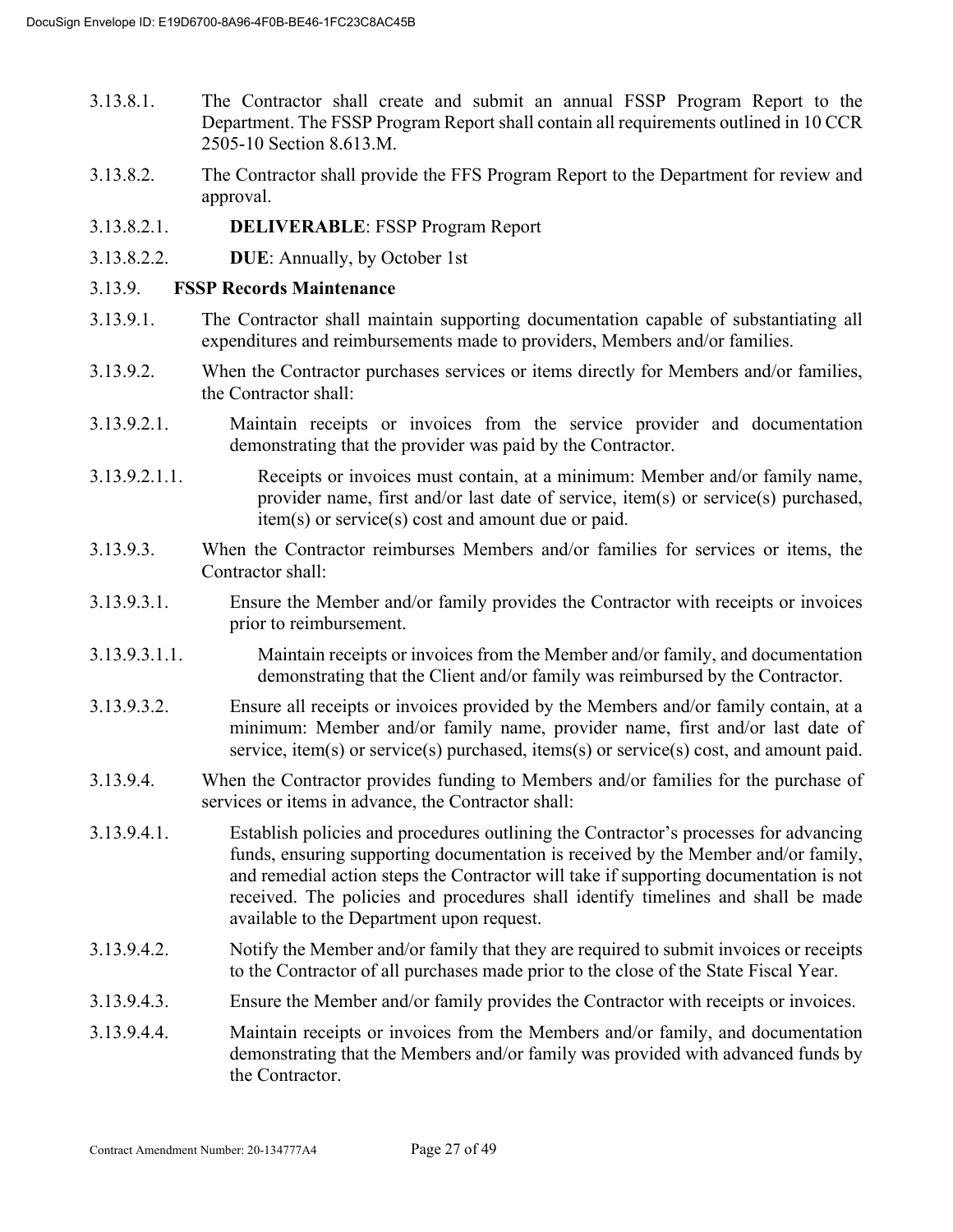- 3.13.8.1. The Contractor shall create and submit an annual FSSP Program Report to the Department. The FSSP Program Report shall contain all requirements outlined in 10 CCR 2505-10 Section 8.613.M.
- 3.13.8.2. The Contractor shall provide the FFS Program Report to the Department for review and approval.
- 3.13.8.2.1. **DELIVERABLE**: FSSP Program Report
- 3.13.8.2.2. **DUE**: Annually, by October 1st
- 3.13.9. **FSSP Records Maintenance**
- 3.13.9.1. The Contractor shall maintain supporting documentation capable of substantiating all expenditures and reimbursements made to providers, Members and/or families.
- 3.13.9.2. When the Contractor purchases services or items directly for Members and/or families, the Contractor shall:
- 3.13.9.2.1. Maintain receipts or invoices from the service provider and documentation demonstrating that the provider was paid by the Contractor.
- 3.13.9.2.1.1. Receipts or invoices must contain, at a minimum: Member and/or family name, provider name, first and/or last date of service, item(s) or service(s) purchased, item(s) or service(s) cost and amount due or paid.
- 3.13.9.3. When the Contractor reimburses Members and/or families for services or items, the Contractor shall:
- 3.13.9.3.1. Ensure the Member and/or family provides the Contractor with receipts or invoices prior to reimbursement.
- 3.13.9.3.1.1. Maintain receipts or invoices from the Member and/or family, and documentation demonstrating that the Client and/or family was reimbursed by the Contractor.
- 3.13.9.3.2. Ensure all receipts or invoices provided by the Members and/or family contain, at a minimum: Member and/or family name, provider name, first and/or last date of service, item(s) or service(s) purchased, items(s) or service(s) cost, and amount paid.
- 3.13.9.4. When the Contractor provides funding to Members and/or families for the purchase of services or items in advance, the Contractor shall:
- 3.13.9.4.1. Establish policies and procedures outlining the Contractor's processes for advancing funds, ensuring supporting documentation is received by the Member and/or family, and remedial action steps the Contractor will take if supporting documentation is not received. The policies and procedures shall identify timelines and shall be made available to the Department upon request.
- 3.13.9.4.2. Notify the Member and/or family that they are required to submit invoices or receipts to the Contractor of all purchases made prior to the close of the State Fiscal Year.
- 3.13.9.4.3. Ensure the Member and/or family provides the Contractor with receipts or invoices.
- 3.13.9.4.4. Maintain receipts or invoices from the Members and/or family, and documentation demonstrating that the Members and/or family was provided with advanced funds by the Contractor.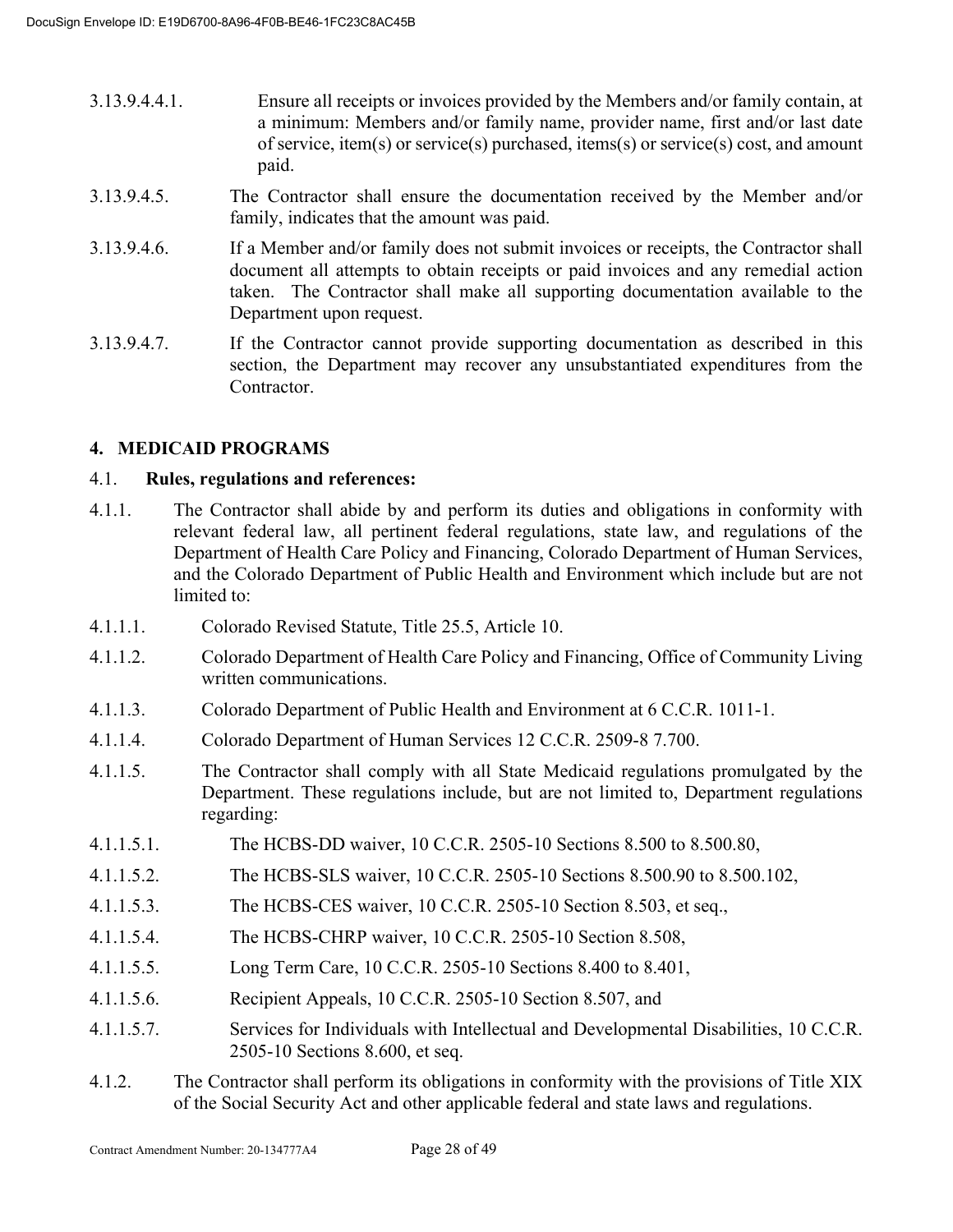- 3.13.9.4.4.1. Ensure all receipts or invoices provided by the Members and/or family contain, at a minimum: Members and/or family name, provider name, first and/or last date of service, item(s) or service(s) purchased, items(s) or service(s) cost, and amount paid.
- 3.13.9.4.5. The Contractor shall ensure the documentation received by the Member and/or family, indicates that the amount was paid.
- 3.13.9.4.6. If a Member and/or family does not submit invoices or receipts, the Contractor shall document all attempts to obtain receipts or paid invoices and any remedial action taken. The Contractor shall make all supporting documentation available to the Department upon request.
- 3.13.9.4.7. If the Contractor cannot provide supporting documentation as described in this section, the Department may recover any unsubstantiated expenditures from the Contractor.

# **4. MEDICAID PROGRAMS**

# 4.1. **Rules, regulations and references:**

- 4.1.1. The Contractor shall abide by and perform its duties and obligations in conformity with relevant federal law, all pertinent federal regulations, state law, and regulations of the Department of Health Care Policy and Financing, Colorado Department of Human Services, and the Colorado Department of Public Health and Environment which include but are not limited to:
- 4.1.1.1. Colorado Revised Statute, Title 25.5, Article 10.
- 4.1.1.2. Colorado Department of Health Care Policy and Financing, Office of Community Living written communications.
- 4.1.1.3. Colorado Department of Public Health and Environment at 6 C.C.R. 1011-1.
- 4.1.1.4. Colorado Department of Human Services 12 C.C.R. 2509-8 7.700.
- 4.1.1.5. The Contractor shall comply with all State Medicaid regulations promulgated by the Department. These regulations include, but are not limited to, Department regulations regarding:
- 4.1.1.5.1. The HCBS-DD waiver, 10 C.C.R. 2505-10 Sections 8.500 to 8.500.80,
- 4.1.1.5.2. The HCBS-SLS waiver, 10 C.C.R. 2505-10 Sections 8.500.90 to 8.500.102,
- 4.1.1.5.3. The HCBS-CES waiver, 10 C.C.R. 2505-10 Section 8.503, et seq.,
- 4.1.1.5.4. The HCBS-CHRP waiver, 10 C.C.R. 2505-10 Section 8.508,
- 4.1.1.5.5. Long Term Care, 10 C.C.R. 2505-10 Sections 8.400 to 8.401,
- 4.1.1.5.6. Recipient Appeals, 10 C.C.R. 2505-10 Section 8.507, and
- 4.1.1.5.7. Services for Individuals with Intellectual and Developmental Disabilities, 10 C.C.R. 2505-10 Sections 8.600, et seq.
- 4.1.2. The Contractor shall perform its obligations in conformity with the provisions of Title XIX of the Social Security Act and other applicable federal and state laws and regulations.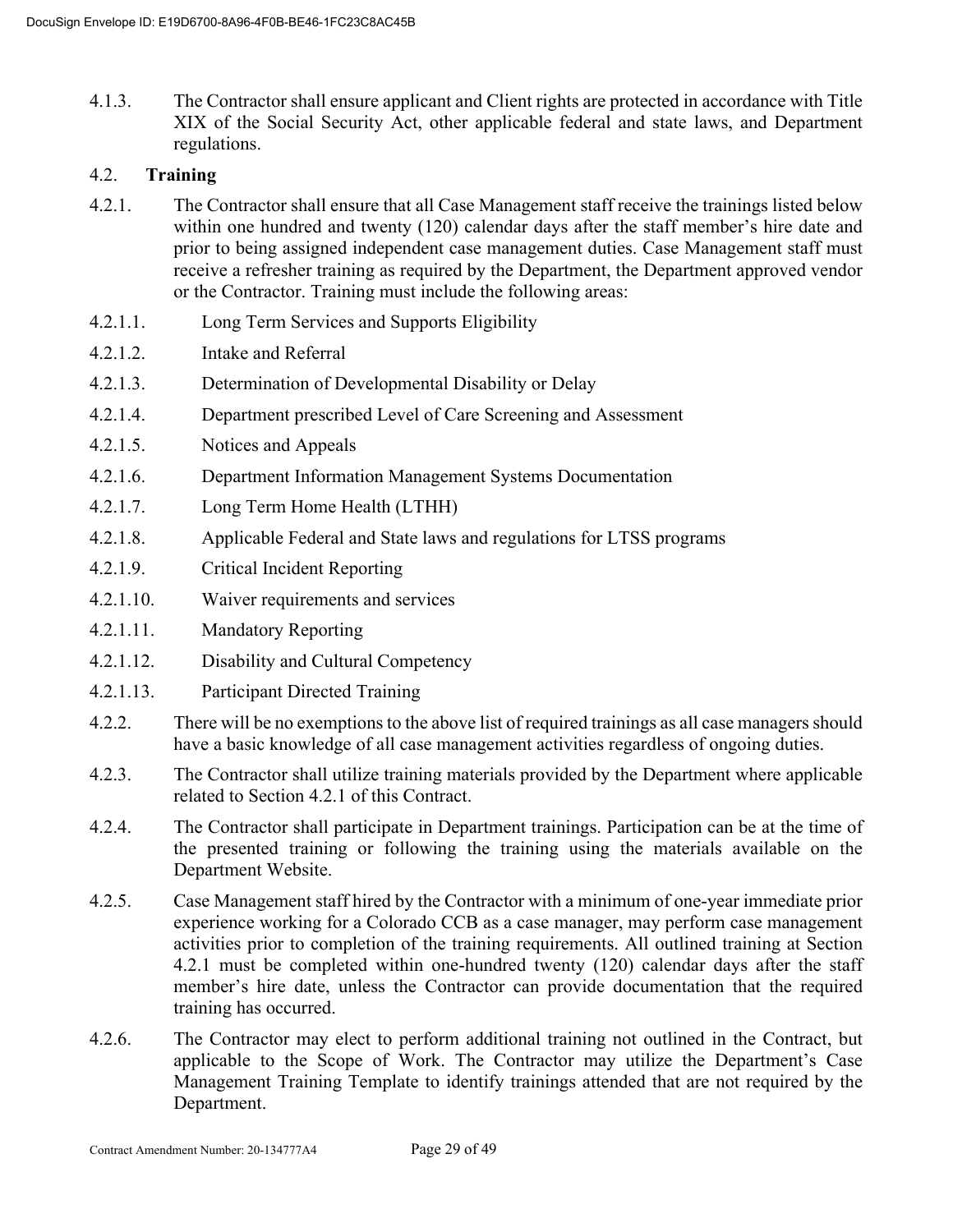4.1.3. The Contractor shall ensure applicant and Client rights are protected in accordance with Title XIX of the Social Security Act, other applicable federal and state laws, and Department regulations.

# 4.2. **Training**

- 4.2.1. The Contractor shall ensure that all Case Management staff receive the trainings listed below within one hundred and twenty (120) calendar days after the staff member's hire date and prior to being assigned independent case management duties. Case Management staff must receive a refresher training as required by the Department, the Department approved vendor or the Contractor. Training must include the following areas:
- 4.2.1.1. Long Term Services and Supports Eligibility
- 4.2.1.2. Intake and Referral
- 4.2.1.3. Determination of Developmental Disability or Delay
- 4.2.1.4. Department prescribed Level of Care Screening and Assessment
- 4.2.1.5. Notices and Appeals
- 4.2.1.6. Department Information Management Systems Documentation
- 4.2.1.7. Long Term Home Health (LTHH)
- 4.2.1.8. Applicable Federal and State laws and regulations for LTSS programs
- 4.2.1.9. Critical Incident Reporting
- 4.2.1.10. Waiver requirements and services
- 4.2.1.11. Mandatory Reporting
- 4.2.1.12. Disability and Cultural Competency
- 4.2.1.13. Participant Directed Training
- 4.2.2. There will be no exemptions to the above list of required trainings as all case managers should have a basic knowledge of all case management activities regardless of ongoing duties.
- 4.2.3. The Contractor shall utilize training materials provided by the Department where applicable related to Section 4.2.1 of this Contract.
- 4.2.4. The Contractor shall participate in Department trainings. Participation can be at the time of the presented training or following the training using the materials available on the Department Website.
- 4.2.5. Case Management staff hired by the Contractor with a minimum of one-year immediate prior experience working for a Colorado CCB as a case manager, may perform case management activities prior to completion of the training requirements. All outlined training at Section 4.2.1 must be completed within one-hundred twenty (120) calendar days after the staff member's hire date, unless the Contractor can provide documentation that the required training has occurred.
- 4.2.6. The Contractor may elect to perform additional training not outlined in the Contract, but applicable to the Scope of Work. The Contractor may utilize the Department's Case Management Training Template to identify trainings attended that are not required by the Department.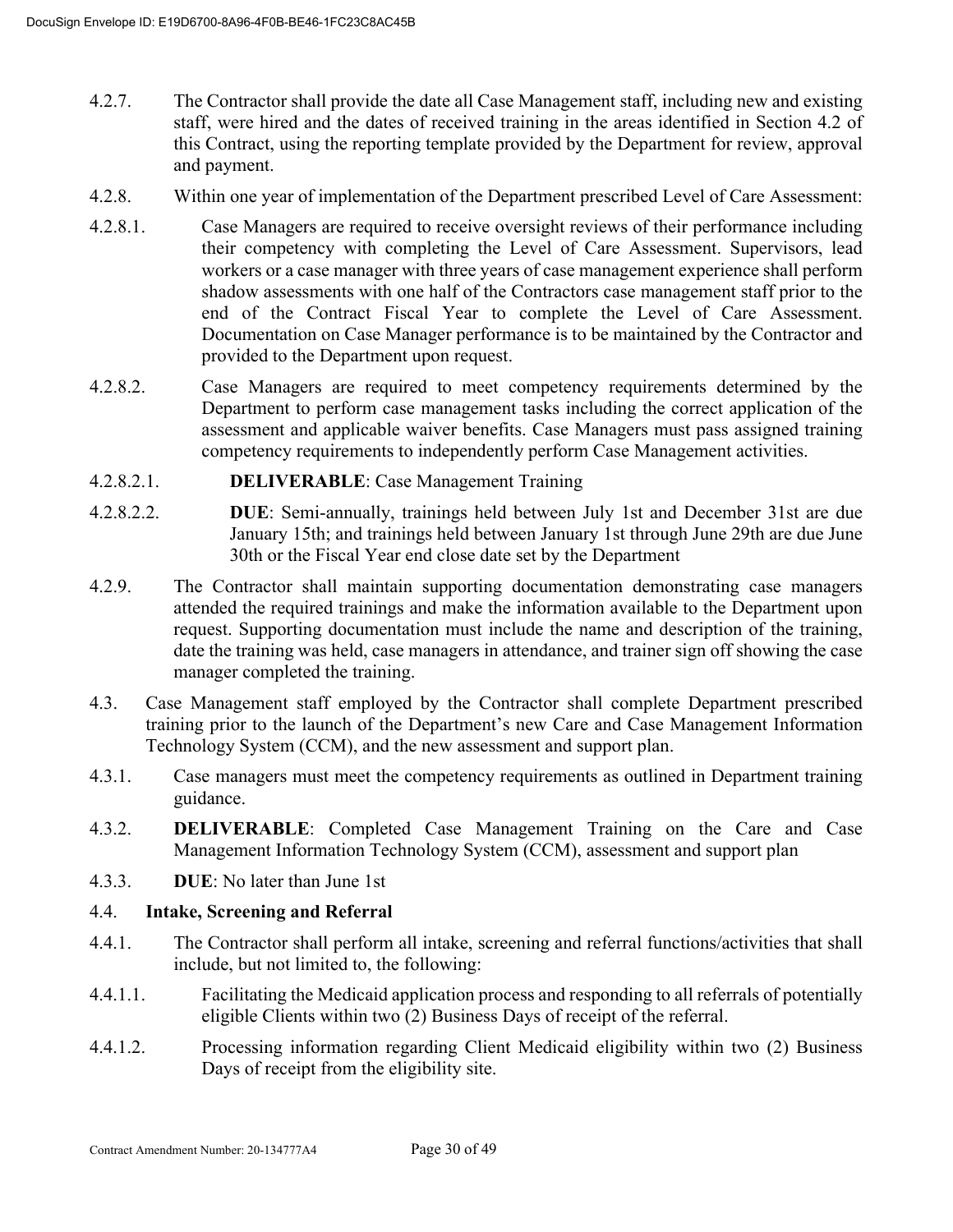- 4.2.7. The Contractor shall provide the date all Case Management staff, including new and existing staff, were hired and the dates of received training in the areas identified in Section 4.2 of this Contract, using the reporting template provided by the Department for review, approval and payment.
- 4.2.8. Within one year of implementation of the Department prescribed Level of Care Assessment:
- 4.2.8.1. Case Managers are required to receive oversight reviews of their performance including their competency with completing the Level of Care Assessment. Supervisors, lead workers or a case manager with three years of case management experience shall perform shadow assessments with one half of the Contractors case management staff prior to the end of the Contract Fiscal Year to complete the Level of Care Assessment. Documentation on Case Manager performance is to be maintained by the Contractor and provided to the Department upon request.
- 4.2.8.2. Case Managers are required to meet competency requirements determined by the Department to perform case management tasks including the correct application of the assessment and applicable waiver benefits. Case Managers must pass assigned training competency requirements to independently perform Case Management activities.
- 4.2.8.2.1. **DELIVERABLE**: Case Management Training
- 4.2.8.2.2. **DUE**: Semi-annually, trainings held between July 1st and December 31st are due January 15th; and trainings held between January 1st through June 29th are due June 30th or the Fiscal Year end close date set by the Department
- 4.2.9. The Contractor shall maintain supporting documentation demonstrating case managers attended the required trainings and make the information available to the Department upon request. Supporting documentation must include the name and description of the training, date the training was held, case managers in attendance, and trainer sign off showing the case manager completed the training.
- 4.3. Case Management staff employed by the Contractor shall complete Department prescribed training prior to the launch of the Department's new Care and Case Management Information Technology System (CCM), and the new assessment and support plan.
- 4.3.1. Case managers must meet the competency requirements as outlined in Department training guidance.
- 4.3.2. **DELIVERABLE**: Completed Case Management Training on the Care and Case Management Information Technology System (CCM), assessment and support plan
- 4.3.3. **DUE**: No later than June 1st

#### 4.4. **Intake, Screening and Referral**

- 4.4.1. The Contractor shall perform all intake, screening and referral functions/activities that shall include, but not limited to, the following:
- 4.4.1.1. Facilitating the Medicaid application process and responding to all referrals of potentially eligible Clients within two (2) Business Days of receipt of the referral.
- 4.4.1.2. Processing information regarding Client Medicaid eligibility within two (2) Business Days of receipt from the eligibility site.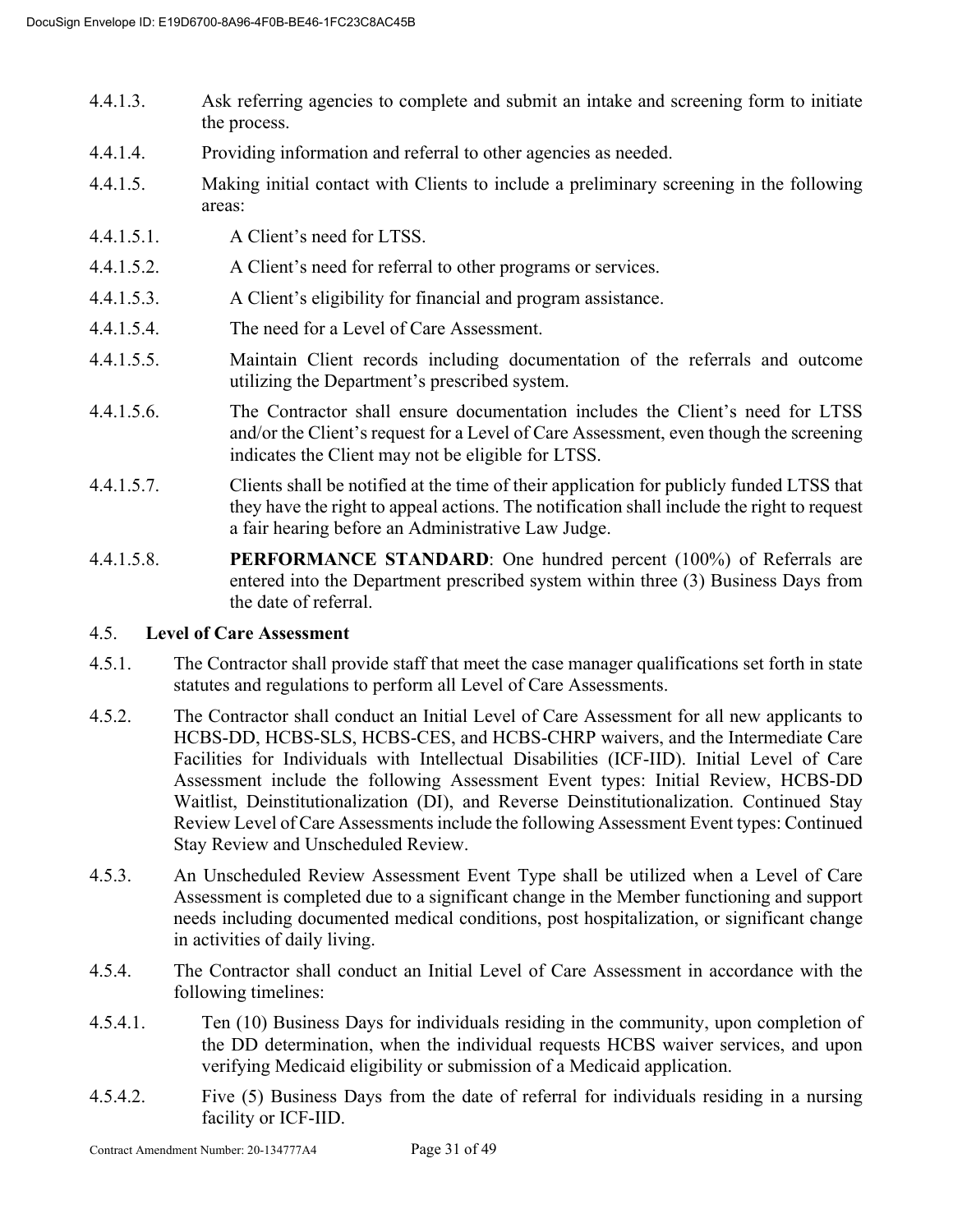- 4.4.1.3. Ask referring agencies to complete and submit an intake and screening form to initiate the process.
- 4.4.1.4. Providing information and referral to other agencies as needed.
- 4.4.1.5. Making initial contact with Clients to include a preliminary screening in the following areas:
- 4.4.1.5.1. A Client's need for LTSS.
- 4.4.1.5.2. A Client's need for referral to other programs or services.
- 4.4.1.5.3. A Client's eligibility for financial and program assistance.
- 4.4.1.5.4. The need for a Level of Care Assessment.
- 4.4.1.5.5. Maintain Client records including documentation of the referrals and outcome utilizing the Department's prescribed system.
- 4.4.1.5.6. The Contractor shall ensure documentation includes the Client's need for LTSS and/or the Client's request for a Level of Care Assessment, even though the screening indicates the Client may not be eligible for LTSS.
- 4.4.1.5.7. Clients shall be notified at the time of their application for publicly funded LTSS that they have the right to appeal actions. The notification shall include the right to request a fair hearing before an Administrative Law Judge.
- 4.4.1.5.8. **PERFORMANCE STANDARD**: One hundred percent (100%) of Referrals are entered into the Department prescribed system within three (3) Business Days from the date of referral.

# 4.5. **Level of Care Assessment**

- 4.5.1. The Contractor shall provide staff that meet the case manager qualifications set forth in state statutes and regulations to perform all Level of Care Assessments.
- 4.5.2. The Contractor shall conduct an Initial Level of Care Assessment for all new applicants to HCBS-DD, HCBS-SLS, HCBS-CES, and HCBS-CHRP waivers, and the Intermediate Care Facilities for Individuals with Intellectual Disabilities (ICF-IID). Initial Level of Care Assessment include the following Assessment Event types: Initial Review, HCBS-DD Waitlist, Deinstitutionalization (DI), and Reverse Deinstitutionalization. Continued Stay Review Level of Care Assessments include the following Assessment Event types: Continued Stay Review and Unscheduled Review.
- 4.5.3. An Unscheduled Review Assessment Event Type shall be utilized when a Level of Care Assessment is completed due to a significant change in the Member functioning and support needs including documented medical conditions, post hospitalization, or significant change in activities of daily living.
- 4.5.4. The Contractor shall conduct an Initial Level of Care Assessment in accordance with the following timelines:
- 4.5.4.1. Ten (10) Business Days for individuals residing in the community, upon completion of the DD determination, when the individual requests HCBS waiver services, and upon verifying Medicaid eligibility or submission of a Medicaid application.
- 4.5.4.2. Five (5) Business Days from the date of referral for individuals residing in a nursing facility or ICF-IID.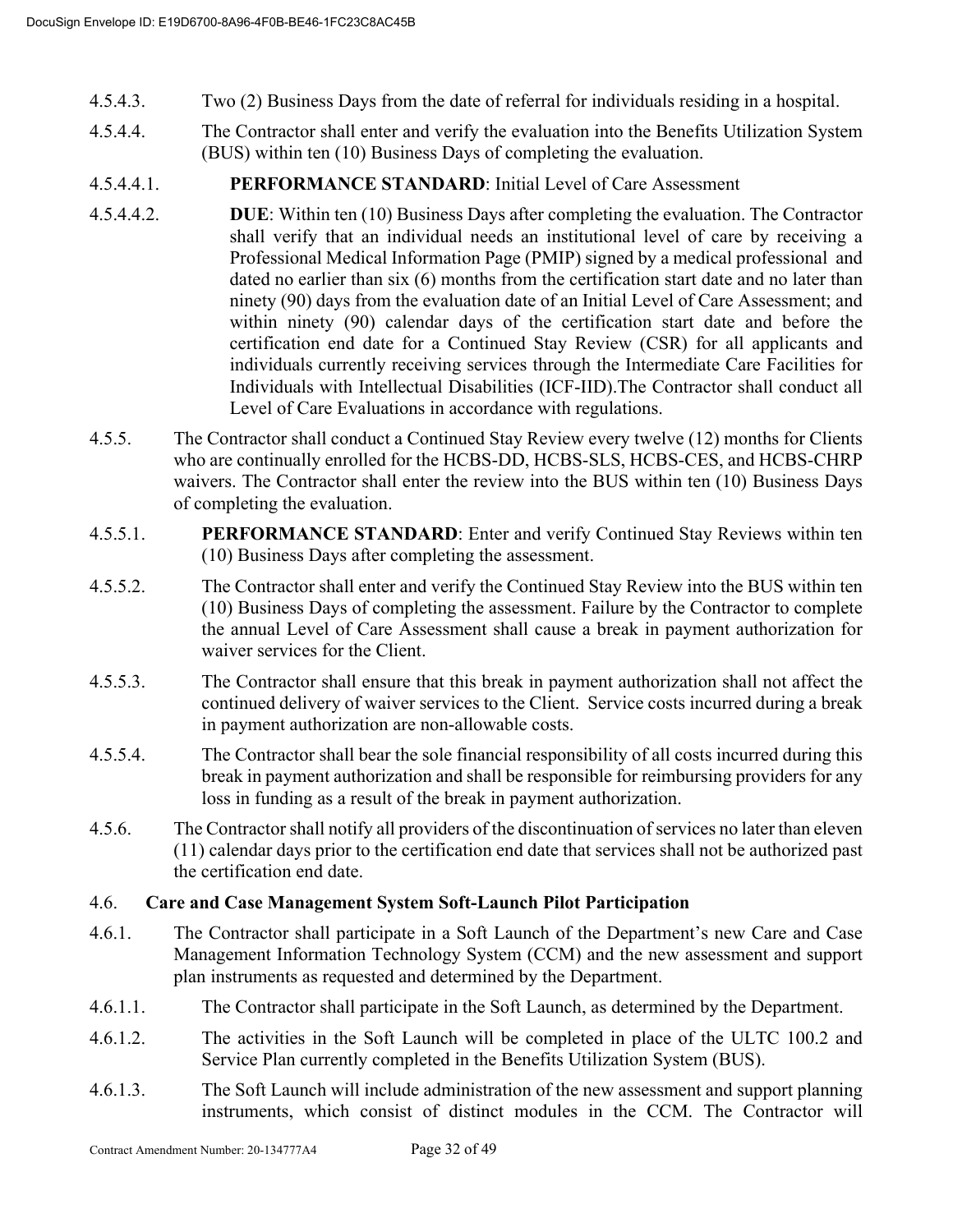- 4.5.4.3. Two (2) Business Days from the date of referral for individuals residing in a hospital.
- 4.5.4.4. The Contractor shall enter and verify the evaluation into the Benefits Utilization System (BUS) within ten (10) Business Days of completing the evaluation.
- 4.5.4.4.1. **PERFORMANCE STANDARD**: Initial Level of Care Assessment
- 4.5.4.4.2. **DUE**: Within ten (10) Business Days after completing the evaluation. The Contractor shall verify that an individual needs an institutional level of care by receiving a Professional Medical Information Page (PMIP) signed by a medical professional and dated no earlier than six (6) months from the certification start date and no later than ninety (90) days from the evaluation date of an Initial Level of Care Assessment; and within ninety (90) calendar days of the certification start date and before the certification end date for a Continued Stay Review (CSR) for all applicants and individuals currently receiving services through the Intermediate Care Facilities for Individuals with Intellectual Disabilities (ICF-IID).The Contractor shall conduct all Level of Care Evaluations in accordance with regulations.
- 4.5.5. The Contractor shall conduct a Continued Stay Review every twelve (12) months for Clients who are continually enrolled for the HCBS-DD, HCBS-SLS, HCBS-CES, and HCBS-CHRP waivers. The Contractor shall enter the review into the BUS within ten (10) Business Days of completing the evaluation.
- 4.5.5.1. **PERFORMANCE STANDARD**: Enter and verify Continued Stay Reviews within ten (10) Business Days after completing the assessment.
- 4.5.5.2. The Contractor shall enter and verify the Continued Stay Review into the BUS within ten (10) Business Days of completing the assessment. Failure by the Contractor to complete the annual Level of Care Assessment shall cause a break in payment authorization for waiver services for the Client.
- 4.5.5.3. The Contractor shall ensure that this break in payment authorization shall not affect the continued delivery of waiver services to the Client. Service costs incurred during a break in payment authorization are non-allowable costs.
- 4.5.5.4. The Contractor shall bear the sole financial responsibility of all costs incurred during this break in payment authorization and shall be responsible for reimbursing providers for any loss in funding as a result of the break in payment authorization.
- 4.5.6. The Contractor shall notify all providers of the discontinuation of services no later than eleven (11) calendar days prior to the certification end date that services shall not be authorized past the certification end date.

# 4.6. **Care and Case Management System Soft-Launch Pilot Participation**

- 4.6.1. The Contractor shall participate in a Soft Launch of the Department's new Care and Case Management Information Technology System (CCM) and the new assessment and support plan instruments as requested and determined by the Department.
- 4.6.1.1. The Contractor shall participate in the Soft Launch, as determined by the Department.
- 4.6.1.2. The activities in the Soft Launch will be completed in place of the ULTC 100.2 and Service Plan currently completed in the Benefits Utilization System (BUS).
- 4.6.1.3. The Soft Launch will include administration of the new assessment and support planning instruments, which consist of distinct modules in the CCM. The Contractor will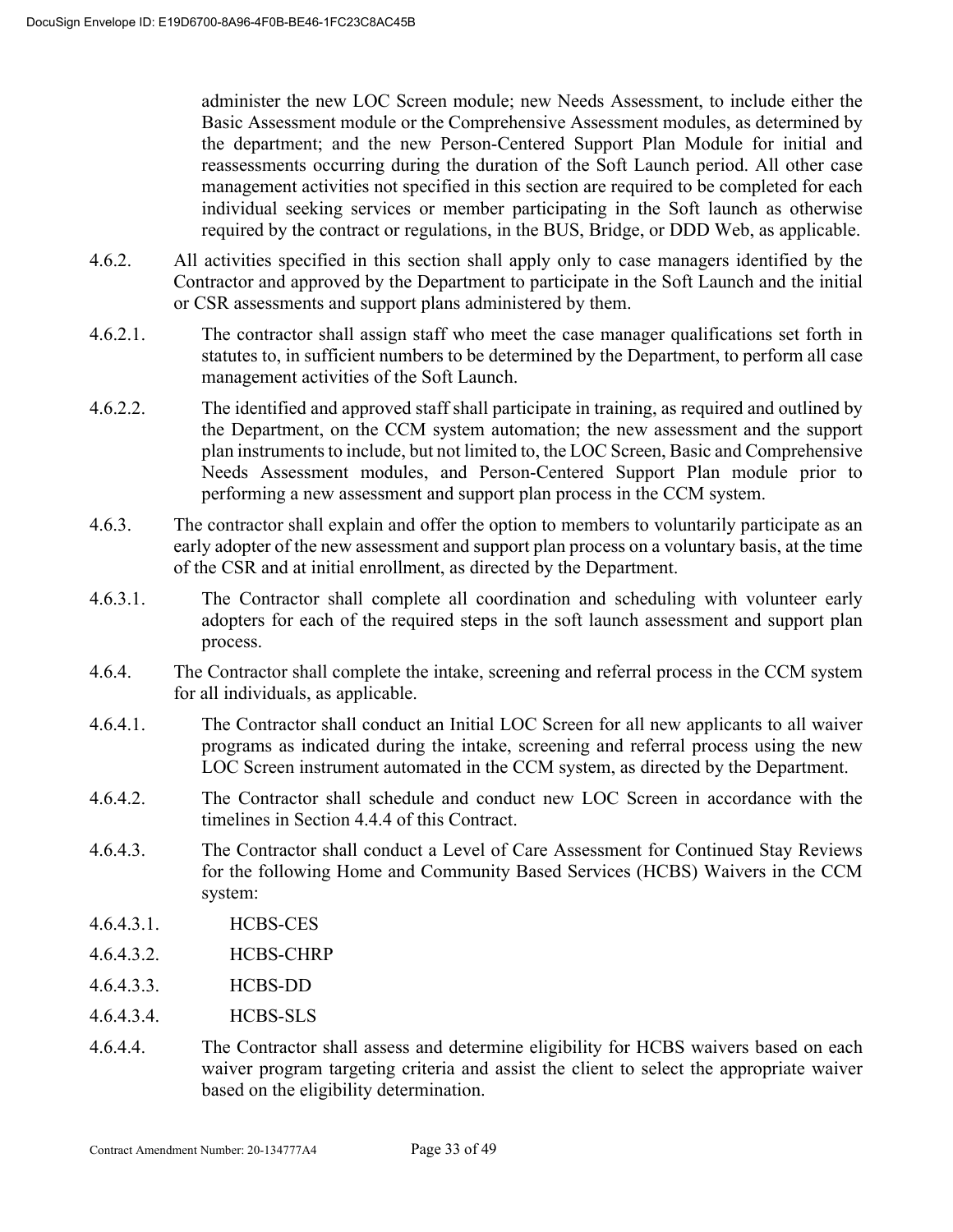administer the new LOC Screen module; new Needs Assessment, to include either the Basic Assessment module or the Comprehensive Assessment modules, as determined by the department; and the new Person-Centered Support Plan Module for initial and reassessments occurring during the duration of the Soft Launch period. All other case management activities not specified in this section are required to be completed for each individual seeking services or member participating in the Soft launch as otherwise required by the contract or regulations, in the BUS, Bridge, or DDD Web, as applicable.

- 4.6.2. All activities specified in this section shall apply only to case managers identified by the Contractor and approved by the Department to participate in the Soft Launch and the initial or CSR assessments and support plans administered by them.
- 4.6.2.1. The contractor shall assign staff who meet the case manager qualifications set forth in statutes to, in sufficient numbers to be determined by the Department, to perform all case management activities of the Soft Launch.
- 4.6.2.2. The identified and approved staff shall participate in training, as required and outlined by the Department, on the CCM system automation; the new assessment and the support plan instruments to include, but not limited to, the LOC Screen, Basic and Comprehensive Needs Assessment modules, and Person-Centered Support Plan module prior to performing a new assessment and support plan process in the CCM system.
- 4.6.3. The contractor shall explain and offer the option to members to voluntarily participate as an early adopter of the new assessment and support plan process on a voluntary basis, at the time of the CSR and at initial enrollment, as directed by the Department.
- 4.6.3.1. The Contractor shall complete all coordination and scheduling with volunteer early adopters for each of the required steps in the soft launch assessment and support plan process.
- 4.6.4. The Contractor shall complete the intake, screening and referral process in the CCM system for all individuals, as applicable.
- 4.6.4.1. The Contractor shall conduct an Initial LOC Screen for all new applicants to all waiver programs as indicated during the intake, screening and referral process using the new LOC Screen instrument automated in the CCM system, as directed by the Department.
- 4.6.4.2. The Contractor shall schedule and conduct new LOC Screen in accordance with the timelines in Section 4.4.4 of this Contract.
- 4.6.4.3. The Contractor shall conduct a Level of Care Assessment for Continued Stay Reviews for the following Home and Community Based Services (HCBS) Waivers in the CCM system:
- 4.6.4.3.1. HCBS-CES
- 4.6.4.3.2. HCBS-CHRP
- 4.6.4.3.3. HCBS-DD
- 4.6.4.3.4. HCBS-SLS
- 4.6.4.4. The Contractor shall assess and determine eligibility for HCBS waivers based on each waiver program targeting criteria and assist the client to select the appropriate waiver based on the eligibility determination.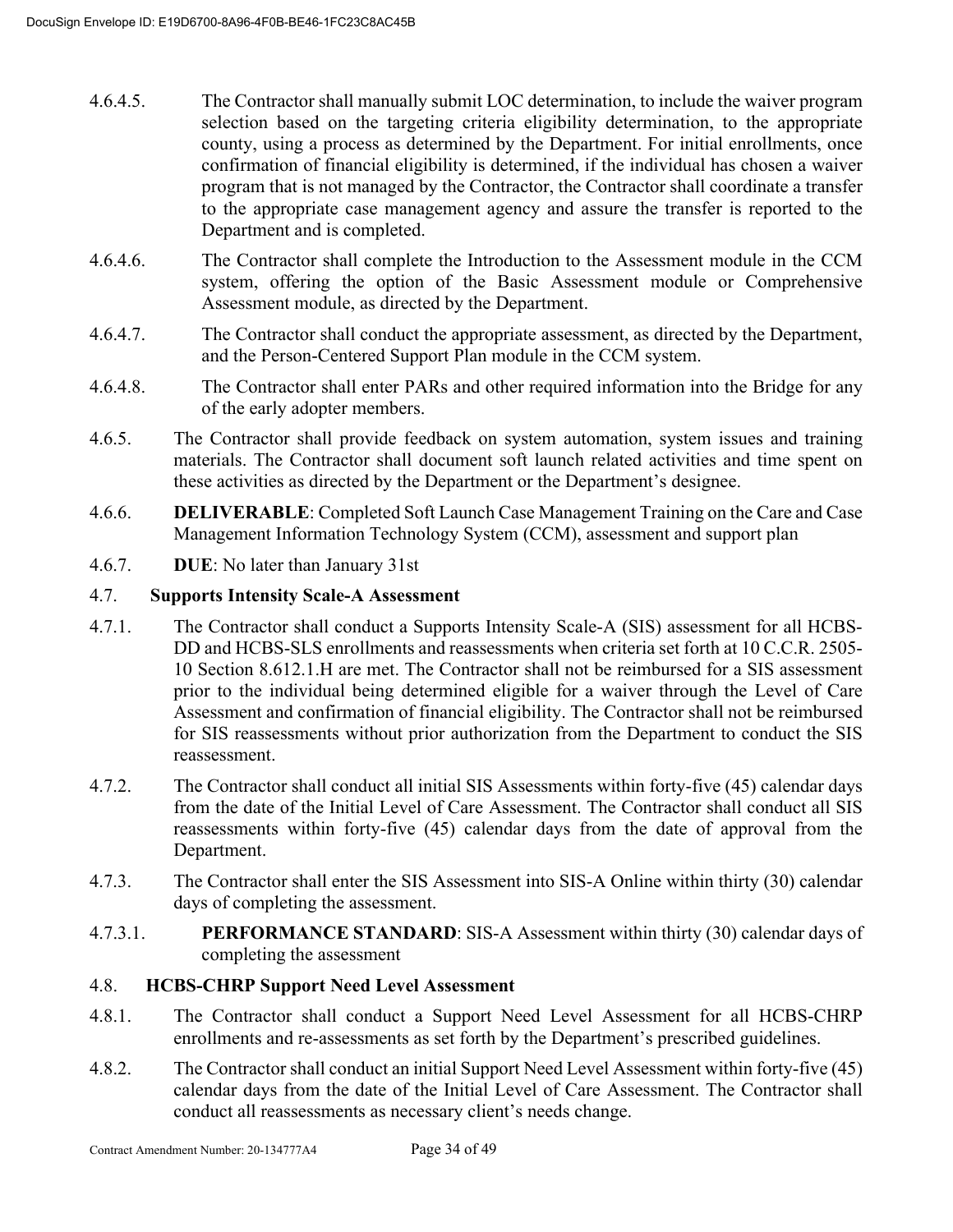- 4.6.4.5. The Contractor shall manually submit LOC determination, to include the waiver program selection based on the targeting criteria eligibility determination, to the appropriate county, using a process as determined by the Department. For initial enrollments, once confirmation of financial eligibility is determined, if the individual has chosen a waiver program that is not managed by the Contractor, the Contractor shall coordinate a transfer to the appropriate case management agency and assure the transfer is reported to the Department and is completed.
- 4.6.4.6. The Contractor shall complete the Introduction to the Assessment module in the CCM system, offering the option of the Basic Assessment module or Comprehensive Assessment module, as directed by the Department.
- 4.6.4.7. The Contractor shall conduct the appropriate assessment, as directed by the Department, and the Person-Centered Support Plan module in the CCM system.
- 4.6.4.8. The Contractor shall enter PARs and other required information into the Bridge for any of the early adopter members.
- 4.6.5. The Contractor shall provide feedback on system automation, system issues and training materials. The Contractor shall document soft launch related activities and time spent on these activities as directed by the Department or the Department's designee.
- 4.6.6. **DELIVERABLE**: Completed Soft Launch Case Management Training on the Care and Case Management Information Technology System (CCM), assessment and support plan
- 4.6.7. **DUE**: No later than January 31st

# 4.7. **Supports Intensity Scale-A Assessment**

- 4.7.1. The Contractor shall conduct a Supports Intensity Scale-A (SIS) assessment for all HCBS-DD and HCBS-SLS enrollments and reassessments when criteria set forth at 10 C.C.R. 2505- 10 Section 8.612.1.H are met. The Contractor shall not be reimbursed for a SIS assessment prior to the individual being determined eligible for a waiver through the Level of Care Assessment and confirmation of financial eligibility. The Contractor shall not be reimbursed for SIS reassessments without prior authorization from the Department to conduct the SIS reassessment.
- 4.7.2. The Contractor shall conduct all initial SIS Assessments within forty-five (45) calendar days from the date of the Initial Level of Care Assessment. The Contractor shall conduct all SIS reassessments within forty-five (45) calendar days from the date of approval from the Department.
- 4.7.3. The Contractor shall enter the SIS Assessment into SIS-A Online within thirty (30) calendar days of completing the assessment.
- 4.7.3.1. **PERFORMANCE STANDARD**: SIS-A Assessment within thirty (30) calendar days of completing the assessment

# 4.8. **HCBS-CHRP Support Need Level Assessment**

- 4.8.1. The Contractor shall conduct a Support Need Level Assessment for all HCBS-CHRP enrollments and re-assessments as set forth by the Department's prescribed guidelines.
- 4.8.2. The Contractor shall conduct an initial Support Need Level Assessment within forty-five (45) calendar days from the date of the Initial Level of Care Assessment. The Contractor shall conduct all reassessments as necessary client's needs change.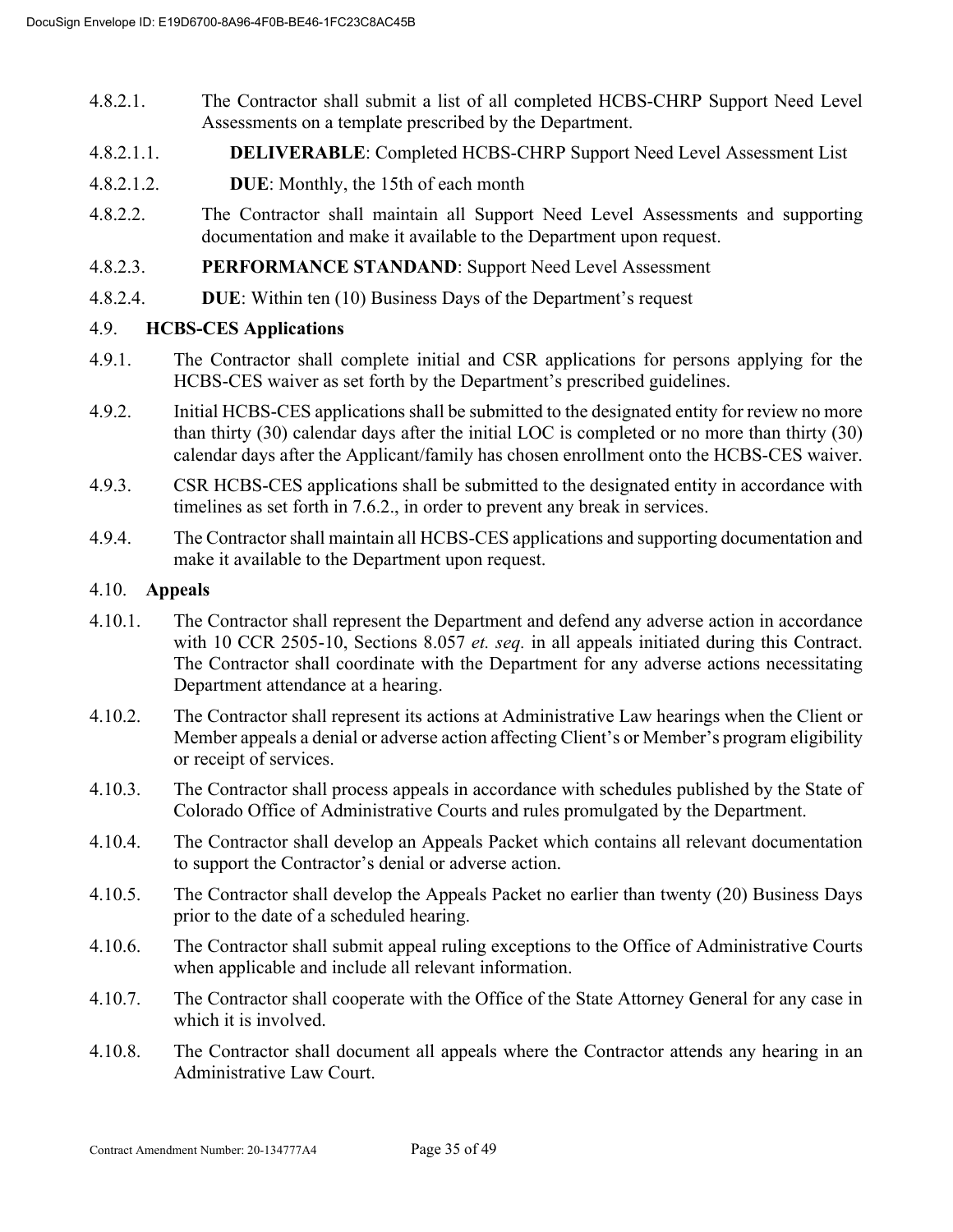- 4.8.2.1. The Contractor shall submit a list of all completed HCBS-CHRP Support Need Level Assessments on a template prescribed by the Department.
- 4.8.2.1.1. **DELIVERABLE**: Completed HCBS-CHRP Support Need Level Assessment List
- 4.8.2.1.2. **DUE**: Monthly, the 15th of each month
- 4.8.2.2. The Contractor shall maintain all Support Need Level Assessments and supporting documentation and make it available to the Department upon request.
- 4.8.2.3. **PERFORMANCE STANDAND**: Support Need Level Assessment
- 4.8.2.4. **DUE**: Within ten (10) Business Days of the Department's request

# 4.9. **HCBS-CES Applications**

- 4.9.1. The Contractor shall complete initial and CSR applications for persons applying for the HCBS-CES waiver as set forth by the Department's prescribed guidelines.
- 4.9.2. Initial HCBS-CES applications shall be submitted to the designated entity for review no more than thirty (30) calendar days after the initial LOC is completed or no more than thirty (30) calendar days after the Applicant/family has chosen enrollment onto the HCBS-CES waiver.
- 4.9.3. CSR HCBS-CES applications shall be submitted to the designated entity in accordance with timelines as set forth in 7.6.2., in order to prevent any break in services.
- 4.9.4. The Contractor shall maintain all HCBS-CES applications and supporting documentation and make it available to the Department upon request.

#### 4.10. **Appeals**

- 4.10.1. The Contractor shall represent the Department and defend any adverse action in accordance with 10 CCR 2505-10, Sections 8.057 *et. seq.* in all appeals initiated during this Contract. The Contractor shall coordinate with the Department for any adverse actions necessitating Department attendance at a hearing.
- 4.10.2. The Contractor shall represent its actions at Administrative Law hearings when the Client or Member appeals a denial or adverse action affecting Client's or Member's program eligibility or receipt of services.
- 4.10.3. The Contractor shall process appeals in accordance with schedules published by the State of Colorado Office of Administrative Courts and rules promulgated by the Department.
- 4.10.4. The Contractor shall develop an Appeals Packet which contains all relevant documentation to support the Contractor's denial or adverse action.
- 4.10.5. The Contractor shall develop the Appeals Packet no earlier than twenty (20) Business Days prior to the date of a scheduled hearing.
- 4.10.6. The Contractor shall submit appeal ruling exceptions to the Office of Administrative Courts when applicable and include all relevant information.
- 4.10.7. The Contractor shall cooperate with the Office of the State Attorney General for any case in which it is involved.
- 4.10.8. The Contractor shall document all appeals where the Contractor attends any hearing in an Administrative Law Court.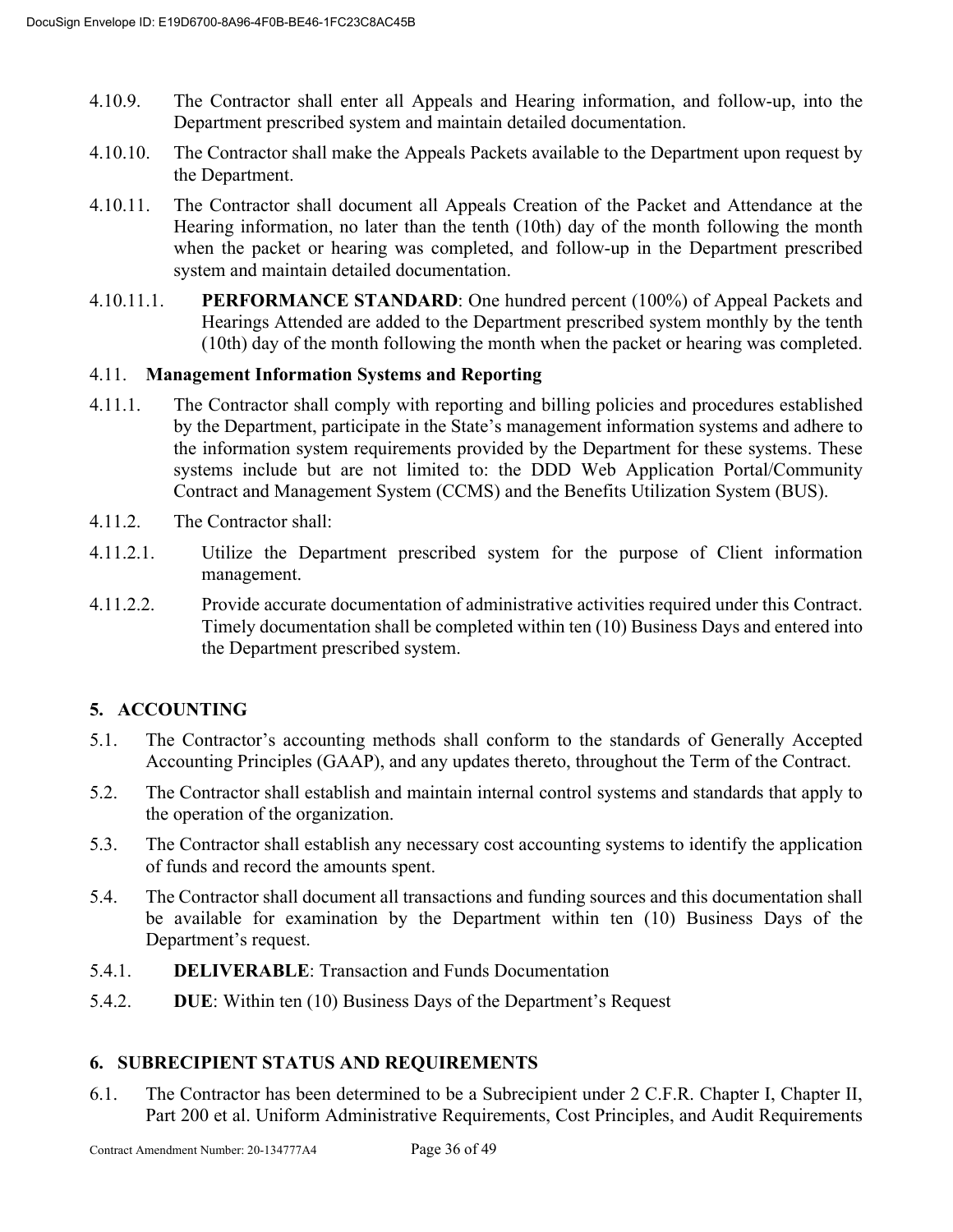- 4.10.9. The Contractor shall enter all Appeals and Hearing information, and follow-up, into the Department prescribed system and maintain detailed documentation.
- 4.10.10. The Contractor shall make the Appeals Packets available to the Department upon request by the Department.
- 4.10.11. The Contractor shall document all Appeals Creation of the Packet and Attendance at the Hearing information, no later than the tenth (10th) day of the month following the month when the packet or hearing was completed, and follow-up in the Department prescribed system and maintain detailed documentation.
- 4.10.11.1. **PERFORMANCE STANDARD**: One hundred percent (100%) of Appeal Packets and Hearings Attended are added to the Department prescribed system monthly by the tenth (10th) day of the month following the month when the packet or hearing was completed.

# 4.11. **Management Information Systems and Reporting**

- 4.11.1. The Contractor shall comply with reporting and billing policies and procedures established by the Department, participate in the State's management information systems and adhere to the information system requirements provided by the Department for these systems. These systems include but are not limited to: the DDD Web Application Portal/Community Contract and Management System (CCMS) and the Benefits Utilization System (BUS).
- 4.11.2. The Contractor shall:
- 4.11.2.1. Utilize the Department prescribed system for the purpose of Client information management.
- 4.11.2.2. Provide accurate documentation of administrative activities required under this Contract. Timely documentation shall be completed within ten (10) Business Days and entered into the Department prescribed system.

# **5. ACCOUNTING**

- 5.1. The Contractor's accounting methods shall conform to the standards of Generally Accepted Accounting Principles (GAAP), and any updates thereto, throughout the Term of the Contract.
- 5.2. The Contractor shall establish and maintain internal control systems and standards that apply to the operation of the organization.
- 5.3. The Contractor shall establish any necessary cost accounting systems to identify the application of funds and record the amounts spent.
- 5.4. The Contractor shall document all transactions and funding sources and this documentation shall be available for examination by the Department within ten (10) Business Days of the Department's request.
- 5.4.1. **DELIVERABLE**: Transaction and Funds Documentation
- 5.4.2. **DUE**: Within ten (10) Business Days of the Department's Request

# **6. SUBRECIPIENT STATUS AND REQUIREMENTS**

6.1. The Contractor has been determined to be a Subrecipient under 2 C.F.R. Chapter I, Chapter II, Part 200 et al. Uniform Administrative Requirements, Cost Principles, and Audit Requirements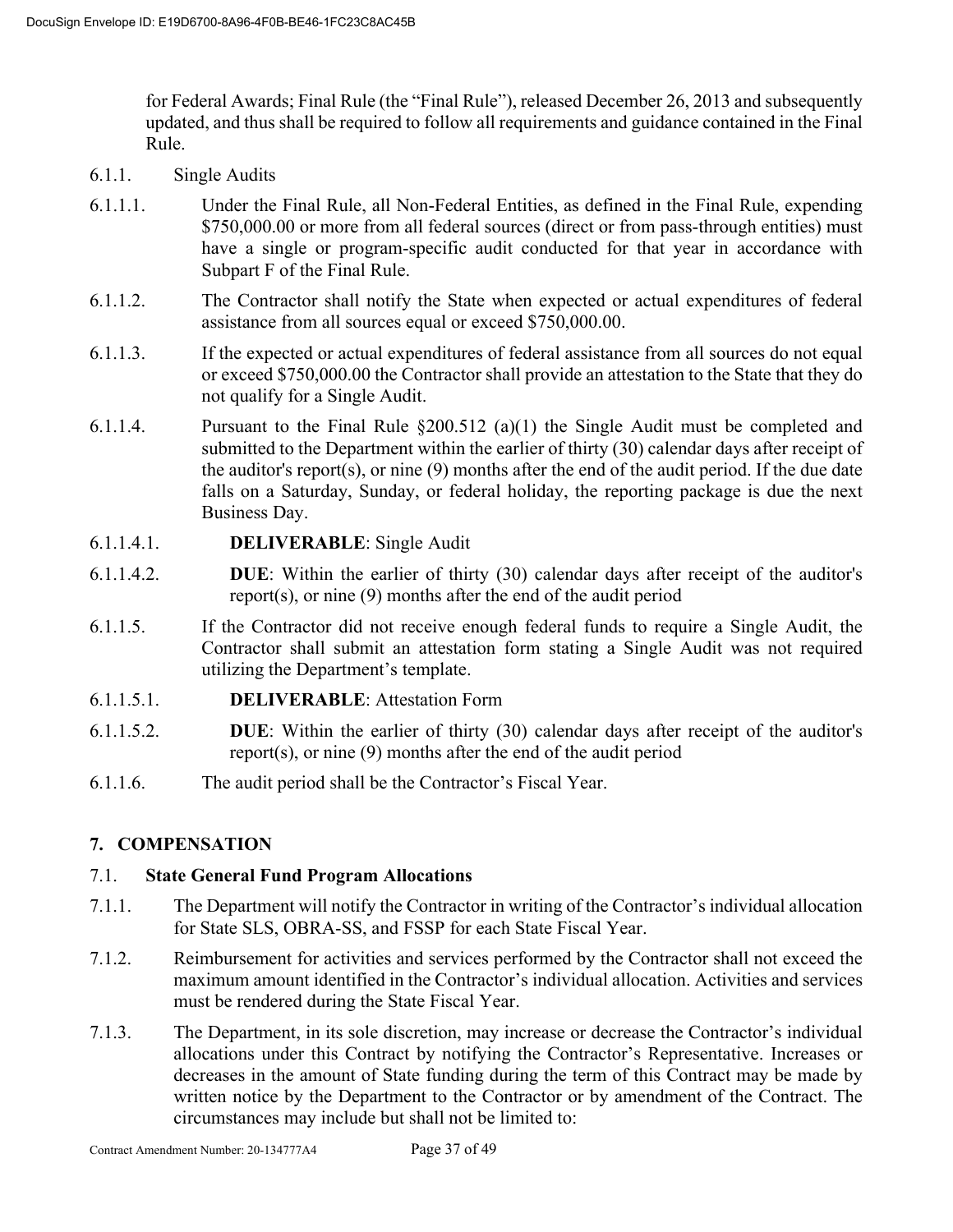for Federal Awards; Final Rule (the "Final Rule"), released December 26, 2013 and subsequently updated, and thus shall be required to follow all requirements and guidance contained in the Final Rule.

- 6.1.1. Single Audits
- 6.1.1.1. Under the Final Rule, all Non-Federal Entities, as defined in the Final Rule, expending \$750,000.00 or more from all federal sources (direct or from pass-through entities) must have a single or program-specific audit conducted for that year in accordance with Subpart F of the Final Rule.
- 6.1.1.2. The Contractor shall notify the State when expected or actual expenditures of federal assistance from all sources equal or exceed \$750,000.00.
- 6.1.1.3. If the expected or actual expenditures of federal assistance from all sources do not equal or exceed \$750,000.00 the Contractor shall provide an attestation to the State that they do not qualify for a Single Audit.
- 6.1.1.4. Pursuant to the Final Rule §200.512 (a)(1) the Single Audit must be completed and submitted to the Department within the earlier of thirty (30) calendar days after receipt of the auditor's report(s), or nine (9) months after the end of the audit period. If the due date falls on a Saturday, Sunday, or federal holiday, the reporting package is due the next Business Day.
- 6.1.1.4.1. **DELIVERABLE**: Single Audit
- 6.1.1.4.2. **DUE**: Within the earlier of thirty (30) calendar days after receipt of the auditor's report(s), or nine (9) months after the end of the audit period
- 6.1.1.5. If the Contractor did not receive enough federal funds to require a Single Audit, the Contractor shall submit an attestation form stating a Single Audit was not required utilizing the Department's template.
- 6.1.1.5.1. **DELIVERABLE**: Attestation Form
- 6.1.1.5.2. **DUE**: Within the earlier of thirty (30) calendar days after receipt of the auditor's report(s), or nine (9) months after the end of the audit period
- 6.1.1.6. The audit period shall be the Contractor's Fiscal Year.

# **7. COMPENSATION**

# 7.1. **State General Fund Program Allocations**

- 7.1.1. The Department will notify the Contractor in writing of the Contractor's individual allocation for State SLS, OBRA-SS, and FSSP for each State Fiscal Year.
- 7.1.2. Reimbursement for activities and services performed by the Contractor shall not exceed the maximum amount identified in the Contractor's individual allocation. Activities and services must be rendered during the State Fiscal Year.
- 7.1.3. The Department, in its sole discretion, may increase or decrease the Contractor's individual allocations under this Contract by notifying the Contractor's Representative. Increases or decreases in the amount of State funding during the term of this Contract may be made by written notice by the Department to the Contractor or by amendment of the Contract. The circumstances may include but shall not be limited to: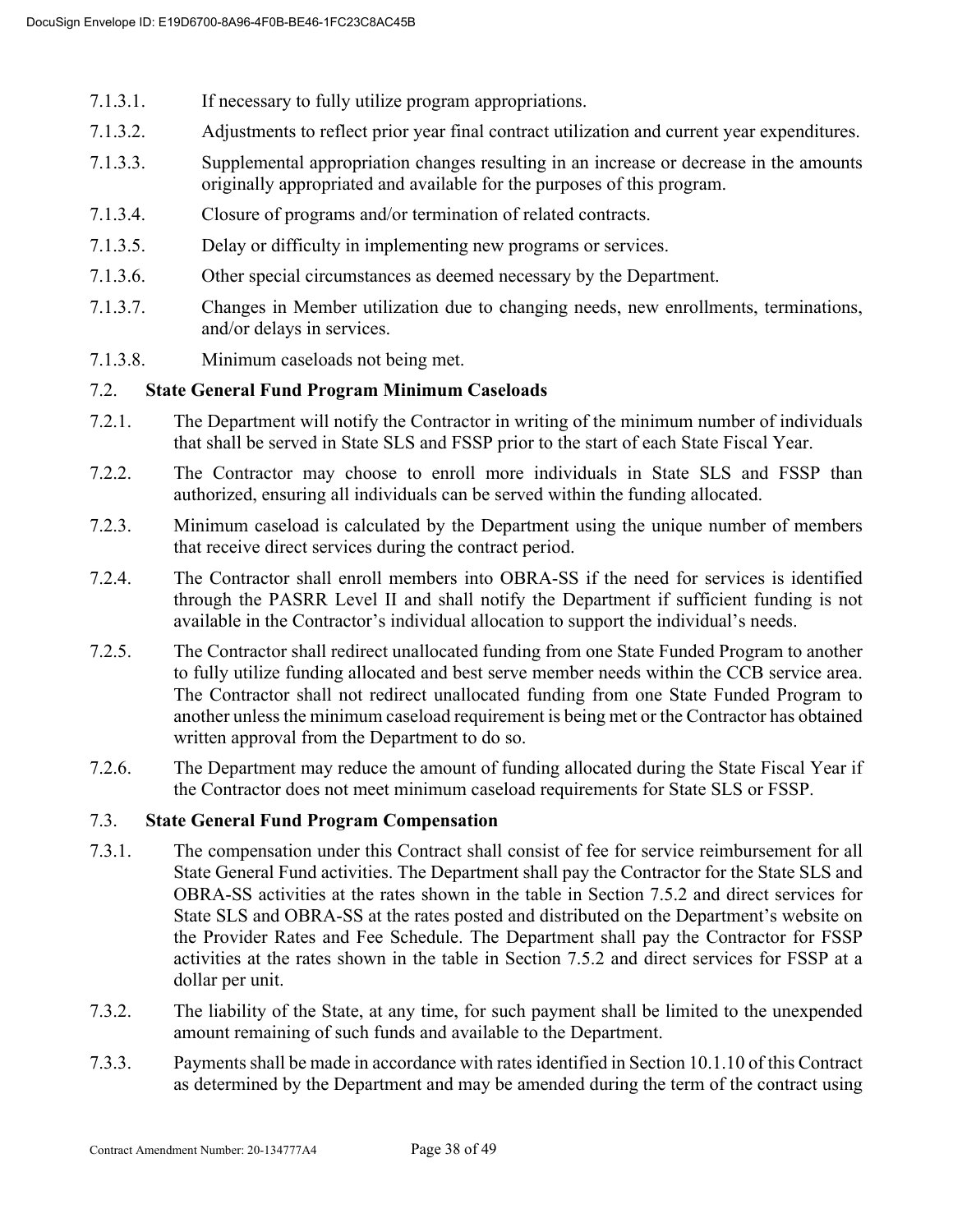- 7.1.3.1. If necessary to fully utilize program appropriations.
- 7.1.3.2. Adjustments to reflect prior year final contract utilization and current year expenditures.
- 7.1.3.3. Supplemental appropriation changes resulting in an increase or decrease in the amounts originally appropriated and available for the purposes of this program.
- 7.1.3.4. Closure of programs and/or termination of related contracts.
- 7.1.3.5. Delay or difficulty in implementing new programs or services.
- 7.1.3.6. Other special circumstances as deemed necessary by the Department.
- 7.1.3.7. Changes in Member utilization due to changing needs, new enrollments, terminations, and/or delays in services.
- 7.1.3.8. Minimum caseloads not being met.

#### 7.2. **State General Fund Program Minimum Caseloads**

- 7.2.1. The Department will notify the Contractor in writing of the minimum number of individuals that shall be served in State SLS and FSSP prior to the start of each State Fiscal Year.
- 7.2.2. The Contractor may choose to enroll more individuals in State SLS and FSSP than authorized, ensuring all individuals can be served within the funding allocated.
- 7.2.3. Minimum caseload is calculated by the Department using the unique number of members that receive direct services during the contract period.
- 7.2.4. The Contractor shall enroll members into OBRA-SS if the need for services is identified through the PASRR Level II and shall notify the Department if sufficient funding is not available in the Contractor's individual allocation to support the individual's needs.
- 7.2.5. The Contractor shall redirect unallocated funding from one State Funded Program to another to fully utilize funding allocated and best serve member needs within the CCB service area. The Contractor shall not redirect unallocated funding from one State Funded Program to another unless the minimum caseload requirement is being met or the Contractor has obtained written approval from the Department to do so.
- 7.2.6. The Department may reduce the amount of funding allocated during the State Fiscal Year if the Contractor does not meet minimum caseload requirements for State SLS or FSSP.

#### 7.3. **State General Fund Program Compensation**

- 7.3.1. The compensation under this Contract shall consist of fee for service reimbursement for all State General Fund activities. The Department shall pay the Contractor for the State SLS and OBRA-SS activities at the rates shown in the table in Section 7.5.2 and direct services for State SLS and OBRA-SS at the rates posted and distributed on the Department's website on the Provider Rates and Fee Schedule. The Department shall pay the Contractor for FSSP activities at the rates shown in the table in Section 7.5.2 and direct services for FSSP at a dollar per unit.
- 7.3.2. The liability of the State, at any time, for such payment shall be limited to the unexpended amount remaining of such funds and available to the Department.
- 7.3.3. Payments shall be made in accordance with rates identified in Section 10.1.10 of this Contract as determined by the Department and may be amended during the term of the contract using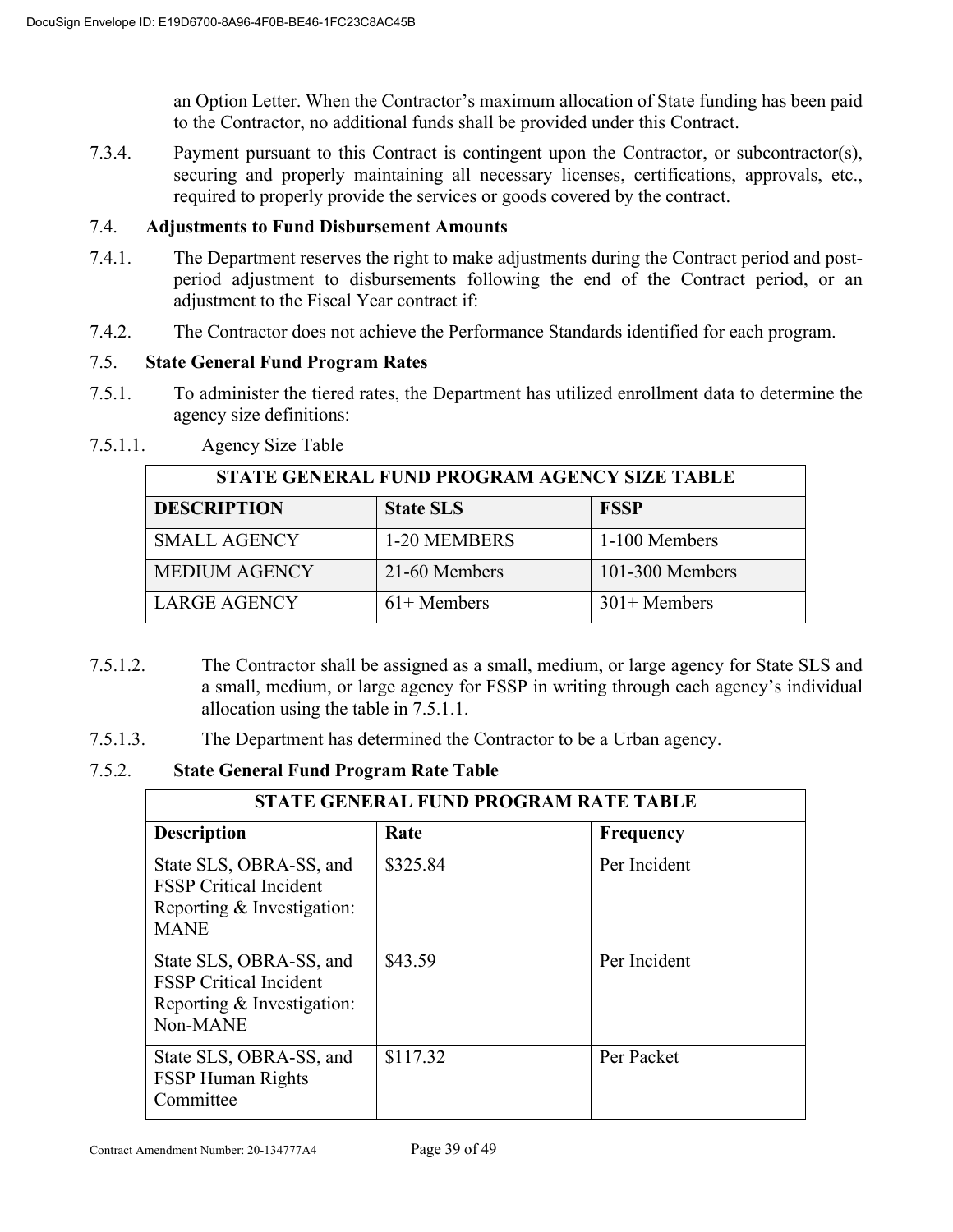an Option Letter. When the Contractor's maximum allocation of State funding has been paid to the Contractor, no additional funds shall be provided under this Contract.

7.3.4. Payment pursuant to this Contract is contingent upon the Contractor, or subcontractor(s), securing and properly maintaining all necessary licenses, certifications, approvals, etc., required to properly provide the services or goods covered by the contract.

#### 7.4. **Adjustments to Fund Disbursement Amounts**

- 7.4.1. The Department reserves the right to make adjustments during the Contract period and postperiod adjustment to disbursements following the end of the Contract period, or an adjustment to the Fiscal Year contract if:
- 7.4.2. The Contractor does not achieve the Performance Standards identified for each program.

# 7.5. **State General Fund Program Rates**

7.5.1. To administer the tiered rates, the Department has utilized enrollment data to determine the agency size definitions:

| STATE GENERAL FUND PROGRAM AGENCY SIZE TABLE |                  |                 |
|----------------------------------------------|------------------|-----------------|
| <b>DESCRIPTION</b>                           | <b>State SLS</b> | <b>FSSP</b>     |
| <b>SMALL AGENCY</b>                          | 1-20 MEMBERS     | 1-100 Members   |
| <b>MEDIUM AGENCY</b>                         | 21-60 Members    | 101-300 Members |
| <b>LARGE AGENCY</b>                          | $61+$ Members    | $301+$ Members  |

7.5.1.1. Agency Size Table

- 7.5.1.2. The Contractor shall be assigned as a small, medium, or large agency for State SLS and a small, medium, or large agency for FSSP in writing through each agency's individual allocation using the table in 7.5.1.1.
- 7.5.1.3. The Department has determined the Contractor to be a Urban agency.

7.5.2. **State General Fund Program Rate Table**

| STATE GENERAL FUND PROGRAM RATE TABLE                                                                 |          |                  |
|-------------------------------------------------------------------------------------------------------|----------|------------------|
| <b>Description</b>                                                                                    | Rate     | <b>Frequency</b> |
| State SLS, OBRA-SS, and<br><b>FSSP</b> Critical Incident<br>Reporting & Investigation:<br><b>MANE</b> | \$325.84 | Per Incident     |
| State SLS, OBRA-SS, and<br><b>FSSP</b> Critical Incident<br>Reporting & Investigation:<br>Non-MANE    | \$43.59  | Per Incident     |
| State SLS, OBRA-SS, and<br><b>FSSP Human Rights</b><br>Committee                                      | \$117.32 | Per Packet       |

Contract Amendment Number: 20-134777A4 Page 39 of 49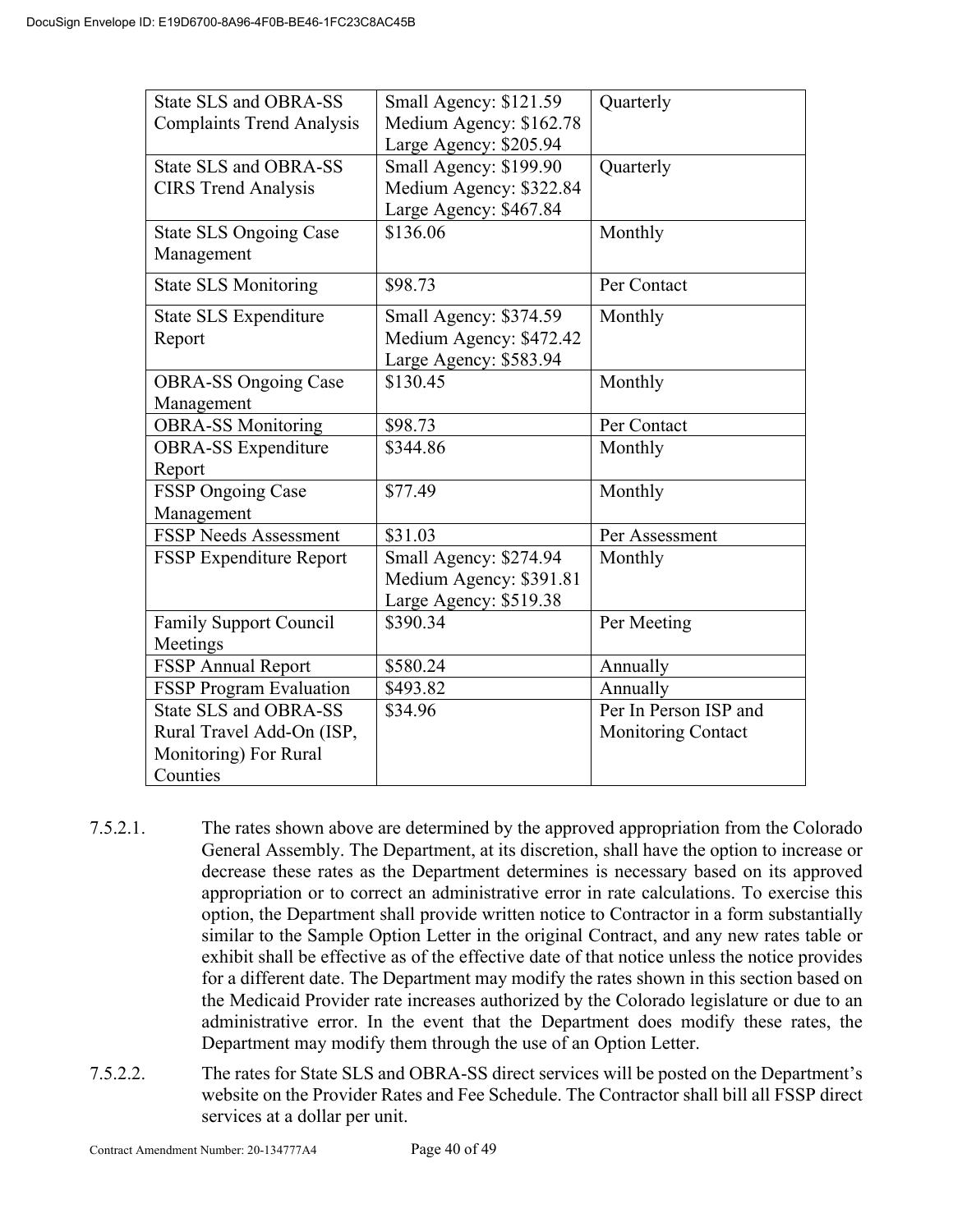| State SLS and OBRA-SS                       | Small Agency: \$121.59                            | Quarterly                 |
|---------------------------------------------|---------------------------------------------------|---------------------------|
| <b>Complaints Trend Analysis</b>            | Medium Agency: \$162.78<br>Large Agency: \$205.94 |                           |
| State SLS and OBRA-SS                       | Small Agency: \$199.90                            | Quarterly                 |
| <b>CIRS</b> Trend Analysis                  | Medium Agency: \$322.84                           |                           |
|                                             | Large Agency: \$467.84                            |                           |
| <b>State SLS Ongoing Case</b><br>Management | \$136.06                                          | Monthly                   |
| <b>State SLS Monitoring</b>                 | \$98.73                                           | Per Contact               |
| State SLS Expenditure                       | Small Agency: \$374.59                            | Monthly                   |
| Report                                      | Medium Agency: \$472.42                           |                           |
|                                             | Large Agency: \$583.94                            |                           |
| <b>OBRA-SS Ongoing Case</b>                 | \$130.45                                          | Monthly                   |
| Management                                  |                                                   |                           |
| <b>OBRA-SS Monitoring</b>                   | \$98.73                                           | Per Contact               |
| <b>OBRA-SS</b> Expenditure                  | \$344.86                                          | Monthly                   |
| Report                                      |                                                   |                           |
| FSSP Ongoing Case                           | \$77.49                                           | Monthly                   |
| Management                                  |                                                   |                           |
| <b>FSSP Needs Assessment</b>                | \$31.03                                           | Per Assessment            |
| FSSP Expenditure Report                     | Small Agency: \$274.94                            | Monthly                   |
|                                             | Medium Agency: \$391.81                           |                           |
|                                             | Large Agency: \$519.38                            |                           |
| <b>Family Support Council</b>               | \$390.34                                          | Per Meeting               |
| Meetings                                    |                                                   |                           |
| <b>FSSP Annual Report</b>                   | \$580.24                                          | Annually                  |
| <b>FSSP Program Evaluation</b>              | \$493.82                                          | Annually                  |
| State SLS and OBRA-SS                       | \$34.96                                           | Per In Person ISP and     |
| Rural Travel Add-On (ISP,                   |                                                   | <b>Monitoring Contact</b> |
| Monitoring) For Rural                       |                                                   |                           |
| Counties                                    |                                                   |                           |

- 7.5.2.1. The rates shown above are determined by the approved appropriation from the Colorado General Assembly. The Department, at its discretion, shall have the option to increase or decrease these rates as the Department determines is necessary based on its approved appropriation or to correct an administrative error in rate calculations. To exercise this option, the Department shall provide written notice to Contractor in a form substantially similar to the Sample Option Letter in the original Contract, and any new rates table or exhibit shall be effective as of the effective date of that notice unless the notice provides for a different date. The Department may modify the rates shown in this section based on the Medicaid Provider rate increases authorized by the Colorado legislature or due to an administrative error. In the event that the Department does modify these rates, the Department may modify them through the use of an Option Letter.
- 7.5.2.2. The rates for State SLS and OBRA-SS direct services will be posted on the Department's website on the Provider Rates and Fee Schedule. The Contractor shall bill all FSSP direct services at a dollar per unit.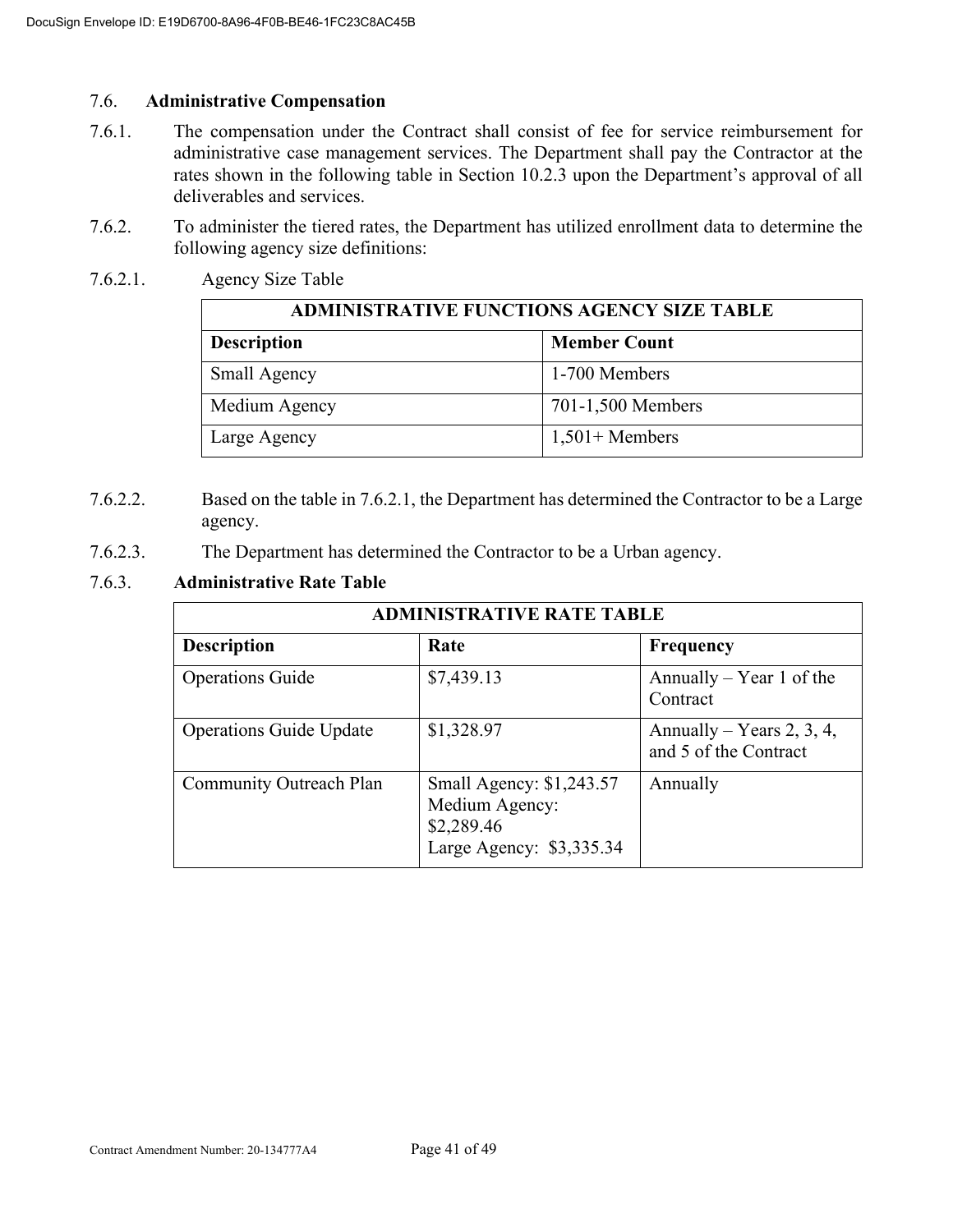#### 7.6. **Administrative Compensation**

- 7.6.1. The compensation under the Contract shall consist of fee for service reimbursement for administrative case management services. The Department shall pay the Contractor at the rates shown in the following table in Section 10.2.3 upon the Department's approval of all deliverables and services.
- 7.6.2. To administer the tiered rates, the Department has utilized enrollment data to determine the following agency size definitions:
- 7.6.2.1. Agency Size Table

| <b>ADMINISTRATIVE FUNCTIONS AGENCY SIZE TABLE</b> |                     |  |
|---------------------------------------------------|---------------------|--|
| <b>Description</b>                                | <b>Member Count</b> |  |
| Small Agency                                      | 1-700 Members       |  |
| Medium Agency                                     | 701-1,500 Members   |  |
| Large Agency                                      | $1,501+$ Members    |  |

- 7.6.2.2. Based on the table in 7.6.2.1, the Department has determined the Contractor to be a Large agency.
- 7.6.2.3. The Department has determined the Contractor to be a Urban agency.

# 7.6.3. **Administrative Rate Table**

| <b>ADMINISTRATIVE RATE TABLE</b> |                                                                                      |                                                    |
|----------------------------------|--------------------------------------------------------------------------------------|----------------------------------------------------|
| <b>Description</b>               | Rate                                                                                 | <b>Frequency</b>                                   |
| <b>Operations Guide</b>          | \$7,439.13                                                                           | Annually – Year 1 of the<br>Contract               |
| <b>Operations Guide Update</b>   | \$1,328.97                                                                           | Annually – Years 2, 3, 4,<br>and 5 of the Contract |
| Community Outreach Plan          | Small Agency: \$1,243.57<br>Medium Agency:<br>\$2,289.46<br>Large Agency: \$3,335.34 | Annually                                           |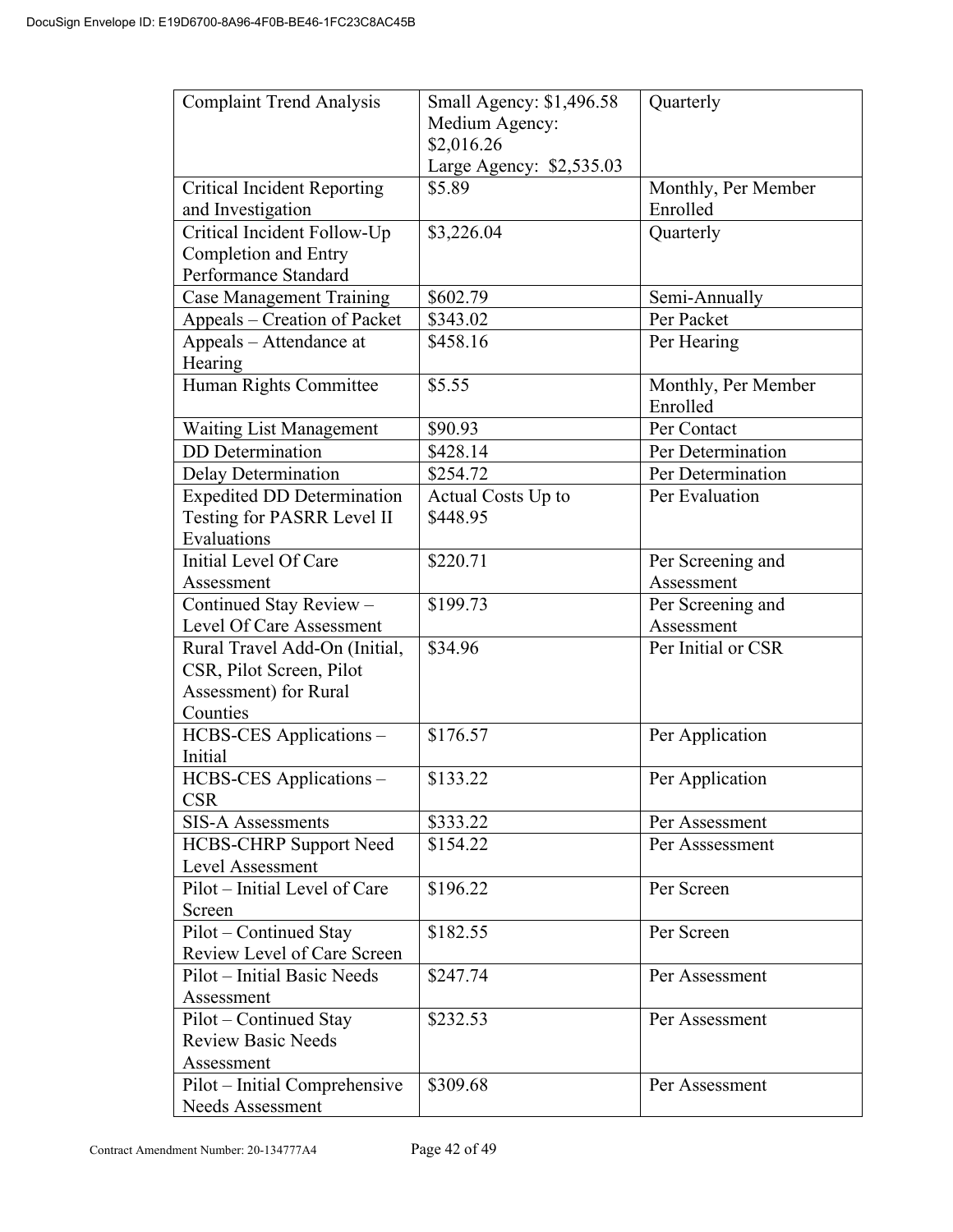| <b>Complaint Trend Analysis</b>                                                                | Small Agency: \$1,496.58<br>Medium Agency:<br>\$2,016.26<br>Large Agency: \$2,535.03 | Quarterly                       |
|------------------------------------------------------------------------------------------------|--------------------------------------------------------------------------------------|---------------------------------|
| <b>Critical Incident Reporting</b><br>and Investigation                                        | \$5.89                                                                               | Monthly, Per Member<br>Enrolled |
| Critical Incident Follow-Up                                                                    | \$3,226.04                                                                           | Quarterly                       |
| Completion and Entry                                                                           |                                                                                      |                                 |
| Performance Standard<br>Case Management Training                                               | \$602.79                                                                             | Semi-Annually                   |
| Appeals - Creation of Packet                                                                   | \$343.02                                                                             | Per Packet                      |
| Appeals – Attendance at<br>Hearing                                                             | \$458.16                                                                             | Per Hearing                     |
| Human Rights Committee                                                                         | \$5.55                                                                               | Monthly, Per Member<br>Enrolled |
| <b>Waiting List Management</b>                                                                 | \$90.93                                                                              | Per Contact                     |
| <b>DD</b> Determination                                                                        | \$428.14                                                                             | Per Determination               |
| Delay Determination                                                                            | \$254.72                                                                             | Per Determination               |
| <b>Expedited DD Determination</b><br>Testing for PASRR Level II<br>Evaluations                 | Actual Costs Up to<br>\$448.95                                                       | Per Evaluation                  |
| Initial Level Of Care                                                                          | \$220.71                                                                             | Per Screening and               |
| Assessment                                                                                     |                                                                                      | Assessment                      |
| Continued Stay Review -                                                                        | \$199.73                                                                             | Per Screening and               |
| Level Of Care Assessment                                                                       |                                                                                      | Assessment                      |
| Rural Travel Add-On (Initial,<br>CSR, Pilot Screen, Pilot<br>Assessment) for Rural<br>Counties | \$34.96                                                                              | Per Initial or CSR              |
| HCBS-CES Applications -<br>Initial                                                             | \$176.57                                                                             | Per Application                 |
| HCBS-CES Applications -<br><b>CSR</b>                                                          | \$133.22                                                                             | Per Application                 |
| <b>SIS-A Assessments</b>                                                                       | \$333.22                                                                             | Per Assessment                  |
| HCBS-CHRP Support Need<br>Level Assessment                                                     | \$154.22                                                                             | Per Asssessment                 |
| Pilot - Initial Level of Care<br>Screen                                                        | \$196.22                                                                             | Per Screen                      |
| Pilot – Continued Stay<br>Review Level of Care Screen                                          | \$182.55                                                                             | Per Screen                      |
| Pilot – Initial Basic Needs<br>Assessment                                                      | \$247.74                                                                             | Per Assessment                  |
| Pilot – Continued Stay<br><b>Review Basic Needs</b><br>Assessment                              | \$232.53                                                                             | Per Assessment                  |
| Pilot – Initial Comprehensive<br>Needs Assessment                                              | \$309.68                                                                             | Per Assessment                  |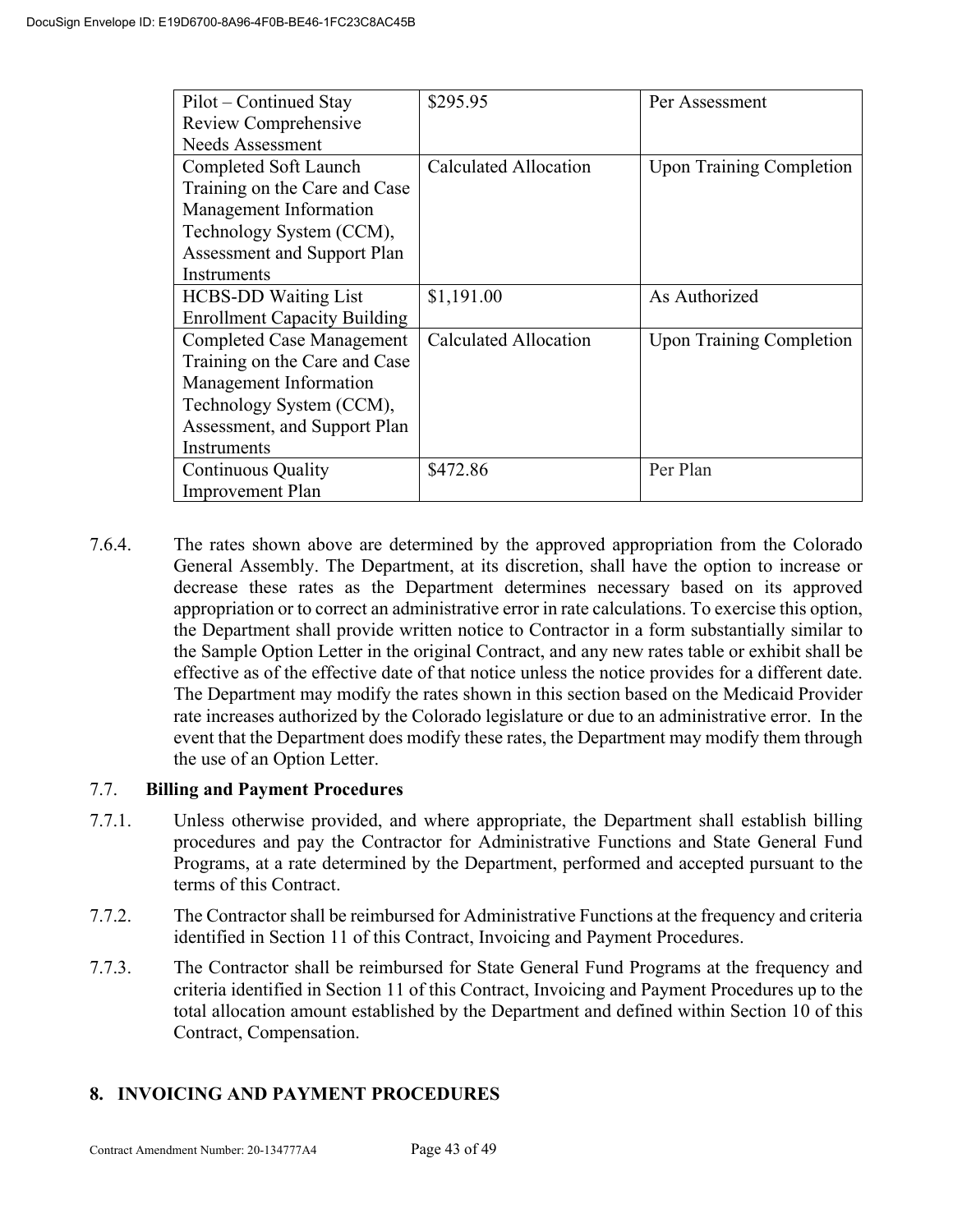| Pilot – Continued Stay              | \$295.95                     | Per Assessment                  |
|-------------------------------------|------------------------------|---------------------------------|
| Review Comprehensive                |                              |                                 |
| <b>Needs Assessment</b>             |                              |                                 |
| Completed Soft Launch               | <b>Calculated Allocation</b> | <b>Upon Training Completion</b> |
| Training on the Care and Case       |                              |                                 |
| Management Information              |                              |                                 |
| Technology System (CCM),            |                              |                                 |
| Assessment and Support Plan         |                              |                                 |
| Instruments                         |                              |                                 |
| <b>HCBS-DD Waiting List</b>         | \$1,191.00                   | As Authorized                   |
| <b>Enrollment Capacity Building</b> |                              |                                 |
| <b>Completed Case Management</b>    | <b>Calculated Allocation</b> | <b>Upon Training Completion</b> |
| Training on the Care and Case       |                              |                                 |
| Management Information              |                              |                                 |
| Technology System (CCM),            |                              |                                 |
| Assessment, and Support Plan        |                              |                                 |
| Instruments                         |                              |                                 |
| <b>Continuous Quality</b>           | \$472.86                     | Per Plan                        |
| <b>Improvement Plan</b>             |                              |                                 |

7.6.4. The rates shown above are determined by the approved appropriation from the Colorado General Assembly. The Department, at its discretion, shall have the option to increase or decrease these rates as the Department determines necessary based on its approved appropriation or to correct an administrative error in rate calculations. To exercise this option, the Department shall provide written notice to Contractor in a form substantially similar to the Sample Option Letter in the original Contract, and any new rates table or exhibit shall be effective as of the effective date of that notice unless the notice provides for a different date. The Department may modify the rates shown in this section based on the Medicaid Provider rate increases authorized by the Colorado legislature or due to an administrative error. In the event that the Department does modify these rates, the Department may modify them through the use of an Option Letter.

# 7.7. **Billing and Payment Procedures**

- 7.7.1. Unless otherwise provided, and where appropriate, the Department shall establish billing procedures and pay the Contractor for Administrative Functions and State General Fund Programs, at a rate determined by the Department, performed and accepted pursuant to the terms of this Contract.
- 7.7.2. The Contractor shall be reimbursed for Administrative Functions at the frequency and criteria identified in Section 11 of this Contract, Invoicing and Payment Procedures.
- 7.7.3. The Contractor shall be reimbursed for State General Fund Programs at the frequency and criteria identified in Section 11 of this Contract, Invoicing and Payment Procedures up to the total allocation amount established by the Department and defined within Section 10 of this Contract, Compensation.

# **8. INVOICING AND PAYMENT PROCEDURES**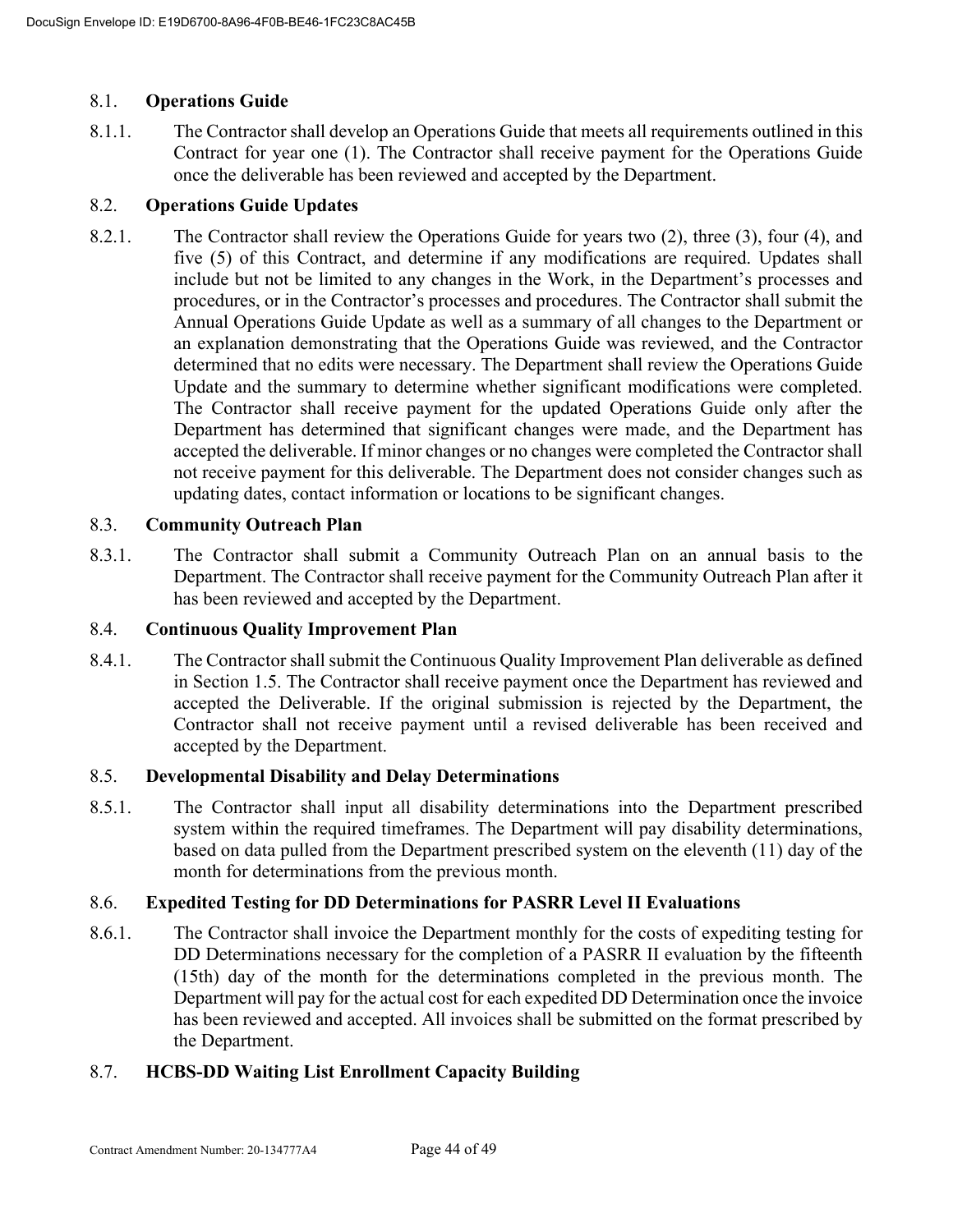# 8.1. **Operations Guide**

8.1.1. The Contractor shall develop an Operations Guide that meets all requirements outlined in this Contract for year one (1). The Contractor shall receive payment for the Operations Guide once the deliverable has been reviewed and accepted by the Department.

# 8.2. **Operations Guide Updates**

8.2.1. The Contractor shall review the Operations Guide for years two (2), three (3), four (4), and five (5) of this Contract, and determine if any modifications are required. Updates shall include but not be limited to any changes in the Work, in the Department's processes and procedures, or in the Contractor's processes and procedures. The Contractor shall submit the Annual Operations Guide Update as well as a summary of all changes to the Department or an explanation demonstrating that the Operations Guide was reviewed, and the Contractor determined that no edits were necessary. The Department shall review the Operations Guide Update and the summary to determine whether significant modifications were completed. The Contractor shall receive payment for the updated Operations Guide only after the Department has determined that significant changes were made, and the Department has accepted the deliverable. If minor changes or no changes were completed the Contractor shall not receive payment for this deliverable. The Department does not consider changes such as updating dates, contact information or locations to be significant changes.

# 8.3. **Community Outreach Plan**

8.3.1. The Contractor shall submit a Community Outreach Plan on an annual basis to the Department. The Contractor shall receive payment for the Community Outreach Plan after it has been reviewed and accepted by the Department.

# 8.4. **Continuous Quality Improvement Plan**

8.4.1. The Contractor shall submit the Continuous Quality Improvement Plan deliverable as defined in Section 1.5. The Contractor shall receive payment once the Department has reviewed and accepted the Deliverable. If the original submission is rejected by the Department, the Contractor shall not receive payment until a revised deliverable has been received and accepted by the Department.

# 8.5. **Developmental Disability and Delay Determinations**

8.5.1. The Contractor shall input all disability determinations into the Department prescribed system within the required timeframes. The Department will pay disability determinations, based on data pulled from the Department prescribed system on the eleventh (11) day of the month for determinations from the previous month.

# 8.6. **Expedited Testing for DD Determinations for PASRR Level II Evaluations**

8.6.1. The Contractor shall invoice the Department monthly for the costs of expediting testing for DD Determinations necessary for the completion of a PASRR II evaluation by the fifteenth (15th) day of the month for the determinations completed in the previous month. The Department will pay for the actual cost for each expedited DD Determination once the invoice has been reviewed and accepted. All invoices shall be submitted on the format prescribed by the Department.

# 8.7. **HCBS-DD Waiting List Enrollment Capacity Building**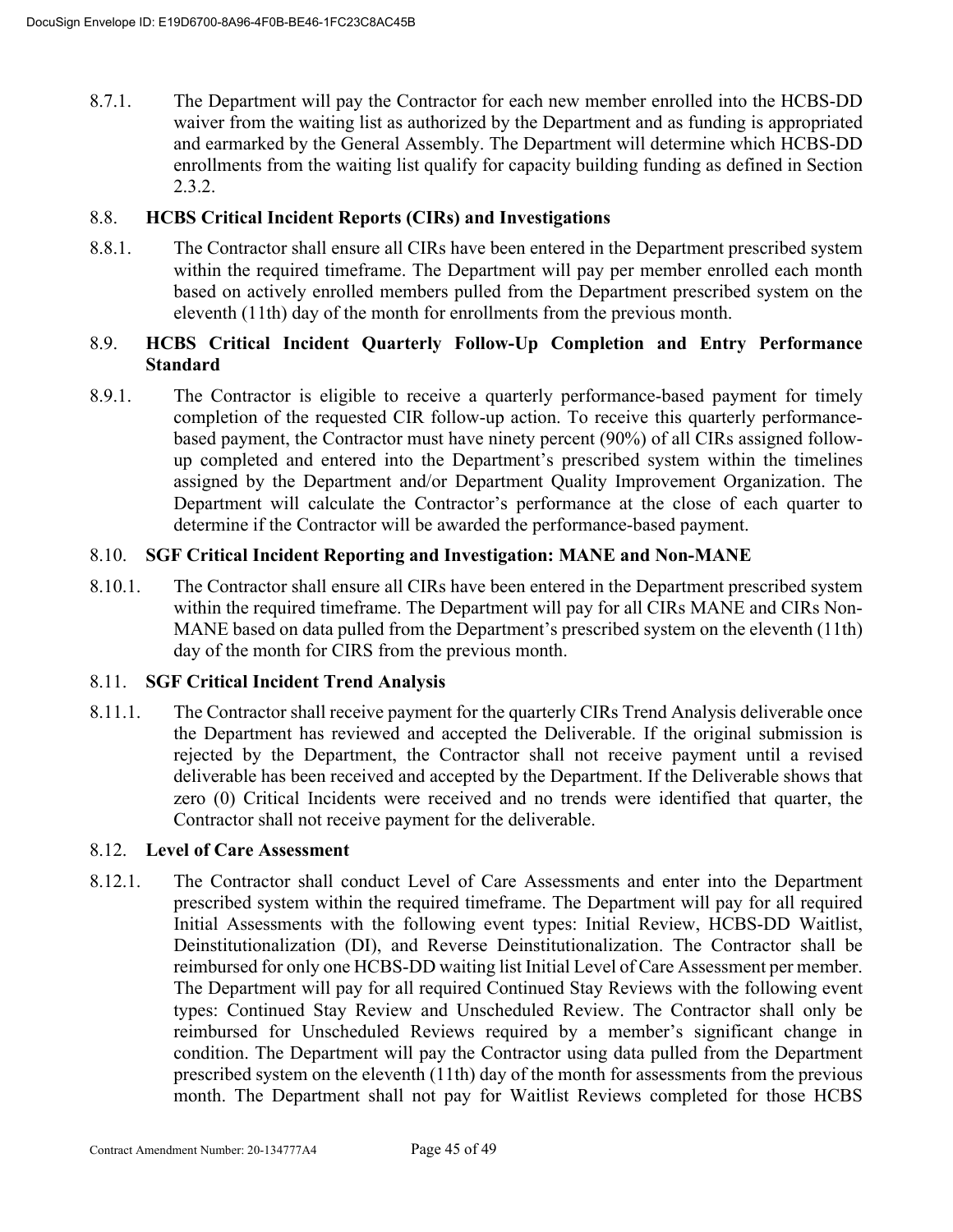8.7.1. The Department will pay the Contractor for each new member enrolled into the HCBS-DD waiver from the waiting list as authorized by the Department and as funding is appropriated and earmarked by the General Assembly. The Department will determine which HCBS-DD enrollments from the waiting list qualify for capacity building funding as defined in Section 2.3.2.

# 8.8. **HCBS Critical Incident Reports (CIRs) and Investigations**

8.8.1. The Contractor shall ensure all CIRs have been entered in the Department prescribed system within the required timeframe. The Department will pay per member enrolled each month based on actively enrolled members pulled from the Department prescribed system on the eleventh (11th) day of the month for enrollments from the previous month.

# 8.9. **HCBS Critical Incident Quarterly Follow-Up Completion and Entry Performance Standard**

8.9.1. The Contractor is eligible to receive a quarterly performance-based payment for timely completion of the requested CIR follow-up action. To receive this quarterly performancebased payment, the Contractor must have ninety percent (90%) of all CIRs assigned followup completed and entered into the Department's prescribed system within the timelines assigned by the Department and/or Department Quality Improvement Organization. The Department will calculate the Contractor's performance at the close of each quarter to determine if the Contractor will be awarded the performance-based payment.

# 8.10. **SGF Critical Incident Reporting and Investigation: MANE and Non-MANE**

8.10.1. The Contractor shall ensure all CIRs have been entered in the Department prescribed system within the required timeframe. The Department will pay for all CIRs MANE and CIRs Non-MANE based on data pulled from the Department's prescribed system on the eleventh (11th) day of the month for CIRS from the previous month.

# 8.11. **SGF Critical Incident Trend Analysis**

8.11.1. The Contractor shall receive payment for the quarterly CIRs Trend Analysis deliverable once the Department has reviewed and accepted the Deliverable. If the original submission is rejected by the Department, the Contractor shall not receive payment until a revised deliverable has been received and accepted by the Department. If the Deliverable shows that zero (0) Critical Incidents were received and no trends were identified that quarter, the Contractor shall not receive payment for the deliverable.

# 8.12. **Level of Care Assessment**

8.12.1. The Contractor shall conduct Level of Care Assessments and enter into the Department prescribed system within the required timeframe. The Department will pay for all required Initial Assessments with the following event types: Initial Review, HCBS-DD Waitlist, Deinstitutionalization (DI), and Reverse Deinstitutionalization. The Contractor shall be reimbursed for only one HCBS-DD waiting list Initial Level of Care Assessment per member. The Department will pay for all required Continued Stay Reviews with the following event types: Continued Stay Review and Unscheduled Review. The Contractor shall only be reimbursed for Unscheduled Reviews required by a member's significant change in condition. The Department will pay the Contractor using data pulled from the Department prescribed system on the eleventh (11th) day of the month for assessments from the previous month. The Department shall not pay for Waitlist Reviews completed for those HCBS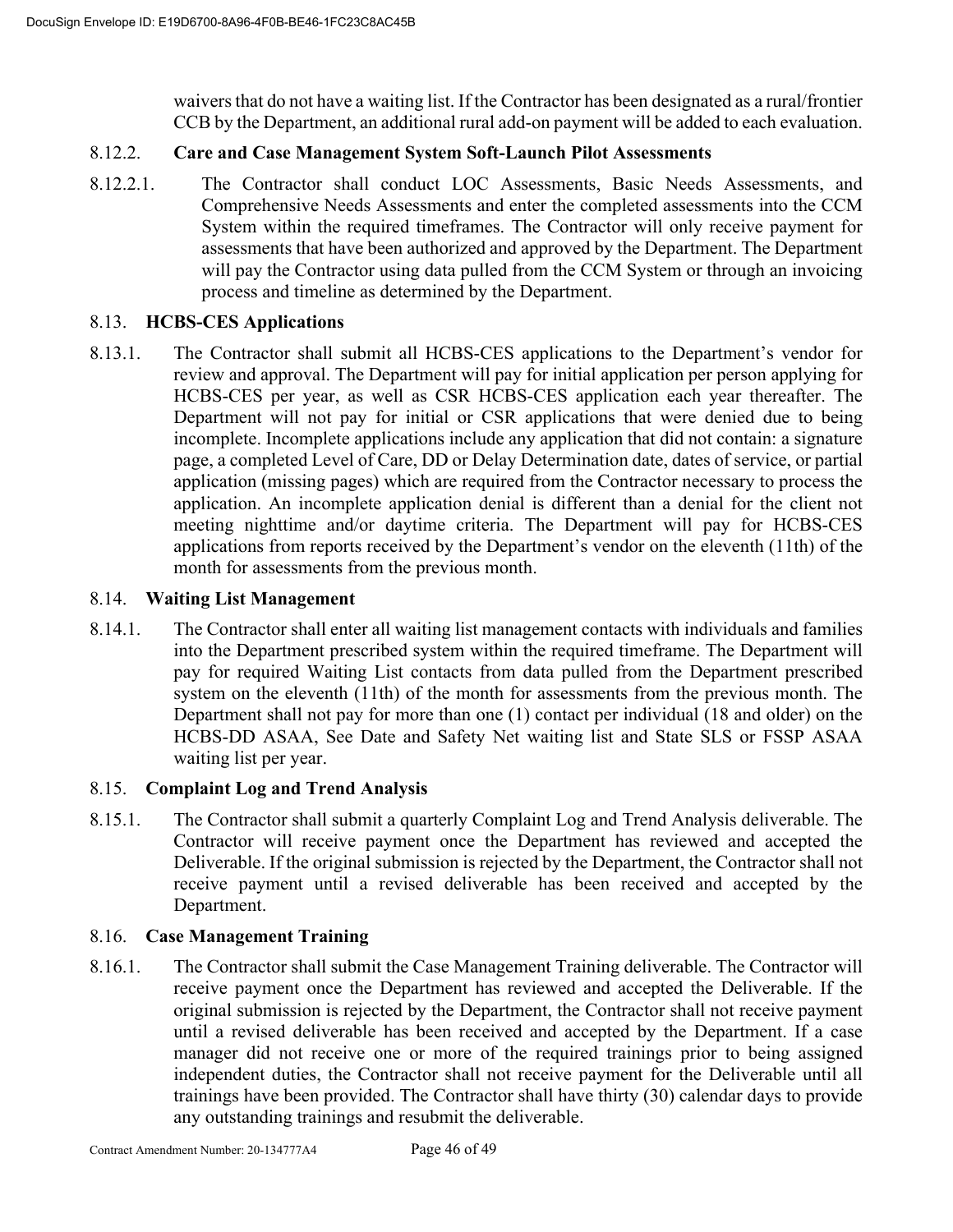waivers that do not have a waiting list. If the Contractor has been designated as a rural/frontier CCB by the Department, an additional rural add-on payment will be added to each evaluation.

# 8.12.2. **Care and Case Management System Soft-Launch Pilot Assessments**

8.12.2.1. The Contractor shall conduct LOC Assessments, Basic Needs Assessments, and Comprehensive Needs Assessments and enter the completed assessments into the CCM System within the required timeframes. The Contractor will only receive payment for assessments that have been authorized and approved by the Department. The Department will pay the Contractor using data pulled from the CCM System or through an invoicing process and timeline as determined by the Department.

# 8.13. **HCBS-CES Applications**

8.13.1. The Contractor shall submit all HCBS-CES applications to the Department's vendor for review and approval. The Department will pay for initial application per person applying for HCBS-CES per year, as well as CSR HCBS-CES application each year thereafter. The Department will not pay for initial or CSR applications that were denied due to being incomplete. Incomplete applications include any application that did not contain: a signature page, a completed Level of Care, DD or Delay Determination date, dates of service, or partial application (missing pages) which are required from the Contractor necessary to process the application. An incomplete application denial is different than a denial for the client not meeting nighttime and/or daytime criteria. The Department will pay for HCBS-CES applications from reports received by the Department's vendor on the eleventh (11th) of the month for assessments from the previous month.

# 8.14. **Waiting List Management**

8.14.1. The Contractor shall enter all waiting list management contacts with individuals and families into the Department prescribed system within the required timeframe. The Department will pay for required Waiting List contacts from data pulled from the Department prescribed system on the eleventh (11th) of the month for assessments from the previous month. The Department shall not pay for more than one (1) contact per individual (18 and older) on the HCBS-DD ASAA, See Date and Safety Net waiting list and State SLS or FSSP ASAA waiting list per year.

# 8.15. **Complaint Log and Trend Analysis**

8.15.1. The Contractor shall submit a quarterly Complaint Log and Trend Analysis deliverable. The Contractor will receive payment once the Department has reviewed and accepted the Deliverable. If the original submission is rejected by the Department, the Contractor shall not receive payment until a revised deliverable has been received and accepted by the Department.

# 8.16. **Case Management Training**

8.16.1. The Contractor shall submit the Case Management Training deliverable. The Contractor will receive payment once the Department has reviewed and accepted the Deliverable. If the original submission is rejected by the Department, the Contractor shall not receive payment until a revised deliverable has been received and accepted by the Department. If a case manager did not receive one or more of the required trainings prior to being assigned independent duties, the Contractor shall not receive payment for the Deliverable until all trainings have been provided. The Contractor shall have thirty (30) calendar days to provide any outstanding trainings and resubmit the deliverable.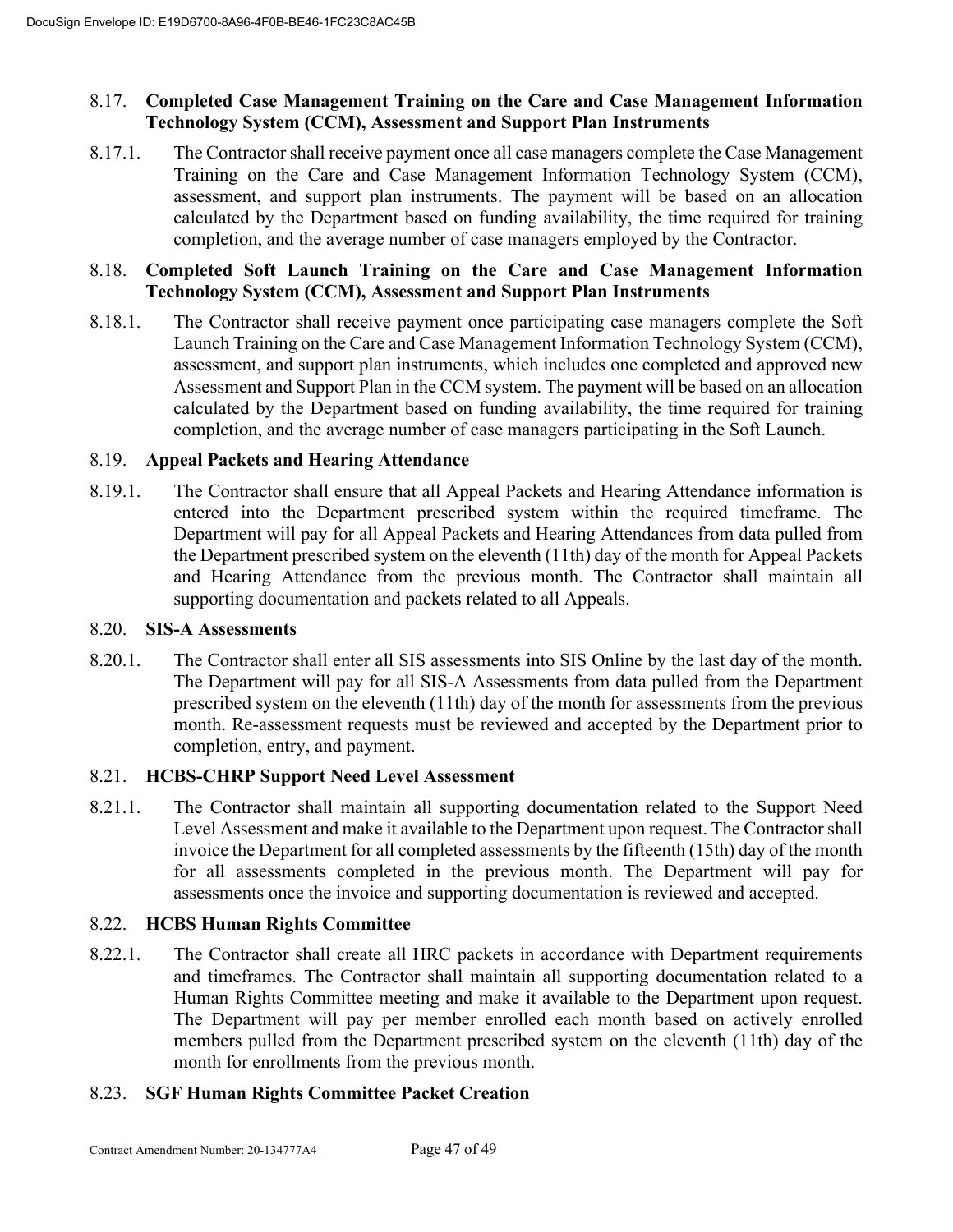# 8.17. **Completed Case Management Training on the Care and Case Management Information Technology System (CCM), Assessment and Support Plan Instruments**

8.17.1. The Contractor shall receive payment once all case managers complete the Case Management Training on the Care and Case Management Information Technology System (CCM), assessment, and support plan instruments. The payment will be based on an allocation calculated by the Department based on funding availability, the time required for training completion, and the average number of case managers employed by the Contractor.

# 8.18. **Completed Soft Launch Training on the Care and Case Management Information Technology System (CCM), Assessment and Support Plan Instruments**

8.18.1. The Contractor shall receive payment once participating case managers complete the Soft Launch Training on the Care and Case Management Information Technology System (CCM), assessment, and support plan instruments, which includes one completed and approved new Assessment and Support Plan in the CCM system. The payment will be based on an allocation calculated by the Department based on funding availability, the time required for training completion, and the average number of case managers participating in the Soft Launch.

# 8.19. **Appeal Packets and Hearing Attendance**

8.19.1. The Contractor shall ensure that all Appeal Packets and Hearing Attendance information is entered into the Department prescribed system within the required timeframe. The Department will pay for all Appeal Packets and Hearing Attendances from data pulled from the Department prescribed system on the eleventh (11th) day of the month for Appeal Packets and Hearing Attendance from the previous month. The Contractor shall maintain all supporting documentation and packets related to all Appeals.

# 8.20. **SIS-A Assessments**

8.20.1. The Contractor shall enter all SIS assessments into SIS Online by the last day of the month. The Department will pay for all SIS-A Assessments from data pulled from the Department prescribed system on the eleventh (11th) day of the month for assessments from the previous month. Re-assessment requests must be reviewed and accepted by the Department prior to completion, entry, and payment.

# 8.21. **HCBS-CHRP Support Need Level Assessment**

8.21.1. The Contractor shall maintain all supporting documentation related to the Support Need Level Assessment and make it available to the Department upon request. The Contractor shall invoice the Department for all completed assessments by the fifteenth (15th) day of the month for all assessments completed in the previous month. The Department will pay for assessments once the invoice and supporting documentation is reviewed and accepted.

# 8.22. **HCBS Human Rights Committee**

8.22.1. The Contractor shall create all HRC packets in accordance with Department requirements and timeframes. The Contractor shall maintain all supporting documentation related to a Human Rights Committee meeting and make it available to the Department upon request. The Department will pay per member enrolled each month based on actively enrolled members pulled from the Department prescribed system on the eleventh (11th) day of the month for enrollments from the previous month.

# 8.23. **SGF Human Rights Committee Packet Creation**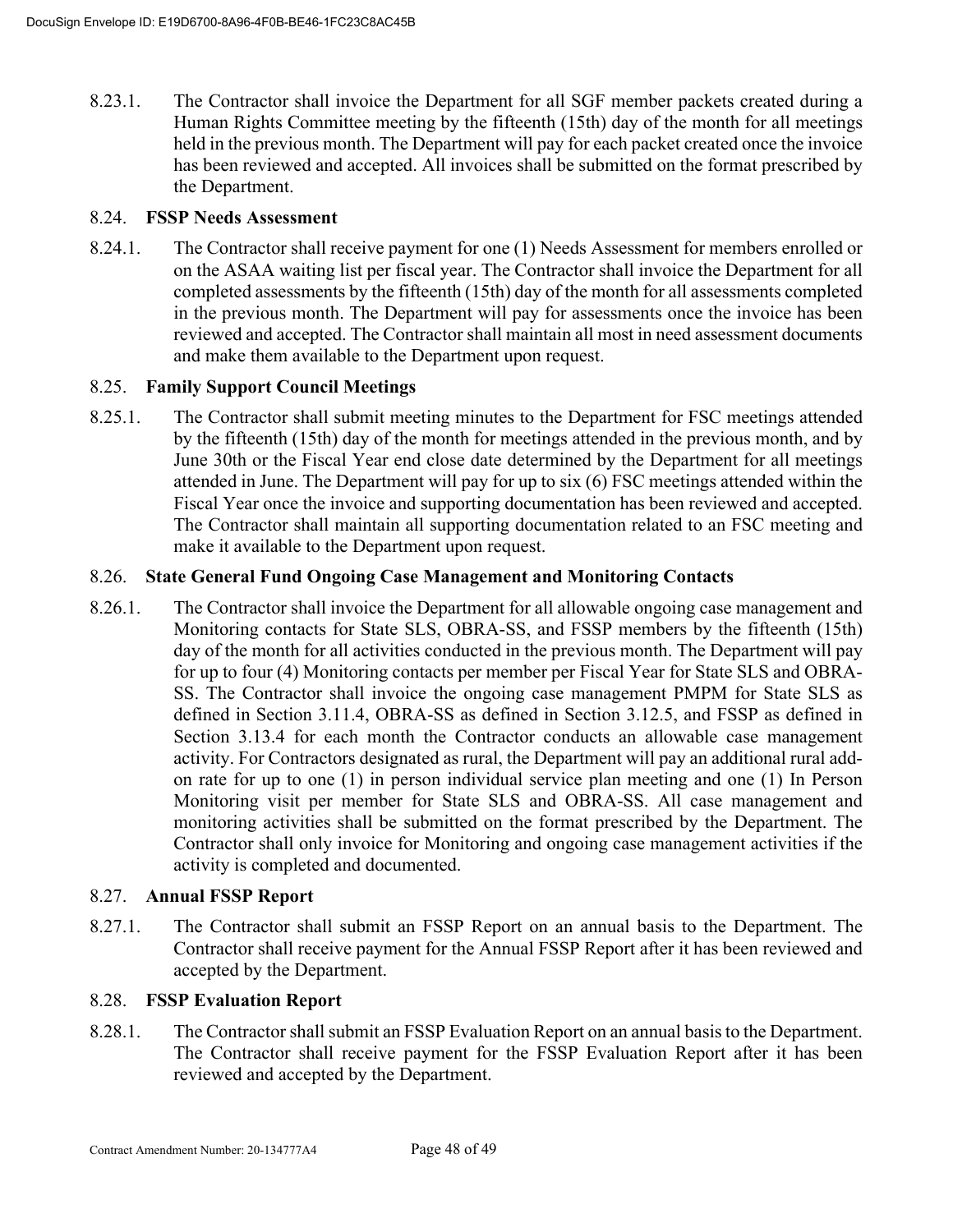8.23.1. The Contractor shall invoice the Department for all SGF member packets created during a Human Rights Committee meeting by the fifteenth (15th) day of the month for all meetings held in the previous month. The Department will pay for each packet created once the invoice has been reviewed and accepted. All invoices shall be submitted on the format prescribed by the Department.

# 8.24. **FSSP Needs Assessment**

8.24.1. The Contractor shall receive payment for one (1) Needs Assessment for members enrolled or on the ASAA waiting list per fiscal year. The Contractor shall invoice the Department for all completed assessments by the fifteenth (15th) day of the month for all assessments completed in the previous month. The Department will pay for assessments once the invoice has been reviewed and accepted. The Contractor shall maintain all most in need assessment documents and make them available to the Department upon request.

# 8.25. **Family Support Council Meetings**

8.25.1. The Contractor shall submit meeting minutes to the Department for FSC meetings attended by the fifteenth (15th) day of the month for meetings attended in the previous month, and by June 30th or the Fiscal Year end close date determined by the Department for all meetings attended in June. The Department will pay for up to six (6) FSC meetings attended within the Fiscal Year once the invoice and supporting documentation has been reviewed and accepted. The Contractor shall maintain all supporting documentation related to an FSC meeting and make it available to the Department upon request.

# 8.26. **State General Fund Ongoing Case Management and Monitoring Contacts**

8.26.1. The Contractor shall invoice the Department for all allowable ongoing case management and Monitoring contacts for State SLS, OBRA-SS, and FSSP members by the fifteenth (15th) day of the month for all activities conducted in the previous month. The Department will pay for up to four (4) Monitoring contacts per member per Fiscal Year for State SLS and OBRA-SS. The Contractor shall invoice the ongoing case management PMPM for State SLS as defined in Section 3.11.4, OBRA-SS as defined in Section 3.12.5, and FSSP as defined in Section 3.13.4 for each month the Contractor conducts an allowable case management activity. For Contractors designated as rural, the Department will pay an additional rural addon rate for up to one (1) in person individual service plan meeting and one (1) In Person Monitoring visit per member for State SLS and OBRA-SS. All case management and monitoring activities shall be submitted on the format prescribed by the Department. The Contractor shall only invoice for Monitoring and ongoing case management activities if the activity is completed and documented.

# 8.27. **Annual FSSP Report**

8.27.1. The Contractor shall submit an FSSP Report on an annual basis to the Department. The Contractor shall receive payment for the Annual FSSP Report after it has been reviewed and accepted by the Department.

# 8.28. **FSSP Evaluation Report**

8.28.1. The Contractor shall submit an FSSP Evaluation Report on an annual basis to the Department. The Contractor shall receive payment for the FSSP Evaluation Report after it has been reviewed and accepted by the Department.